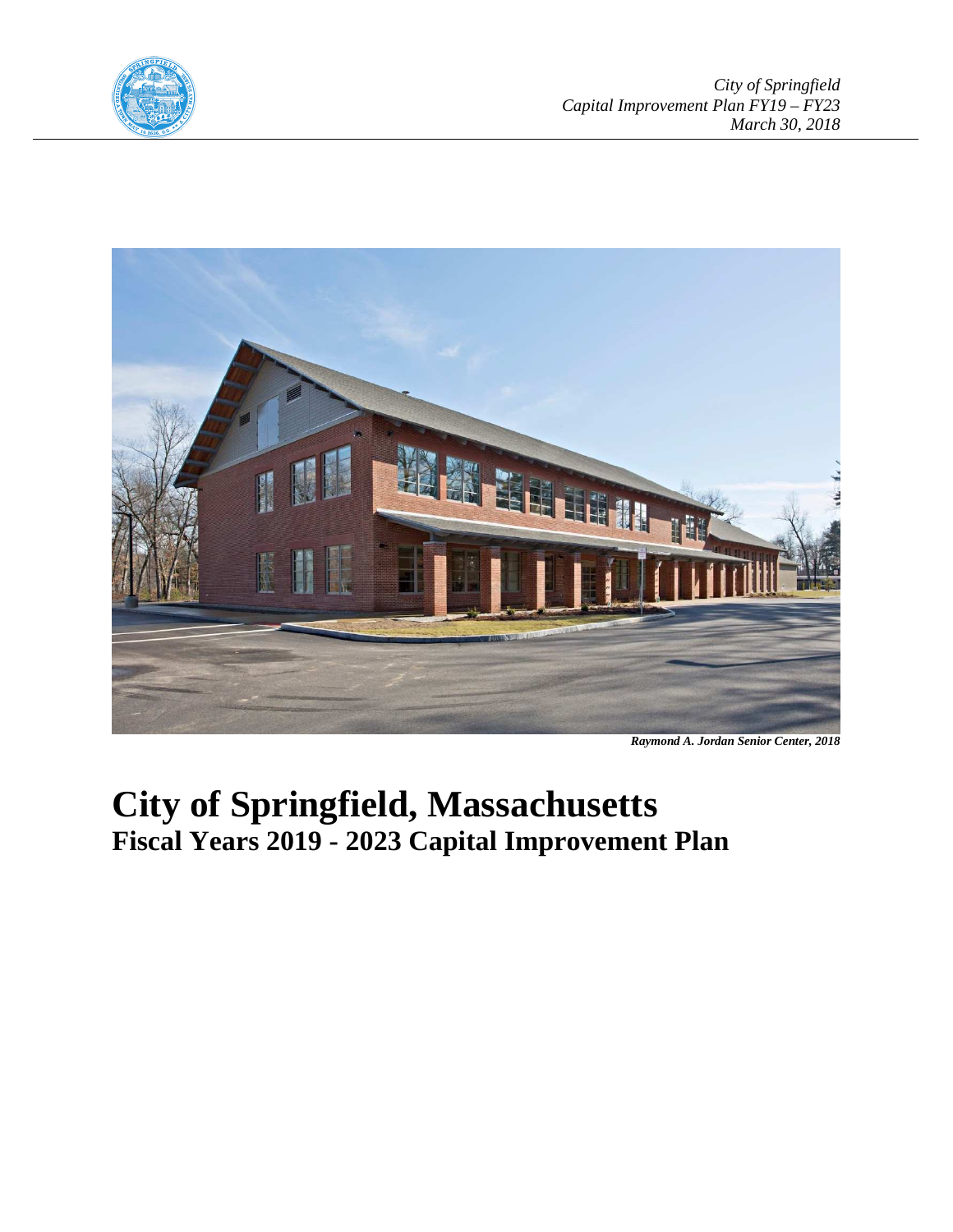



*Raymond A. Jordan Senior Center, 2018* 

# **City of Springfield, Massachusetts Fiscal Years 2019 - 2023 Capital Improvement Plan**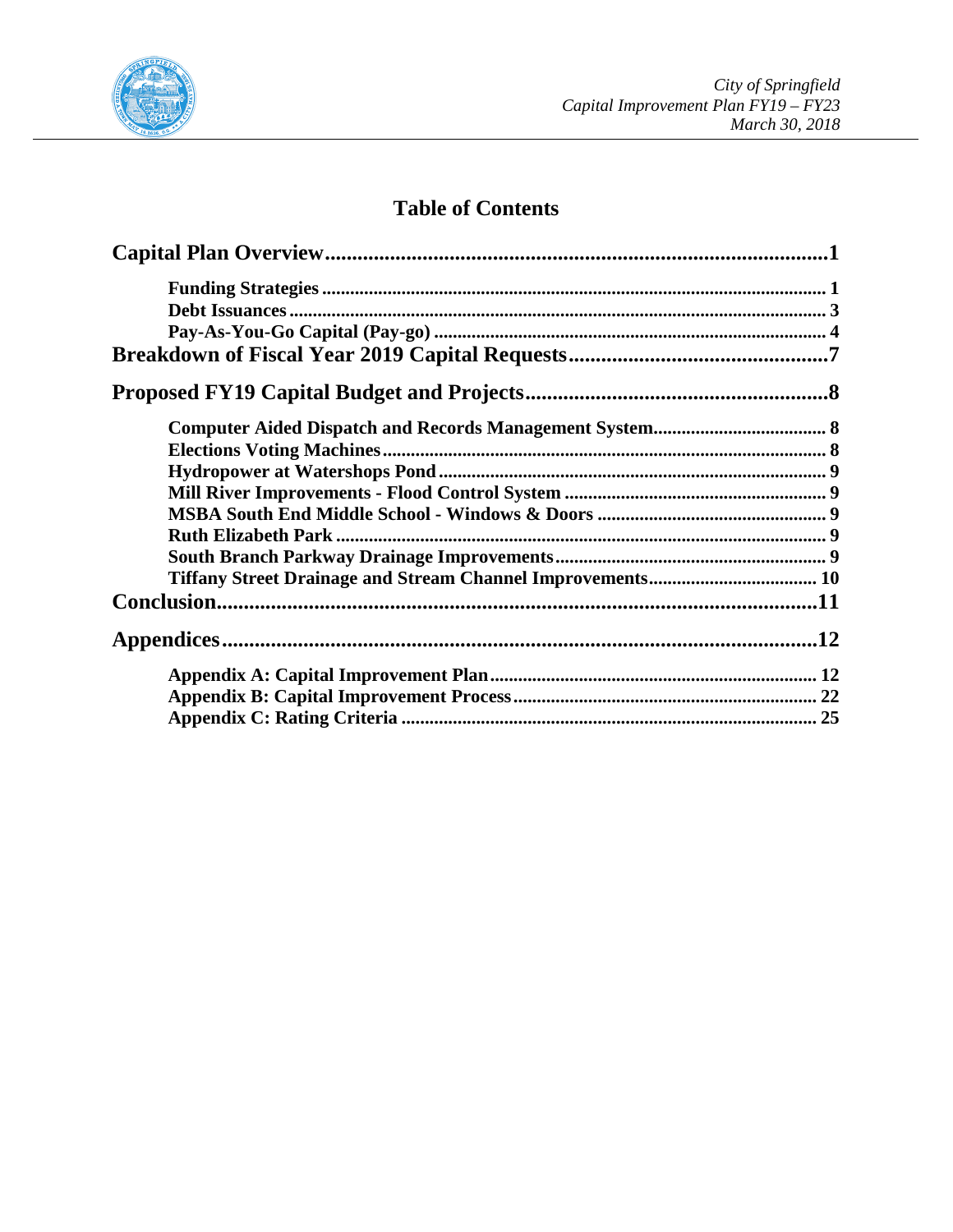

## **Table of Contents**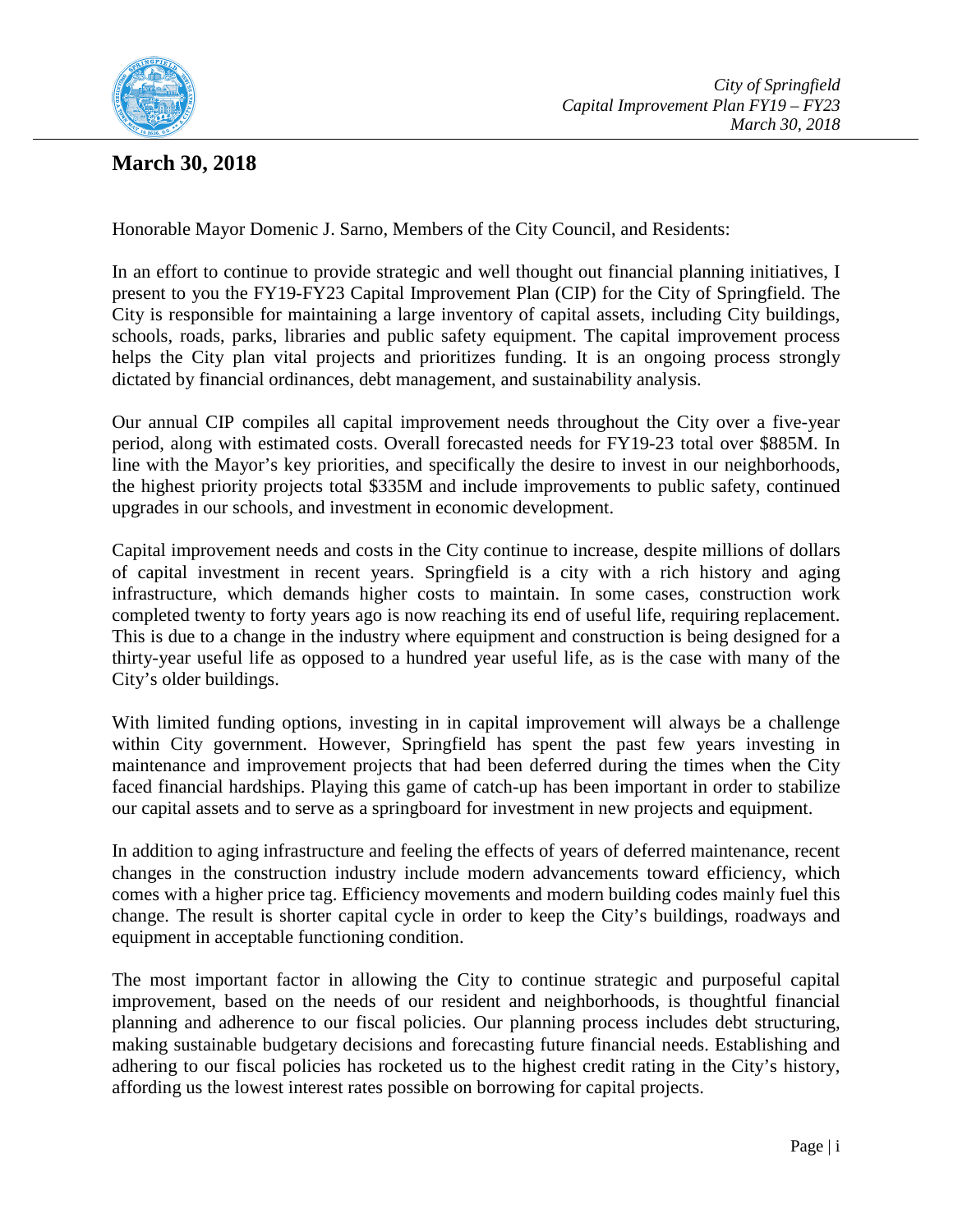

## **March 30, 2018**

Honorable Mayor Domenic J. Sarno, Members of the City Council, and Residents:

In an effort to continue to provide strategic and well thought out financial planning initiatives, I present to you the FY19-FY23 Capital Improvement Plan (CIP) for the City of Springfield. The City is responsible for maintaining a large inventory of capital assets, including City buildings, schools, roads, parks, libraries and public safety equipment. The capital improvement process helps the City plan vital projects and prioritizes funding. It is an ongoing process strongly dictated by financial ordinances, debt management, and sustainability analysis.

Our annual CIP compiles all capital improvement needs throughout the City over a five-year period, along with estimated costs. Overall forecasted needs for FY19-23 total over \$885M. In line with the Mayor's key priorities, and specifically the desire to invest in our neighborhoods, the highest priority projects total \$335M and include improvements to public safety, continued upgrades in our schools, and investment in economic development.

Capital improvement needs and costs in the City continue to increase, despite millions of dollars of capital investment in recent years. Springfield is a city with a rich history and aging infrastructure, which demands higher costs to maintain. In some cases, construction work completed twenty to forty years ago is now reaching its end of useful life, requiring replacement. This is due to a change in the industry where equipment and construction is being designed for a thirty-year useful life as opposed to a hundred year useful life, as is the case with many of the City's older buildings.

With limited funding options, investing in in capital improvement will always be a challenge within City government. However, Springfield has spent the past few years investing in maintenance and improvement projects that had been deferred during the times when the City faced financial hardships. Playing this game of catch-up has been important in order to stabilize our capital assets and to serve as a springboard for investment in new projects and equipment.

In addition to aging infrastructure and feeling the effects of years of deferred maintenance, recent changes in the construction industry include modern advancements toward efficiency, which comes with a higher price tag. Efficiency movements and modern building codes mainly fuel this change. The result is shorter capital cycle in order to keep the City's buildings, roadways and equipment in acceptable functioning condition.

The most important factor in allowing the City to continue strategic and purposeful capital improvement, based on the needs of our resident and neighborhoods, is thoughtful financial planning and adherence to our fiscal policies. Our planning process includes debt structuring, making sustainable budgetary decisions and forecasting future financial needs. Establishing and adhering to our fiscal policies has rocketed us to the highest credit rating in the City's history, affording us the lowest interest rates possible on borrowing for capital projects.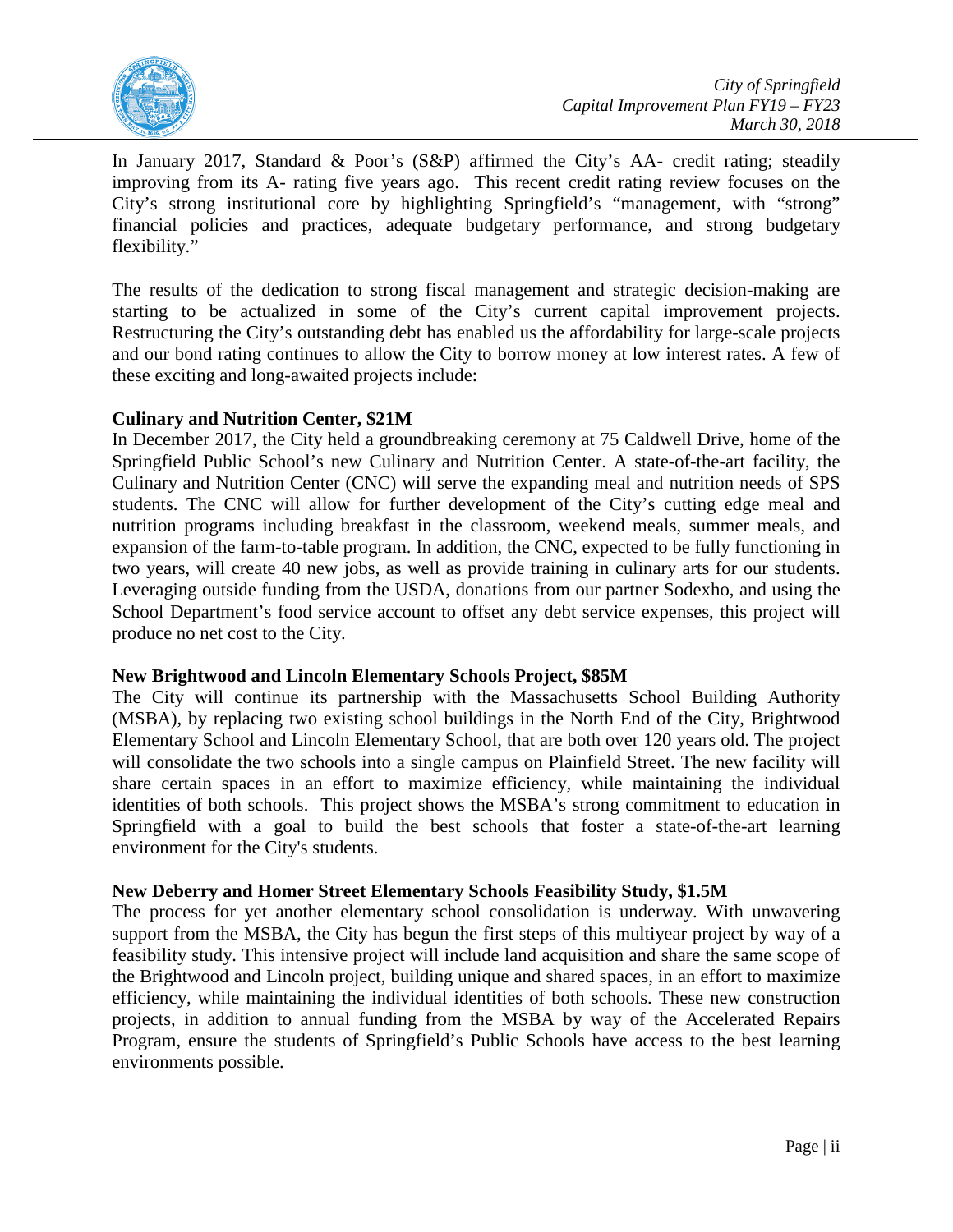

In January 2017, Standard & Poor's (S&P) affirmed the City's AA- credit rating; steadily improving from its A- rating five years ago. This recent credit rating review focuses on the City's strong institutional core by highlighting Springfield's "management, with "strong" financial policies and practices, adequate budgetary performance, and strong budgetary flexibility."

The results of the dedication to strong fiscal management and strategic decision-making are starting to be actualized in some of the City's current capital improvement projects. Restructuring the City's outstanding debt has enabled us the affordability for large-scale projects and our bond rating continues to allow the City to borrow money at low interest rates. A few of these exciting and long-awaited projects include:

## **Culinary and Nutrition Center, \$21M**

In December 2017, the City held a groundbreaking ceremony at 75 Caldwell Drive, home of the Springfield Public School's new Culinary and Nutrition Center. A state-of-the-art facility, the Culinary and Nutrition Center (CNC) will serve the expanding meal and nutrition needs of SPS students. The CNC will allow for further development of the City's cutting edge meal and nutrition programs including breakfast in the classroom, weekend meals, summer meals, and expansion of the farm-to-table program. In addition, the CNC, expected to be fully functioning in two years, will create 40 new jobs, as well as provide training in culinary arts for our students. Leveraging outside funding from the USDA, donations from our partner Sodexho, and using the School Department's food service account to offset any debt service expenses, this project will produce no net cost to the City.

## **New Brightwood and Lincoln Elementary Schools Project, \$85M**

The City will continue its partnership with the Massachusetts School Building Authority (MSBA), by replacing two existing school buildings in the North End of the City, Brightwood Elementary School and Lincoln Elementary School, that are both over 120 years old. The project will consolidate the two schools into a single campus on Plainfield Street. The new facility will share certain spaces in an effort to maximize efficiency, while maintaining the individual identities of both schools. This project shows the MSBA's strong commitment to education in Springfield with a goal to build the best schools that foster a state-of-the-art learning environment for the City's students.

## **New Deberry and Homer Street Elementary Schools Feasibility Study, \$1.5M**

The process for yet another elementary school consolidation is underway. With unwavering support from the MSBA, the City has begun the first steps of this multiyear project by way of a feasibility study. This intensive project will include land acquisition and share the same scope of the Brightwood and Lincoln project, building unique and shared spaces, in an effort to maximize efficiency, while maintaining the individual identities of both schools. These new construction projects, in addition to annual funding from the MSBA by way of the Accelerated Repairs Program, ensure the students of Springfield's Public Schools have access to the best learning environments possible.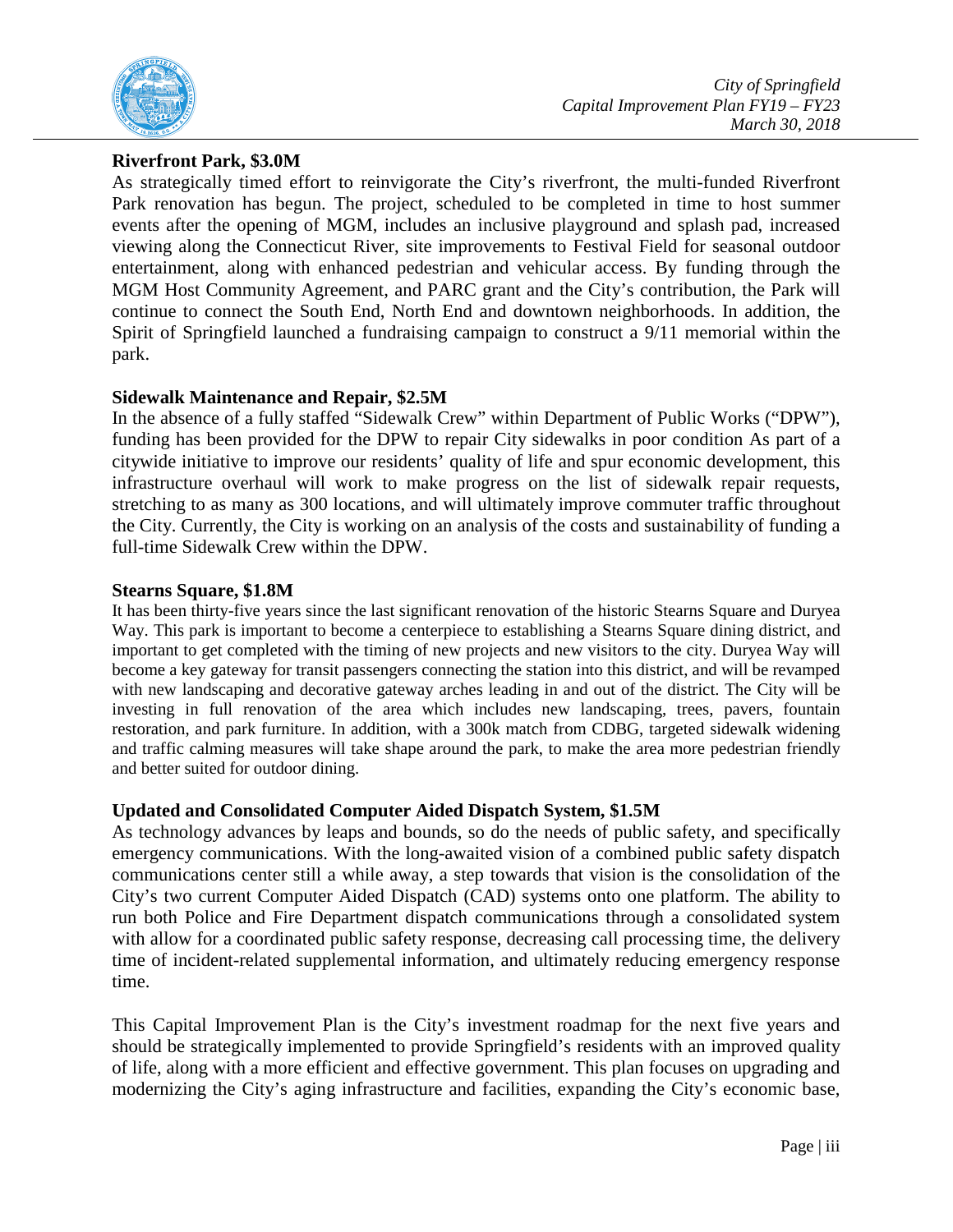

## **Riverfront Park, \$3.0M**

As strategically timed effort to reinvigorate the City's riverfront, the multi-funded Riverfront Park renovation has begun. The project, scheduled to be completed in time to host summer events after the opening of MGM, includes an inclusive playground and splash pad, increased viewing along the Connecticut River, site improvements to Festival Field for seasonal outdoor entertainment, along with enhanced pedestrian and vehicular access. By funding through the MGM Host Community Agreement, and PARC grant and the City's contribution, the Park will continue to connect the South End, North End and downtown neighborhoods. In addition, the Spirit of Springfield launched a fundraising campaign to construct a 9/11 memorial within the park.

## **Sidewalk Maintenance and Repair, \$2.5M**

In the absence of a fully staffed "Sidewalk Crew" within Department of Public Works ("DPW"), funding has been provided for the DPW to repair City sidewalks in poor condition As part of a citywide initiative to improve our residents' quality of life and spur economic development, this infrastructure overhaul will work to make progress on the list of sidewalk repair requests, stretching to as many as 300 locations, and will ultimately improve commuter traffic throughout the City. Currently, the City is working on an analysis of the costs and sustainability of funding a full-time Sidewalk Crew within the DPW.

## **Stearns Square, \$1.8M**

It has been thirty-five years since the last significant renovation of the historic Stearns Square and Duryea Way. This park is important to become a centerpiece to establishing a Stearns Square dining district, and important to get completed with the timing of new projects and new visitors to the city. Duryea Way will become a key gateway for transit passengers connecting the station into this district, and will be revamped with new landscaping and decorative gateway arches leading in and out of the district. The City will be investing in full renovation of the area which includes new landscaping, trees, pavers, fountain restoration, and park furniture. In addition, with a 300k match from CDBG, targeted sidewalk widening and traffic calming measures will take shape around the park, to make the area more pedestrian friendly and better suited for outdoor dining.

## **Updated and Consolidated Computer Aided Dispatch System, \$1.5M**

As technology advances by leaps and bounds, so do the needs of public safety, and specifically emergency communications. With the long-awaited vision of a combined public safety dispatch communications center still a while away, a step towards that vision is the consolidation of the City's two current Computer Aided Dispatch (CAD) systems onto one platform. The ability to run both Police and Fire Department dispatch communications through a consolidated system with allow for a coordinated public safety response, decreasing call processing time, the delivery time of incident-related supplemental information, and ultimately reducing emergency response time.

This Capital Improvement Plan is the City's investment roadmap for the next five years and should be strategically implemented to provide Springfield's residents with an improved quality of life, along with a more efficient and effective government. This plan focuses on upgrading and modernizing the City's aging infrastructure and facilities, expanding the City's economic base,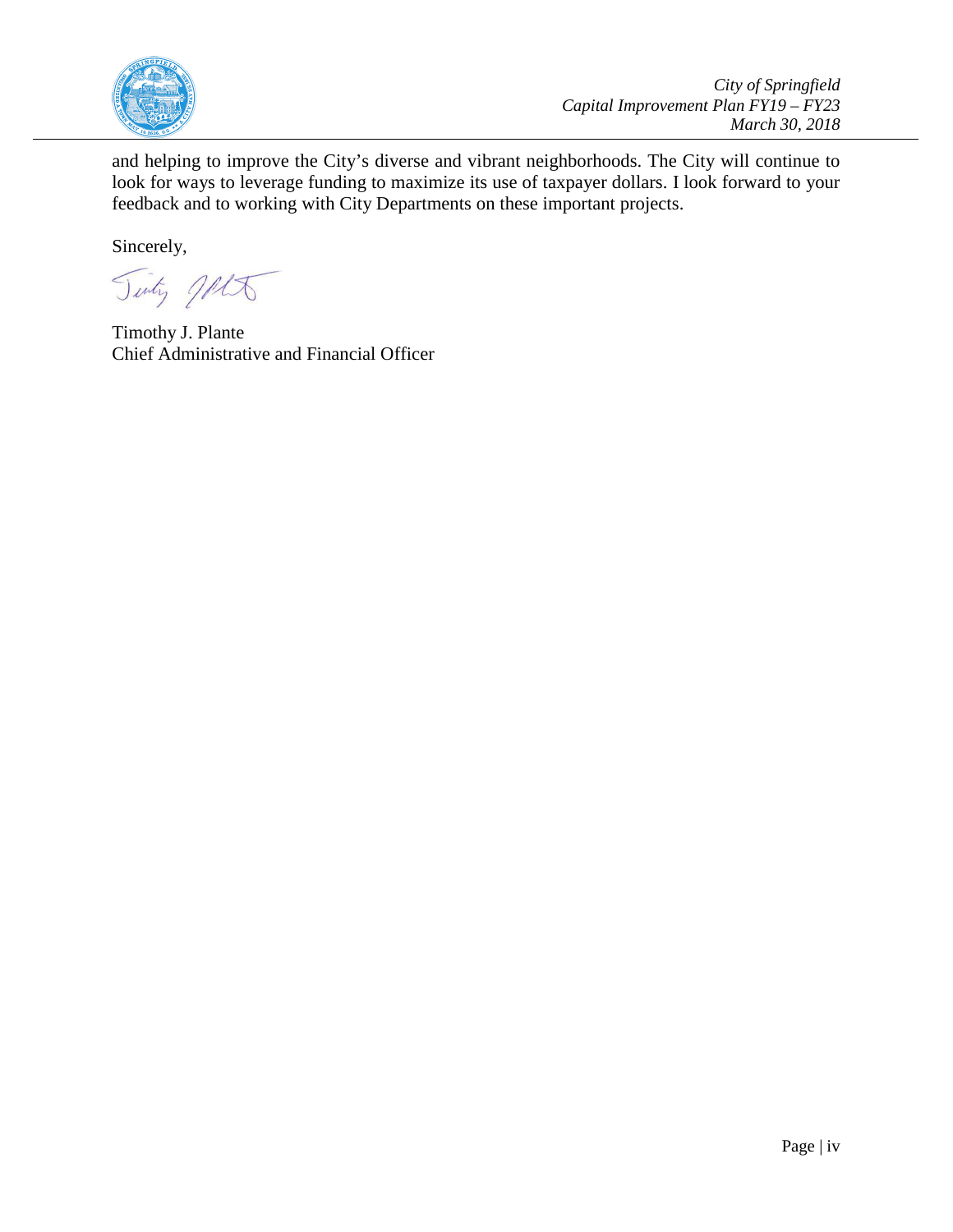

*City of Springfield Capital Improvement Plan FY19 – FY23 March 30, 2018*

and helping to improve the City's diverse and vibrant neighborhoods. The City will continue to look for ways to leverage funding to maximize its use of taxpayer dollars. I look forward to your feedback and to working with City Departments on these important projects.

Sincerely,

Tinty JALT

Timothy J. Plante Chief Administrative and Financial Officer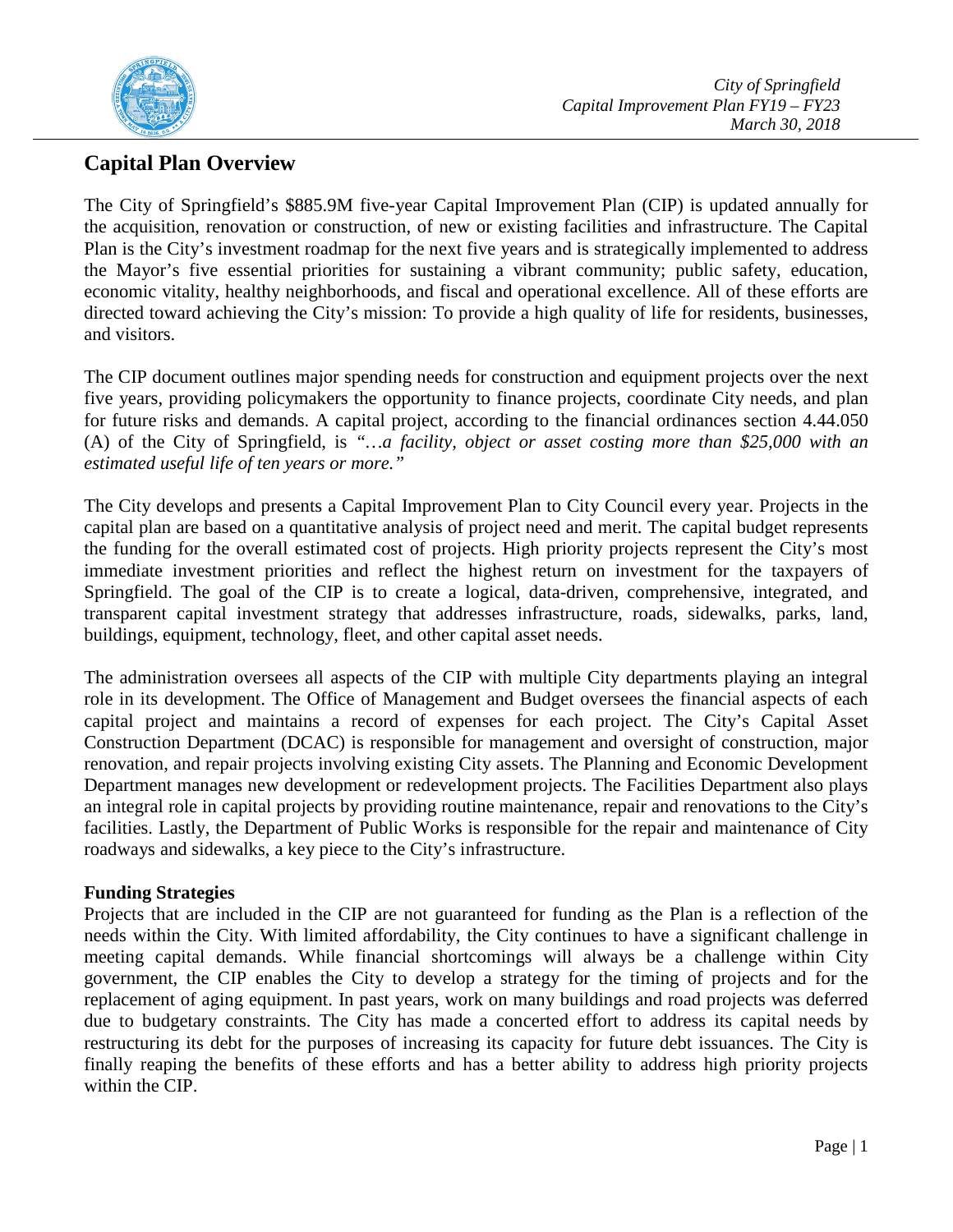

## **Capital Plan Overview**

The City of Springfield's \$885.9M five-year Capital Improvement Plan (CIP) is updated annually for the acquisition, renovation or construction, of new or existing facilities and infrastructure. The Capital Plan is the City's investment roadmap for the next five years and is strategically implemented to address the Mayor's five essential priorities for sustaining a vibrant community; public safety, education, economic vitality, healthy neighborhoods, and fiscal and operational excellence. All of these efforts are directed toward achieving the City's mission: To provide a high quality of life for residents, businesses, and visitors.

The CIP document outlines major spending needs for construction and equipment projects over the next five years, providing policymakers the opportunity to finance projects, coordinate City needs, and plan for future risks and demands. A capital project, according to the financial ordinances section 4.44.050 (A) of the City of Springfield, is *"…a facility, object or asset costing more than \$25,000 with an estimated useful life of ten years or more."*

The City develops and presents a Capital Improvement Plan to City Council every year. Projects in the capital plan are based on a quantitative analysis of project need and merit. The capital budget represents the funding for the overall estimated cost of projects. High priority projects represent the City's most immediate investment priorities and reflect the highest return on investment for the taxpayers of Springfield. The goal of the CIP is to create a logical, data-driven, comprehensive, integrated, and transparent capital investment strategy that addresses infrastructure, roads, sidewalks, parks, land, buildings, equipment, technology, fleet, and other capital asset needs.

The administration oversees all aspects of the CIP with multiple City departments playing an integral role in its development. The Office of Management and Budget oversees the financial aspects of each capital project and maintains a record of expenses for each project. The City's Capital Asset Construction Department (DCAC) is responsible for management and oversight of construction, major renovation, and repair projects involving existing City assets. The Planning and Economic Development Department manages new development or redevelopment projects. The Facilities Department also plays an integral role in capital projects by providing routine maintenance, repair and renovations to the City's facilities. Lastly, the Department of Public Works is responsible for the repair and maintenance of City roadways and sidewalks, a key piece to the City's infrastructure.

## **Funding Strategies**

Projects that are included in the CIP are not guaranteed for funding as the Plan is a reflection of the needs within the City. With limited affordability, the City continues to have a significant challenge in meeting capital demands. While financial shortcomings will always be a challenge within City government, the CIP enables the City to develop a strategy for the timing of projects and for the replacement of aging equipment. In past years, work on many buildings and road projects was deferred due to budgetary constraints. The City has made a concerted effort to address its capital needs by restructuring its debt for the purposes of increasing its capacity for future debt issuances. The City is finally reaping the benefits of these efforts and has a better ability to address high priority projects within the CIP.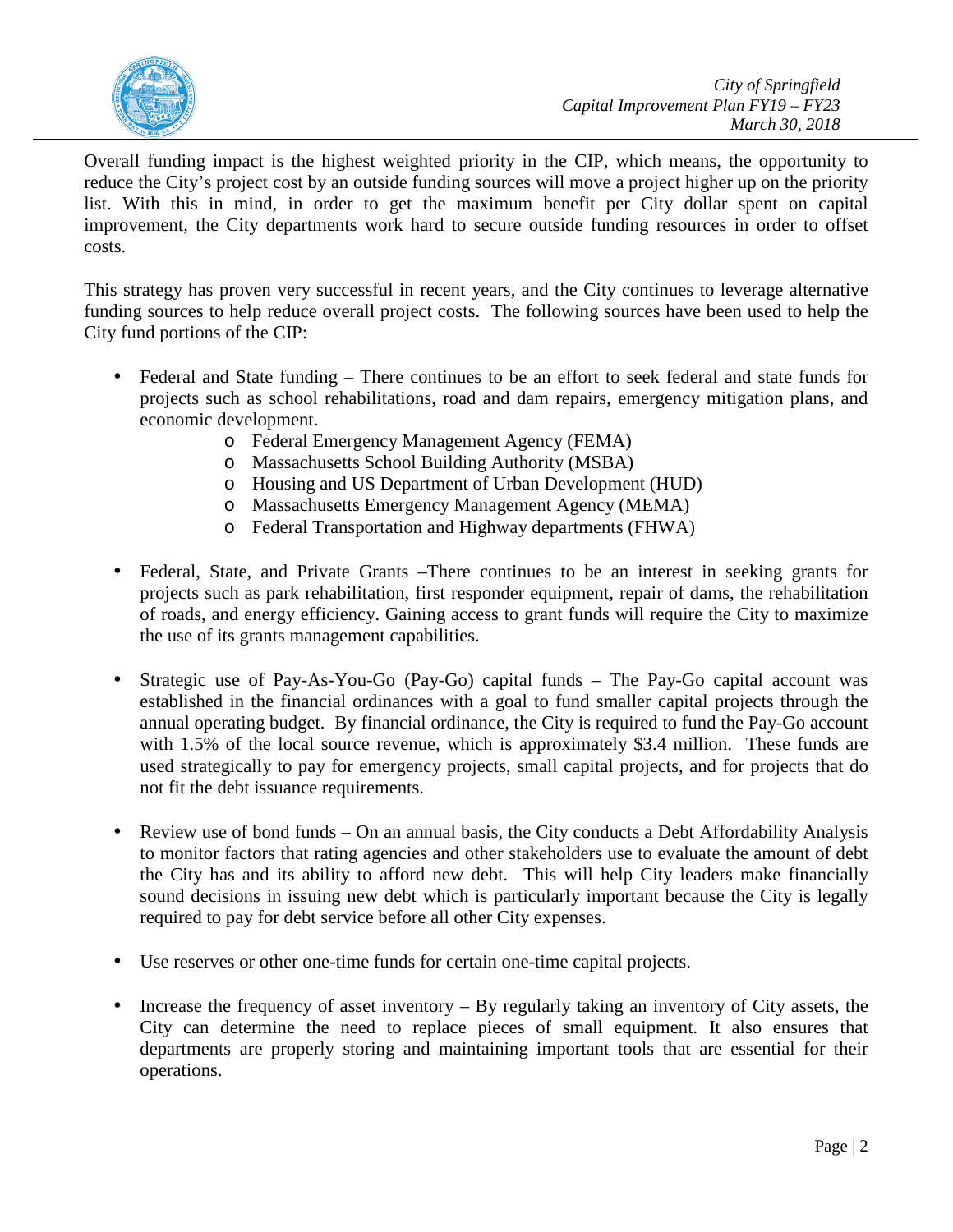

Overall funding impact is the highest weighted priority in the CIP, which means, the opportunity to reduce the City's project cost by an outside funding sources will move a project higher up on the priority list. With this in mind, in order to get the maximum benefit per City dollar spent on capital improvement, the City departments work hard to secure outside funding resources in order to offset costs.

This strategy has proven very successful in recent years, and the City continues to leverage alternative funding sources to help reduce overall project costs. The following sources have been used to help the City fund portions of the CIP:

- Federal and State funding There continues to be an effort to seek federal and state funds for projects such as school rehabilitations, road and dam repairs, emergency mitigation plans, and economic development.
	- o Federal Emergency Management Agency (FEMA)
	- o Massachusetts School Building Authority (MSBA)
	- o Housing and US Department of Urban Development (HUD)
	- o Massachusetts Emergency Management Agency (MEMA)
	- o Federal Transportation and Highway departments (FHWA)
- Federal, State, and Private Grants –There continues to be an interest in seeking grants for projects such as park rehabilitation, first responder equipment, repair of dams, the rehabilitation of roads, and energy efficiency. Gaining access to grant funds will require the City to maximize the use of its grants management capabilities.
- Strategic use of Pay-As-You-Go (Pay-Go) capital funds The Pay-Go capital account was established in the financial ordinances with a goal to fund smaller capital projects through the annual operating budget. By financial ordinance, the City is required to fund the Pay-Go account with 1.5% of the local source revenue, which is approximately \$3.4 million. These funds are used strategically to pay for emergency projects, small capital projects, and for projects that do not fit the debt issuance requirements.
- Review use of bond funds On an annual basis, the City conducts a Debt Affordability Analysis to monitor factors that rating agencies and other stakeholders use to evaluate the amount of debt the City has and its ability to afford new debt. This will help City leaders make financially sound decisions in issuing new debt which is particularly important because the City is legally required to pay for debt service before all other City expenses.
- Use reserves or other one-time funds for certain one-time capital projects.
- Increase the frequency of asset inventory By regularly taking an inventory of City assets, the City can determine the need to replace pieces of small equipment. It also ensures that departments are properly storing and maintaining important tools that are essential for their operations.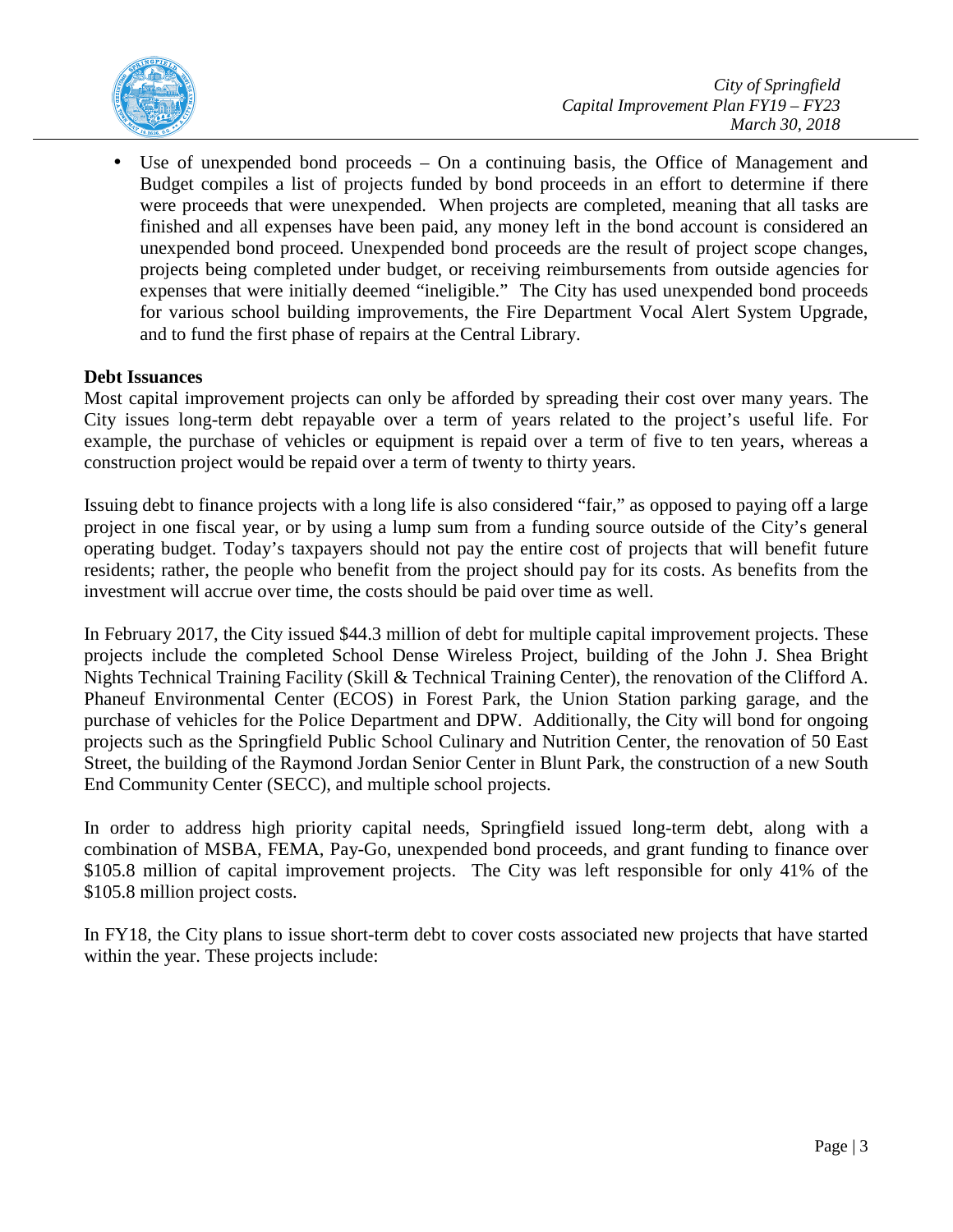

Use of unexpended bond proceeds  $-$  On a continuing basis, the Office of Management and Budget compiles a list of projects funded by bond proceeds in an effort to determine if there were proceeds that were unexpended. When projects are completed, meaning that all tasks are finished and all expenses have been paid, any money left in the bond account is considered an unexpended bond proceed. Unexpended bond proceeds are the result of project scope changes, projects being completed under budget, or receiving reimbursements from outside agencies for expenses that were initially deemed "ineligible." The City has used unexpended bond proceeds for various school building improvements, the Fire Department Vocal Alert System Upgrade, and to fund the first phase of repairs at the Central Library.

## **Debt Issuances**

Most capital improvement projects can only be afforded by spreading their cost over many years. The City issues long-term debt repayable over a term of years related to the project's useful life. For example, the purchase of vehicles or equipment is repaid over a term of five to ten years, whereas a construction project would be repaid over a term of twenty to thirty years.

Issuing debt to finance projects with a long life is also considered "fair," as opposed to paying off a large project in one fiscal year, or by using a lump sum from a funding source outside of the City's general operating budget. Today's taxpayers should not pay the entire cost of projects that will benefit future residents; rather, the people who benefit from the project should pay for its costs. As benefits from the investment will accrue over time, the costs should be paid over time as well.

In February 2017, the City issued \$44.3 million of debt for multiple capital improvement projects. These projects include the completed School Dense Wireless Project, building of the John J. Shea Bright Nights Technical Training Facility (Skill & Technical Training Center), the renovation of the Clifford A. Phaneuf Environmental Center (ECOS) in Forest Park, the Union Station parking garage, and the purchase of vehicles for the Police Department and DPW. Additionally, the City will bond for ongoing projects such as the Springfield Public School Culinary and Nutrition Center, the renovation of 50 East Street, the building of the Raymond Jordan Senior Center in Blunt Park, the construction of a new South End Community Center (SECC), and multiple school projects.

In order to address high priority capital needs, Springfield issued long-term debt, along with a combination of MSBA, FEMA, Pay-Go, unexpended bond proceeds, and grant funding to finance over \$105.8 million of capital improvement projects. The City was left responsible for only 41% of the \$105.8 million project costs.

In FY18, the City plans to issue short-term debt to cover costs associated new projects that have started within the year. These projects include: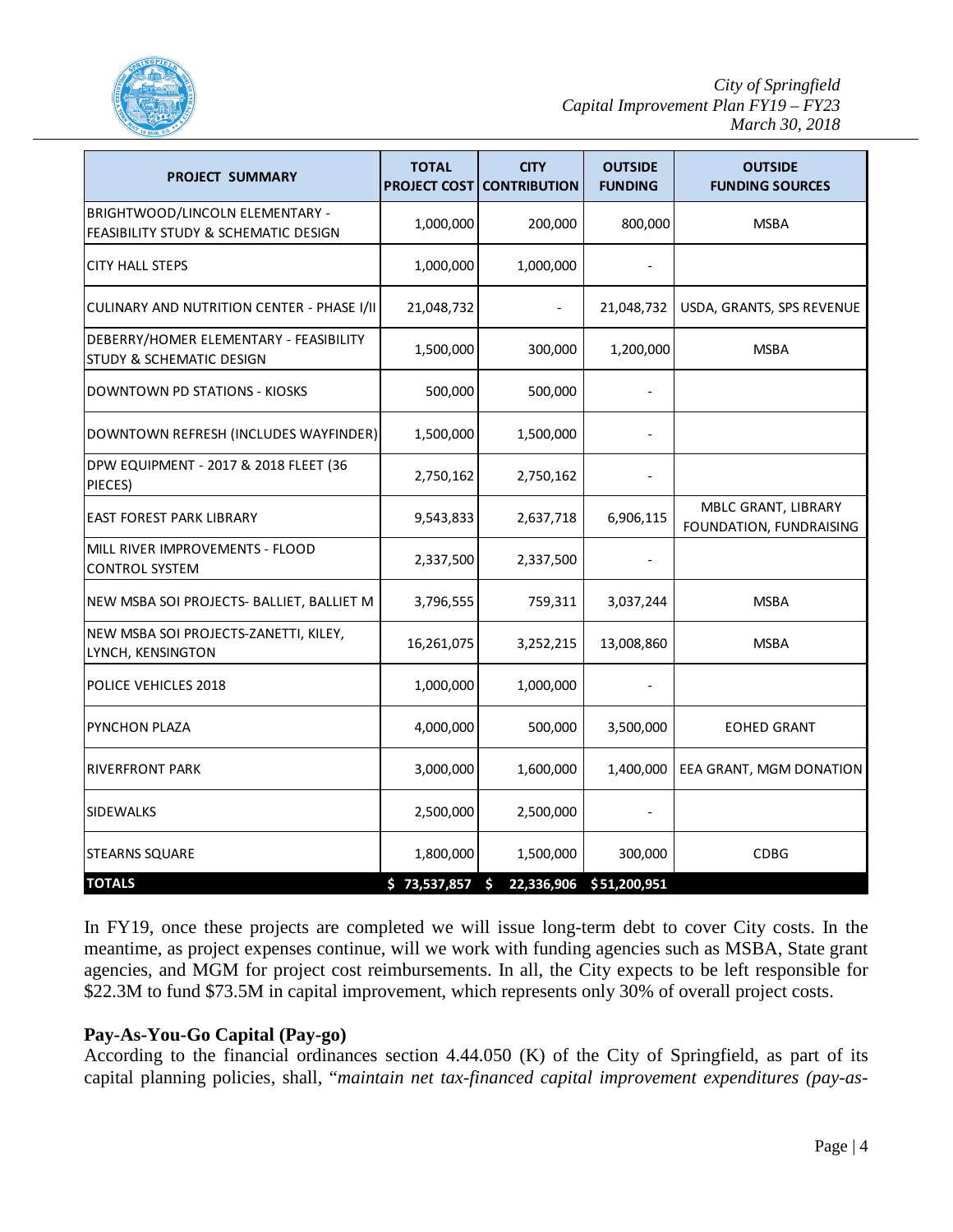

| <b>PROJECT SUMMARY</b>                                                  | <b>TOTAL</b><br><b>PROJECT COST</b> | <b>CITY</b><br><b>CONTRIBUTION</b> | <b>OUTSIDE</b><br><b>FUNDING</b> | <b>OUTSIDE</b><br><b>FUNDING SOURCES</b>       |
|-------------------------------------------------------------------------|-------------------------------------|------------------------------------|----------------------------------|------------------------------------------------|
| BRIGHTWOOD/LINCOLN ELEMENTARY -<br>FEASIBILITY STUDY & SCHEMATIC DESIGN | 1,000,000                           | 200,000                            | 800,000                          | <b>MSBA</b>                                    |
| <b>CITY HALL STEPS</b>                                                  | 1,000,000                           | 1,000,000                          |                                  |                                                |
| CULINARY AND NUTRITION CENTER - PHASE I/II                              | 21,048,732                          |                                    | 21,048,732                       | USDA, GRANTS, SPS REVENUE                      |
| DEBERRY/HOMER ELEMENTARY - FEASIBILITY<br>STUDY & SCHEMATIC DESIGN      | 1,500,000                           | 300,000                            | 1,200,000                        | <b>MSBA</b>                                    |
| DOWNTOWN PD STATIONS - KIOSKS                                           | 500,000                             | 500,000                            |                                  |                                                |
| DOWNTOWN REFRESH (INCLUDES WAYFINDER)                                   | 1,500,000                           | 1,500,000                          |                                  |                                                |
| DPW EQUIPMENT - 2017 & 2018 FLEET (36<br>PIECES)                        | 2,750,162                           | 2,750,162                          |                                  |                                                |
| <b>EAST FOREST PARK LIBRARY</b>                                         | 9,543,833                           | 2,637,718                          | 6,906,115                        | MBLC GRANT, LIBRARY<br>FOUNDATION, FUNDRAISING |
| MILL RIVER IMPROVEMENTS - FLOOD<br><b>CONTROL SYSTEM</b>                | 2,337,500                           | 2,337,500                          |                                  |                                                |
| NEW MSBA SOI PROJECTS- BALLIET, BALLIET M                               | 3,796,555                           | 759,311                            | 3,037,244                        | <b>MSBA</b>                                    |
| NEW MSBA SOI PROJECTS-ZANETTI, KILEY,<br>LYNCH, KENSINGTON              | 16,261,075                          | 3,252,215                          | 13,008,860                       | <b>MSBA</b>                                    |
| POLICE VEHICLES 2018                                                    | 1,000,000                           | 1,000,000                          |                                  |                                                |
| PYNCHON PLAZA                                                           | 4,000,000                           | 500,000                            | 3,500,000                        | <b>EOHED GRANT</b>                             |
| <b>RIVERFRONT PARK</b>                                                  | 3,000,000                           | 1,600,000                          | 1,400,000                        | EEA GRANT, MGM DONATION                        |
| <b>SIDEWALKS</b>                                                        | 2,500,000                           | 2,500,000                          |                                  |                                                |
| <b>STEARNS SQUARE</b>                                                   | 1,800,000                           | 1,500,000                          | 300,000                          | <b>CDBG</b>                                    |
| <b>TOTALS</b>                                                           | \$73,537,857                        | 22,336,906<br>Ś                    | \$51,200,951                     |                                                |

In FY19, once these projects are completed we will issue long-term debt to cover City costs. In the meantime, as project expenses continue, will we work with funding agencies such as MSBA, State grant agencies, and MGM for project cost reimbursements. In all, the City expects to be left responsible for \$22.3M to fund \$73.5M in capital improvement, which represents only 30% of overall project costs.

## **Pay-As-You-Go Capital (Pay-go)**

According to the financial ordinances section 4.44.050 (K) of the City of Springfield, as part of its capital planning policies, shall, "*maintain net tax-financed capital improvement expenditures (pay-as-*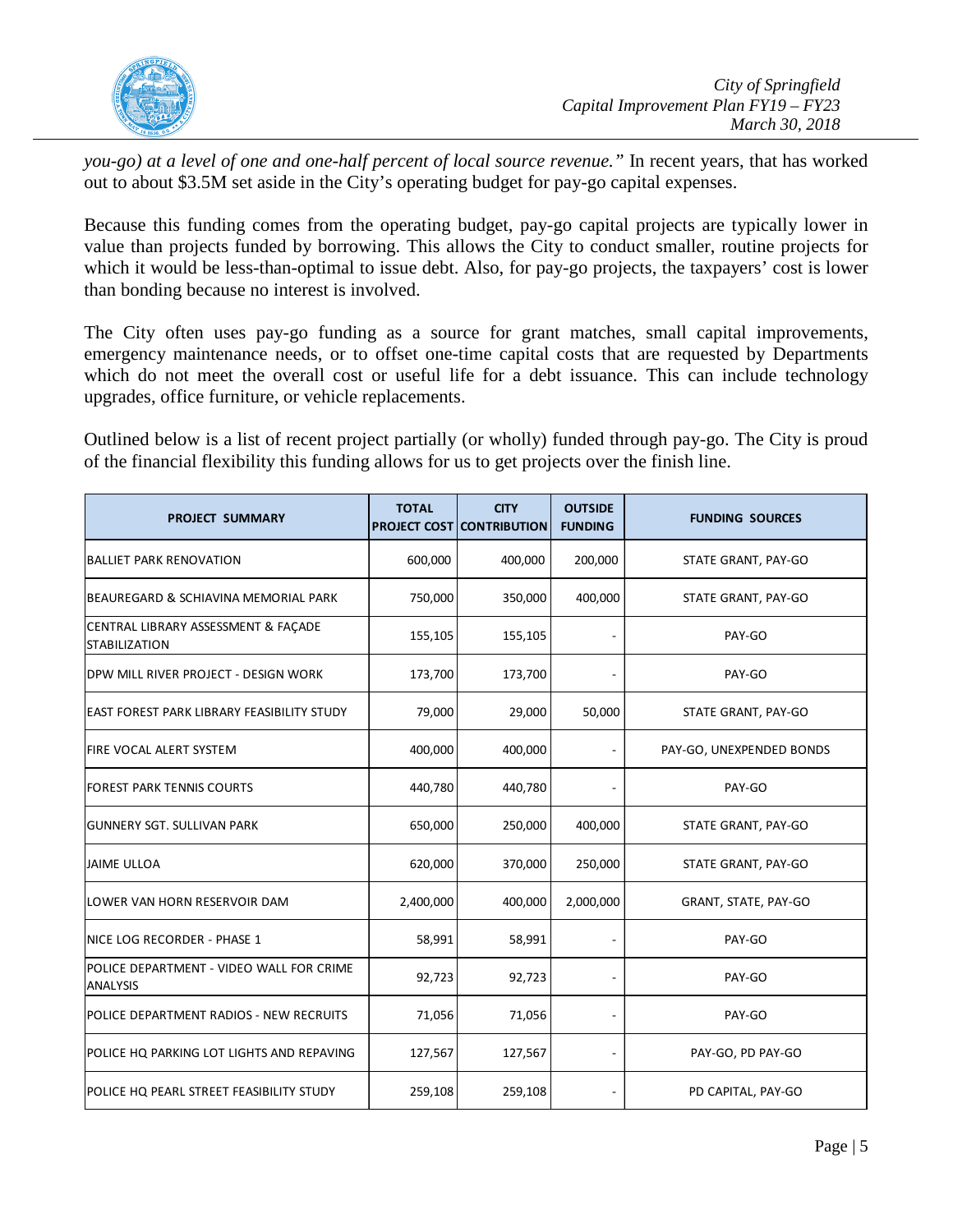

*you-go) at a level of one and one-half percent of local source revenue."* In recent years, that has worked out to about \$3.5M set aside in the City's operating budget for pay-go capital expenses.

Because this funding comes from the operating budget, pay-go capital projects are typically lower in value than projects funded by borrowing. This allows the City to conduct smaller, routine projects for which it would be less-than-optimal to issue debt. Also, for pay-go projects, the taxpayers' cost is lower than bonding because no interest is involved.

The City often uses pay-go funding as a source for grant matches, small capital improvements, emergency maintenance needs, or to offset one-time capital costs that are requested by Departments which do not meet the overall cost or useful life for a debt issuance. This can include technology upgrades, office furniture, or vehicle replacements.

Outlined below is a list of recent project partially (or wholly) funded through pay-go. The City is proud of the financial flexibility this funding allows for us to get projects over the finish line.

| <b>PROJECT SUMMARY</b>                                      | <b>TOTAL</b> | <b>CITY</b><br><b>PROJECT COST CONTRIBUTION</b> | <b>OUTSIDE</b><br><b>FUNDING</b> | <b>FUNDING SOURCES</b>   |
|-------------------------------------------------------------|--------------|-------------------------------------------------|----------------------------------|--------------------------|
| <b>BALLIET PARK RENOVATION</b>                              | 600,000      | 400,000                                         | 200,000                          | STATE GRANT, PAY-GO      |
| BEAUREGARD & SCHIAVINA MEMORIAL PARK                        | 750,000      | 350,000                                         | 400,000                          | STATE GRANT, PAY-GO      |
| CENTRAL LIBRARY ASSESSMENT & FACADE<br><b>STABILIZATION</b> | 155,105      | 155,105                                         |                                  | PAY-GO                   |
| DPW MILL RIVER PROJECT - DESIGN WORK                        | 173,700      | 173,700                                         |                                  | PAY-GO                   |
| <b>EAST FOREST PARK LIBRARY FEASIBILITY STUDY</b>           | 79,000       | 29,000                                          | 50,000                           | STATE GRANT, PAY-GO      |
| <b>FIRE VOCAL ALERT SYSTEM</b>                              | 400,000      | 400,000                                         |                                  | PAY-GO, UNEXPENDED BONDS |
| <b>FOREST PARK TENNIS COURTS</b>                            | 440,780      | 440,780                                         |                                  | PAY-GO                   |
| <b>GUNNERY SGT. SULLIVAN PARK</b>                           | 650,000      | 250,000                                         | 400,000                          | STATE GRANT, PAY-GO      |
| <b>JAIME ULLOA</b>                                          | 620,000      | 370,000                                         | 250,000                          | STATE GRANT, PAY-GO      |
| LOWER VAN HORN RESERVOIR DAM                                | 2,400,000    | 400,000                                         | 2,000,000                        | GRANT, STATE, PAY-GO     |
| NICE LOG RECORDER - PHASE 1                                 | 58,991       | 58,991                                          |                                  | PAY-GO                   |
| POLICE DEPARTMENT - VIDEO WALL FOR CRIME<br><b>ANALYSIS</b> | 92,723       | 92,723                                          |                                  | PAY-GO                   |
| POLICE DEPARTMENT RADIOS - NEW RECRUITS                     | 71,056       | 71,056                                          | $\overline{a}$                   | PAY-GO                   |
| POLICE HQ PARKING LOT LIGHTS AND REPAVING                   | 127,567      | 127,567                                         |                                  | PAY-GO, PD PAY-GO        |
| POLICE HQ PEARL STREET FEASIBILITY STUDY                    | 259,108      | 259,108                                         |                                  | PD CAPITAL, PAY-GO       |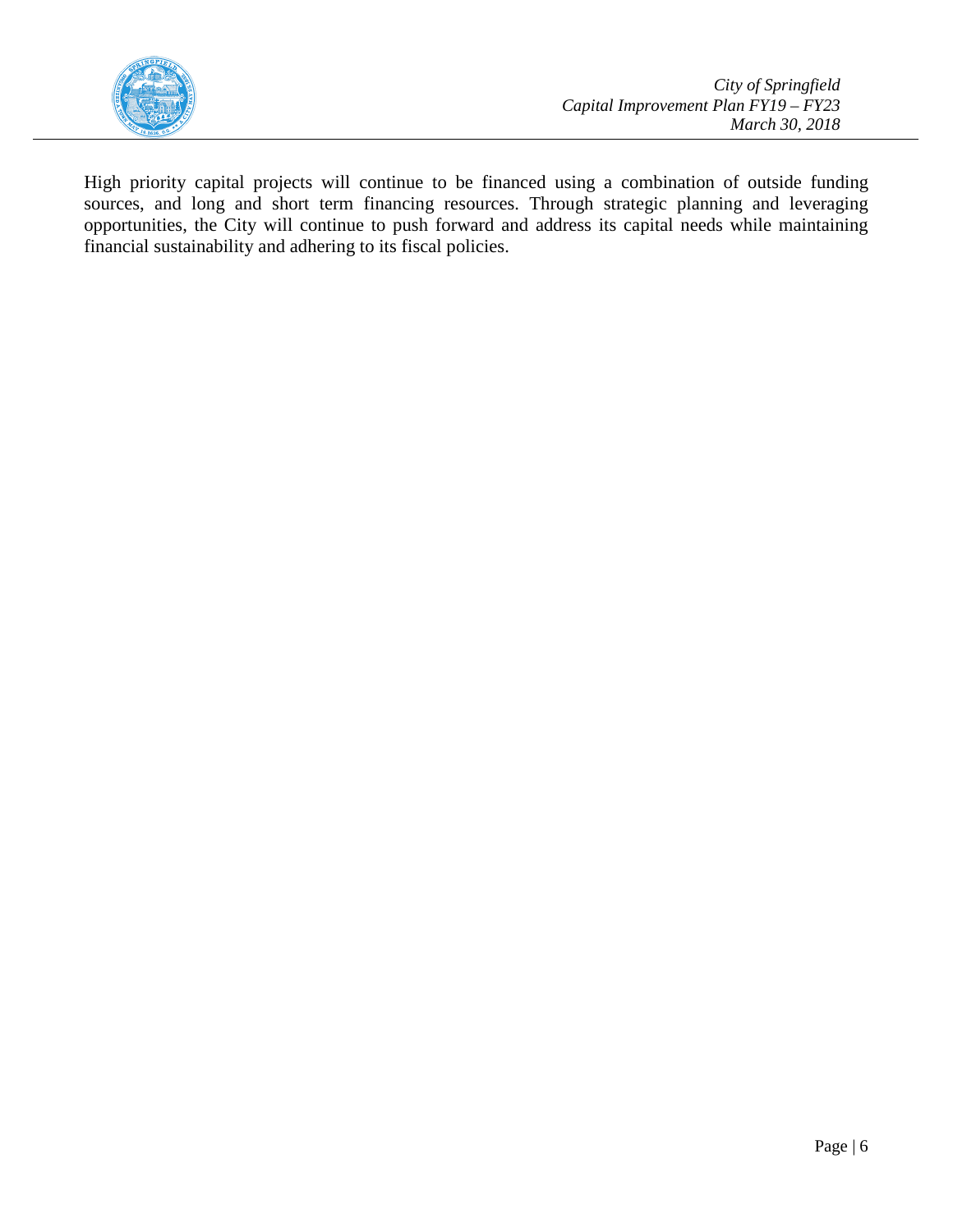

High priority capital projects will continue to be financed using a combination of outside funding sources, and long and short term financing resources. Through strategic planning and leveraging opportunities, the City will continue to push forward and address its capital needs while maintaining financial sustainability and adhering to its fiscal policies.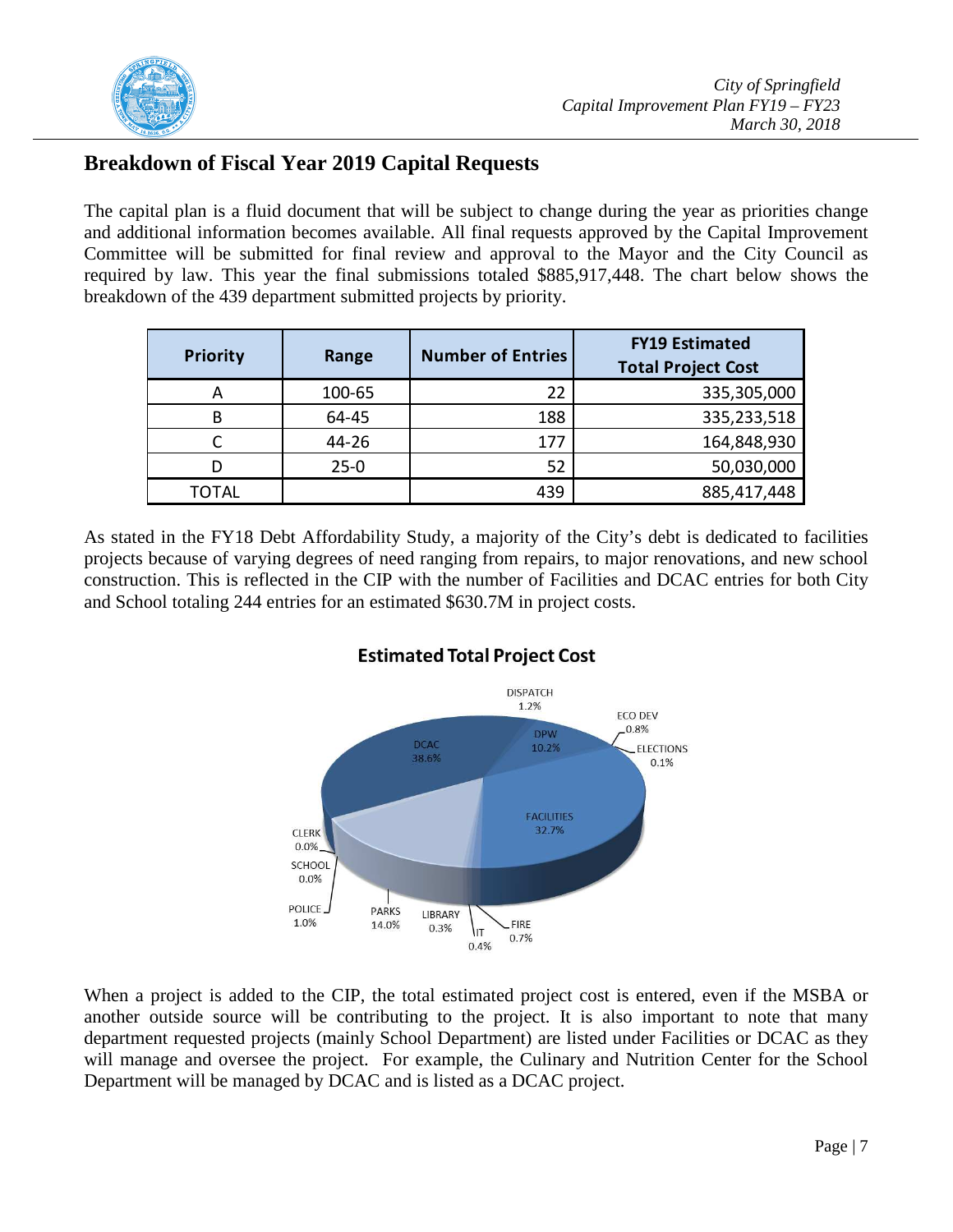

## **Breakdown of Fiscal Year 2019 Capital Requests**

The capital plan is a fluid document that will be subject to change during the year as priorities change and additional information becomes available. All final requests approved by the Capital Improvement Committee will be submitted for final review and approval to the Mayor and the City Council as required by law. This year the final submissions totaled \$885,917,448. The chart below shows the breakdown of the 439 department submitted projects by priority.

| <b>Priority</b> | Range    | <b>Number of Entries</b> | <b>FY19 Estimated</b><br><b>Total Project Cost</b> |
|-----------------|----------|--------------------------|----------------------------------------------------|
| А               | 100-65   | 22                       | 335,305,000                                        |
| B               | 64-45    | 188                      | 335,233,518                                        |
|                 | 44-26    | 177                      | 164,848,930                                        |
| D               | $25 - 0$ | 52                       | 50,030,000                                         |
| TOTAL           |          | 439                      | 885,417,448                                        |

As stated in the FY18 Debt Affordability Study, a majority of the City's debt is dedicated to facilities projects because of varying degrees of need ranging from repairs, to major renovations, and new school construction. This is reflected in the CIP with the number of Facilities and DCAC entries for both City and School totaling 244 entries for an estimated \$630.7M in project costs.



## **Estimated Total Project Cost**

When a project is added to the CIP, the total estimated project cost is entered, even if the MSBA or another outside source will be contributing to the project. It is also important to note that many department requested projects (mainly School Department) are listed under Facilities or DCAC as they will manage and oversee the project. For example, the Culinary and Nutrition Center for the School Department will be managed by DCAC and is listed as a DCAC project.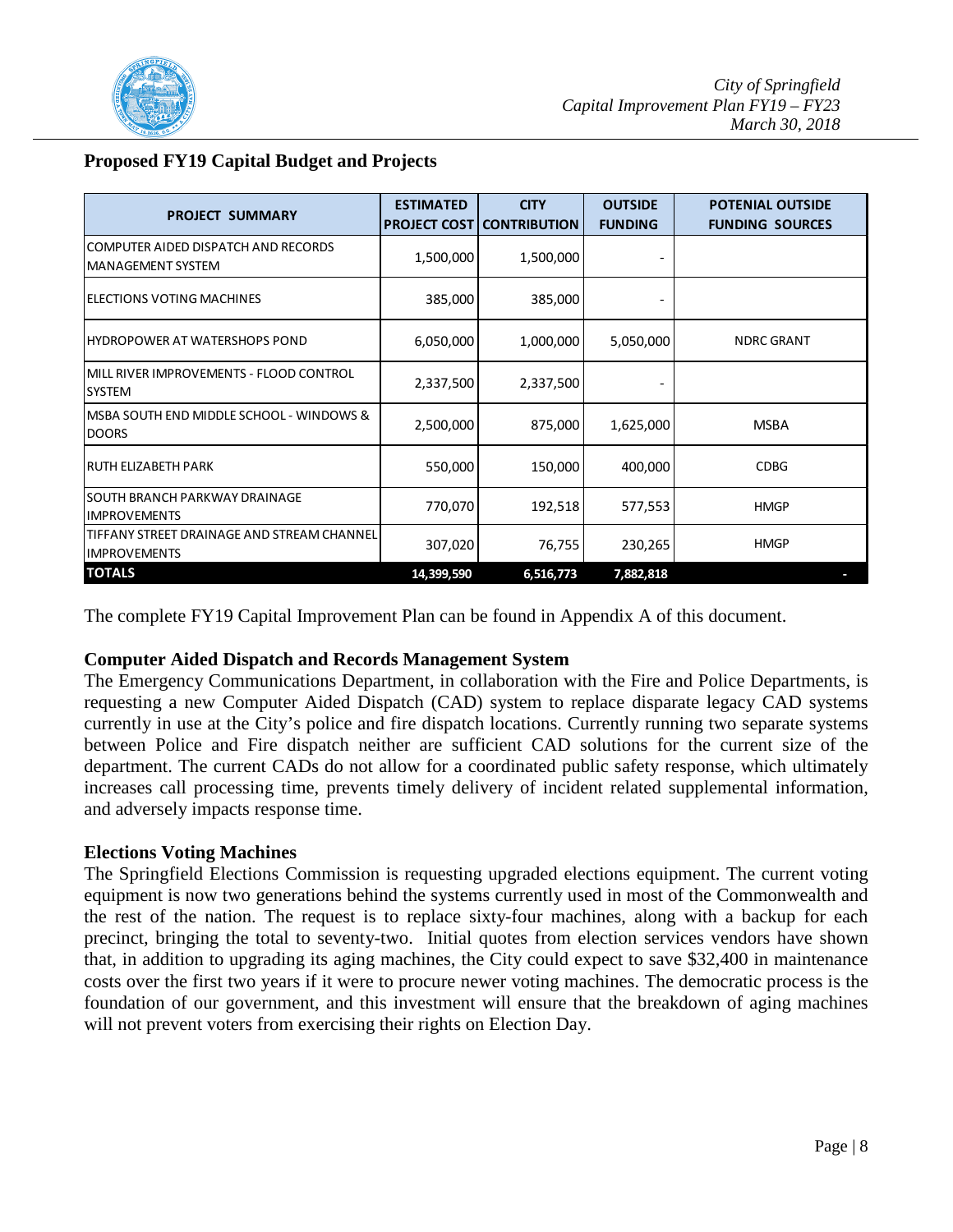

|  | <b>Proposed FY19 Capital Budget and Projects</b> |  |
|--|--------------------------------------------------|--|
|--|--------------------------------------------------|--|

| <b>PROJECT SUMMARY</b>                                            | <b>ESTIMATED</b> | <b>CITY</b><br><b>PROJECT COST CONTRIBUTION</b> | <b>OUTSIDE</b><br><b>FUNDING</b> | <b>POTENIAL OUTSIDE</b><br><b>FUNDING SOURCES</b> |
|-------------------------------------------------------------------|------------------|-------------------------------------------------|----------------------------------|---------------------------------------------------|
| COMPUTER AIDED DISPATCH AND RECORDS<br><b>MANAGEMENT SYSTEM</b>   | 1,500,000        | 1,500,000                                       |                                  |                                                   |
| IELECTIONS VOTING MACHINES                                        | 385,000          | 385,000                                         |                                  |                                                   |
| IHYDROPOWER AT WATERSHOPS POND                                    | 6,050,000        | 1,000,000                                       | 5,050,000                        | <b>NDRC GRANT</b>                                 |
| IMILL RIVER IMPROVEMENTS - FLOOD CONTROL<br><b>SYSTEM</b>         | 2,337,500        | 2,337,500                                       |                                  |                                                   |
| IMSBA SOUTH END MIDDLE SCHOOL - WINDOWS &<br><b>DOORS</b>         | 2,500,000        | 875,000                                         | 1,625,000                        | <b>MSBA</b>                                       |
| IRUTH ELIZABETH PARK                                              | 550,000          | 150,000                                         | 400,000                          | <b>CDBG</b>                                       |
| ISOUTH BRANCH PARKWAY DRAINAGE<br><b>IMPROVEMENTS</b>             | 770,070          | 192,518                                         | 577,553                          | <b>HMGP</b>                                       |
| TIFFANY STREET DRAINAGE AND STREAM CHANNEL<br><b>IMPROVEMENTS</b> | 307,020          | 76,755                                          | 230,265                          | <b>HMGP</b>                                       |
| <b>TOTALS</b>                                                     | 14,399,590       | 6,516,773                                       | 7,882,818                        |                                                   |

The complete FY19 Capital Improvement Plan can be found in Appendix A of this document.

## **Computer Aided Dispatch and Records Management System**

The Emergency Communications Department, in collaboration with the Fire and Police Departments, is requesting a new Computer Aided Dispatch (CAD) system to replace disparate legacy CAD systems currently in use at the City's police and fire dispatch locations. Currently running two separate systems between Police and Fire dispatch neither are sufficient CAD solutions for the current size of the department. The current CADs do not allow for a coordinated public safety response, which ultimately increases call processing time, prevents timely delivery of incident related supplemental information, and adversely impacts response time.

## **Elections Voting Machines**

The Springfield Elections Commission is requesting upgraded elections equipment. The current voting equipment is now two generations behind the systems currently used in most of the Commonwealth and the rest of the nation. The request is to replace sixty-four machines, along with a backup for each precinct, bringing the total to seventy-two. Initial quotes from election services vendors have shown that, in addition to upgrading its aging machines, the City could expect to save \$32,400 in maintenance costs over the first two years if it were to procure newer voting machines. The democratic process is the foundation of our government, and this investment will ensure that the breakdown of aging machines will not prevent voters from exercising their rights on Election Day.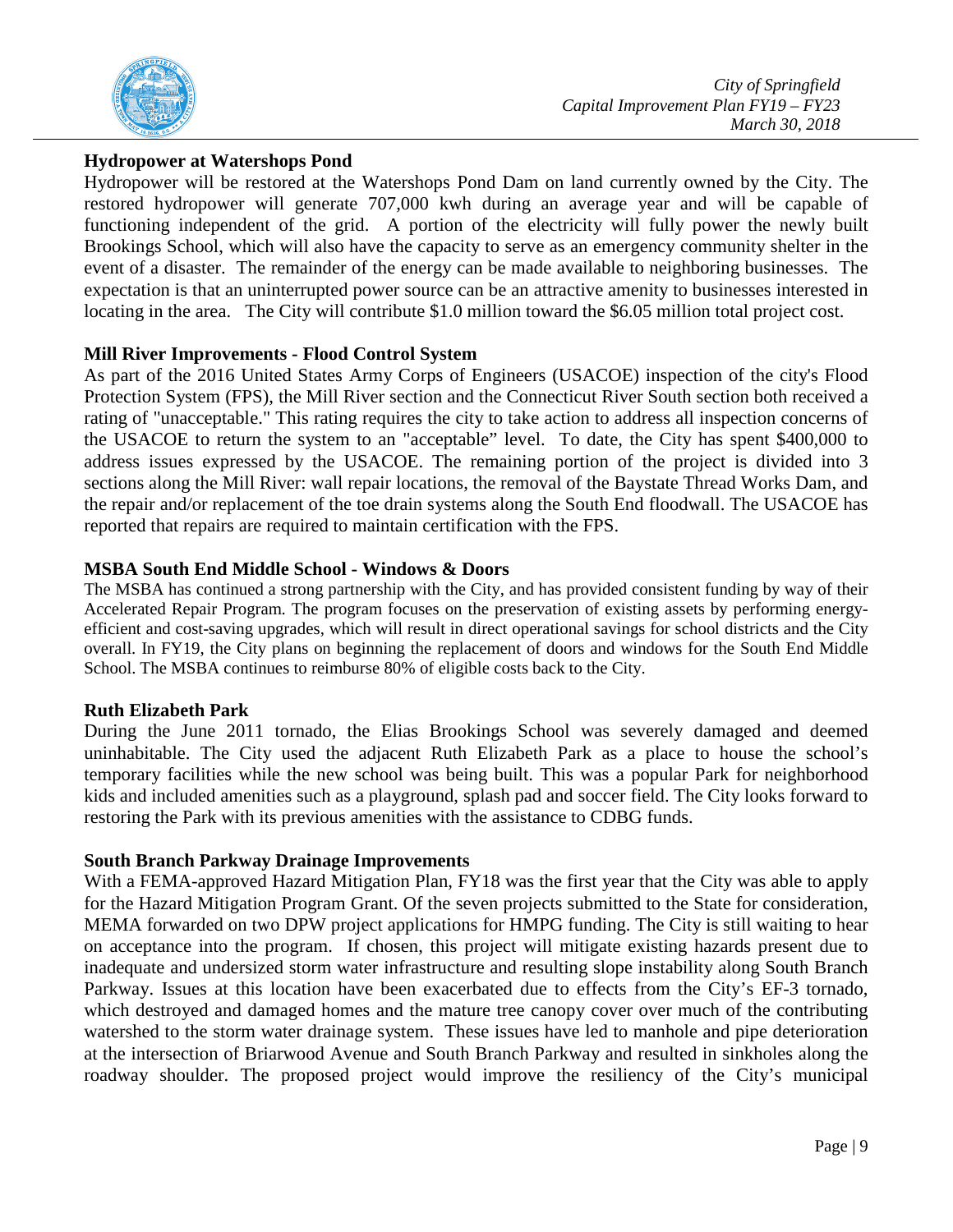

## **Hydropower at Watershops Pond**

Hydropower will be restored at the Watershops Pond Dam on land currently owned by the City. The restored hydropower will generate 707,000 kwh during an average year and will be capable of functioning independent of the grid. A portion of the electricity will fully power the newly built Brookings School, which will also have the capacity to serve as an emergency community shelter in the event of a disaster. The remainder of the energy can be made available to neighboring businesses. The expectation is that an uninterrupted power source can be an attractive amenity to businesses interested in locating in the area. The City will contribute \$1.0 million toward the \$6.05 million total project cost.

## **Mill River Improvements - Flood Control System**

As part of the 2016 United States Army Corps of Engineers (USACOE) inspection of the city's Flood Protection System (FPS), the Mill River section and the Connecticut River South section both received a rating of "unacceptable." This rating requires the city to take action to address all inspection concerns of the USACOE to return the system to an "acceptable" level. To date, the City has spent \$400,000 to address issues expressed by the USACOE. The remaining portion of the project is divided into 3 sections along the Mill River: wall repair locations, the removal of the Baystate Thread Works Dam, and the repair and/or replacement of the toe drain systems along the South End floodwall. The USACOE has reported that repairs are required to maintain certification with the FPS.

### **MSBA South End Middle School - Windows & Doors**

The MSBA has continued a strong partnership with the City, and has provided consistent funding by way of their Accelerated Repair Program. The program focuses on the preservation of existing assets by performing energyefficient and cost-saving upgrades, which will result in direct operational savings for school districts and the City overall. In FY19, the City plans on beginning the replacement of doors and windows for the South End Middle School. The MSBA continues to reimburse 80% of eligible costs back to the City.

## **Ruth Elizabeth Park**

During the June 2011 tornado, the Elias Brookings School was severely damaged and deemed uninhabitable. The City used the adjacent Ruth Elizabeth Park as a place to house the school's temporary facilities while the new school was being built. This was a popular Park for neighborhood kids and included amenities such as a playground, splash pad and soccer field. The City looks forward to restoring the Park with its previous amenities with the assistance to CDBG funds.

#### **South Branch Parkway Drainage Improvements**

With a FEMA-approved Hazard Mitigation Plan, FY18 was the first year that the City was able to apply for the Hazard Mitigation Program Grant. Of the seven projects submitted to the State for consideration, MEMA forwarded on two DPW project applications for HMPG funding. The City is still waiting to hear on acceptance into the program. If chosen, this project will mitigate existing hazards present due to inadequate and undersized storm water infrastructure and resulting slope instability along South Branch Parkway. Issues at this location have been exacerbated due to effects from the City's EF-3 tornado, which destroyed and damaged homes and the mature tree canopy cover over much of the contributing watershed to the storm water drainage system. These issues have led to manhole and pipe deterioration at the intersection of Briarwood Avenue and South Branch Parkway and resulted in sinkholes along the roadway shoulder. The proposed project would improve the resiliency of the City's municipal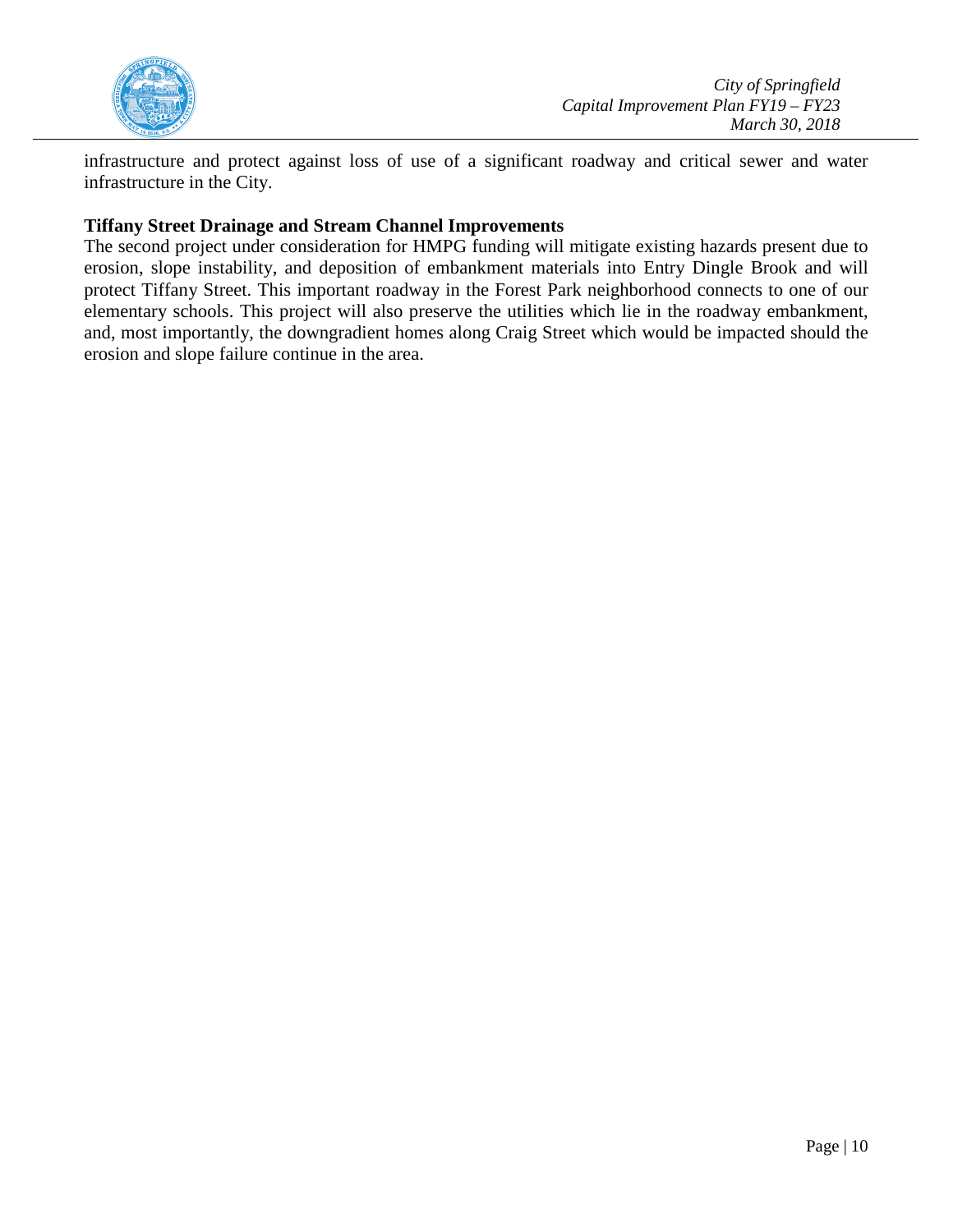

infrastructure and protect against loss of use of a significant roadway and critical sewer and water infrastructure in the City.

## **Tiffany Street Drainage and Stream Channel Improvements**

The second project under consideration for HMPG funding will mitigate existing hazards present due to erosion, slope instability, and deposition of embankment materials into Entry Dingle Brook and will protect Tiffany Street. This important roadway in the Forest Park neighborhood connects to one of our elementary schools. This project will also preserve the utilities which lie in the roadway embankment, and, most importantly, the downgradient homes along Craig Street which would be impacted should the erosion and slope failure continue in the area.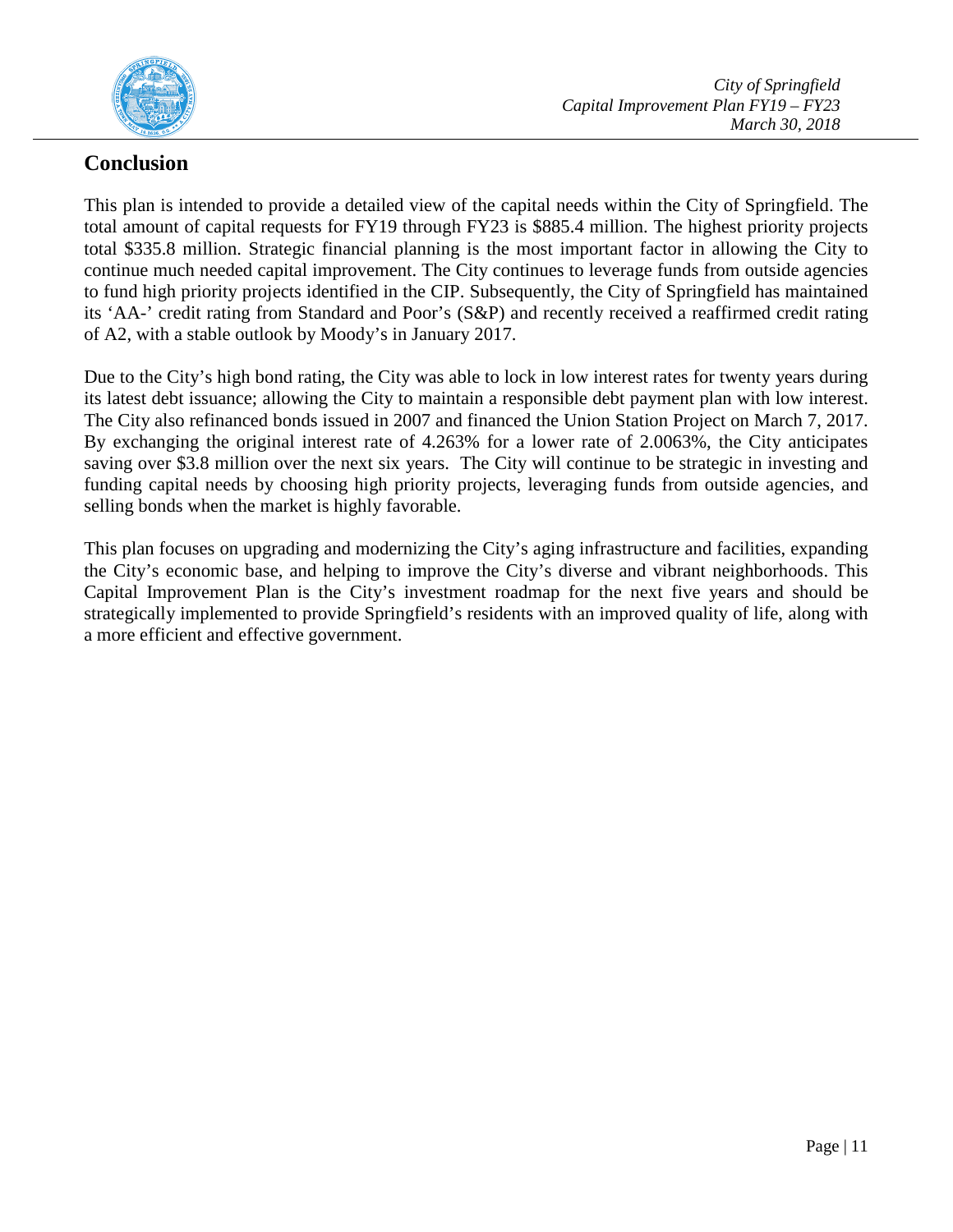

## **Conclusion**

This plan is intended to provide a detailed view of the capital needs within the City of Springfield. The total amount of capital requests for FY19 through FY23 is \$885.4 million. The highest priority projects total \$335.8 million. Strategic financial planning is the most important factor in allowing the City to continue much needed capital improvement. The City continues to leverage funds from outside agencies to fund high priority projects identified in the CIP. Subsequently, the City of Springfield has maintained its 'AA-' credit rating from Standard and Poor's (S&P) and recently received a reaffirmed credit rating of A2, with a stable outlook by Moody's in January 2017.

Due to the City's high bond rating, the City was able to lock in low interest rates for twenty years during its latest debt issuance; allowing the City to maintain a responsible debt payment plan with low interest. The City also refinanced bonds issued in 2007 and financed the Union Station Project on March 7, 2017. By exchanging the original interest rate of 4.263% for a lower rate of 2.0063%, the City anticipates saving over \$3.8 million over the next six years. The City will continue to be strategic in investing and funding capital needs by choosing high priority projects, leveraging funds from outside agencies, and selling bonds when the market is highly favorable.

This plan focuses on upgrading and modernizing the City's aging infrastructure and facilities, expanding the City's economic base, and helping to improve the City's diverse and vibrant neighborhoods. This Capital Improvement Plan is the City's investment roadmap for the next five years and should be strategically implemented to provide Springfield's residents with an improved quality of life, along with a more efficient and effective government.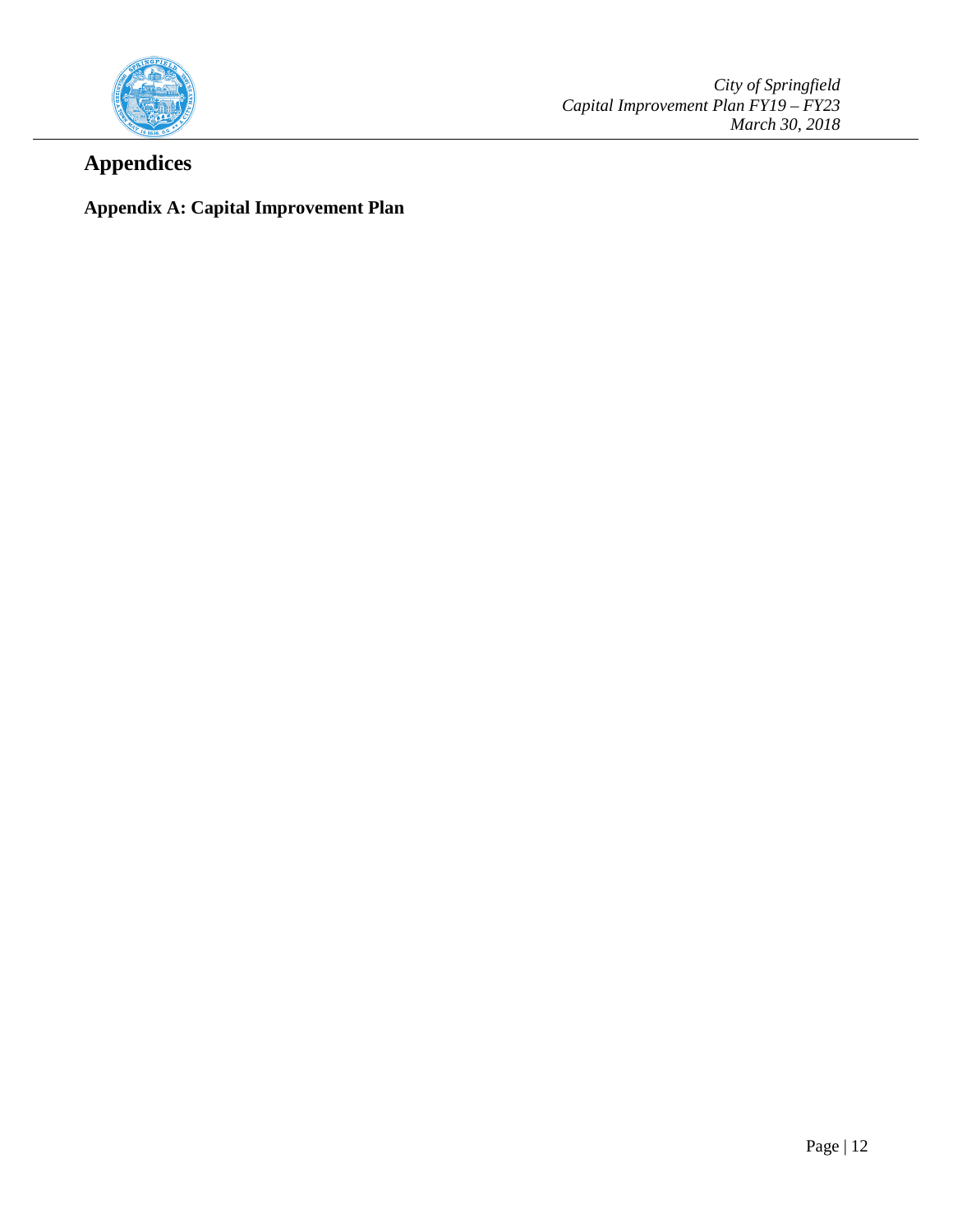

*City of Springfield Capital Improvement Plan FY19 – FY23 March 30, 2018*

## **Appendices**

## **Appendix A: Capital Improvement Plan**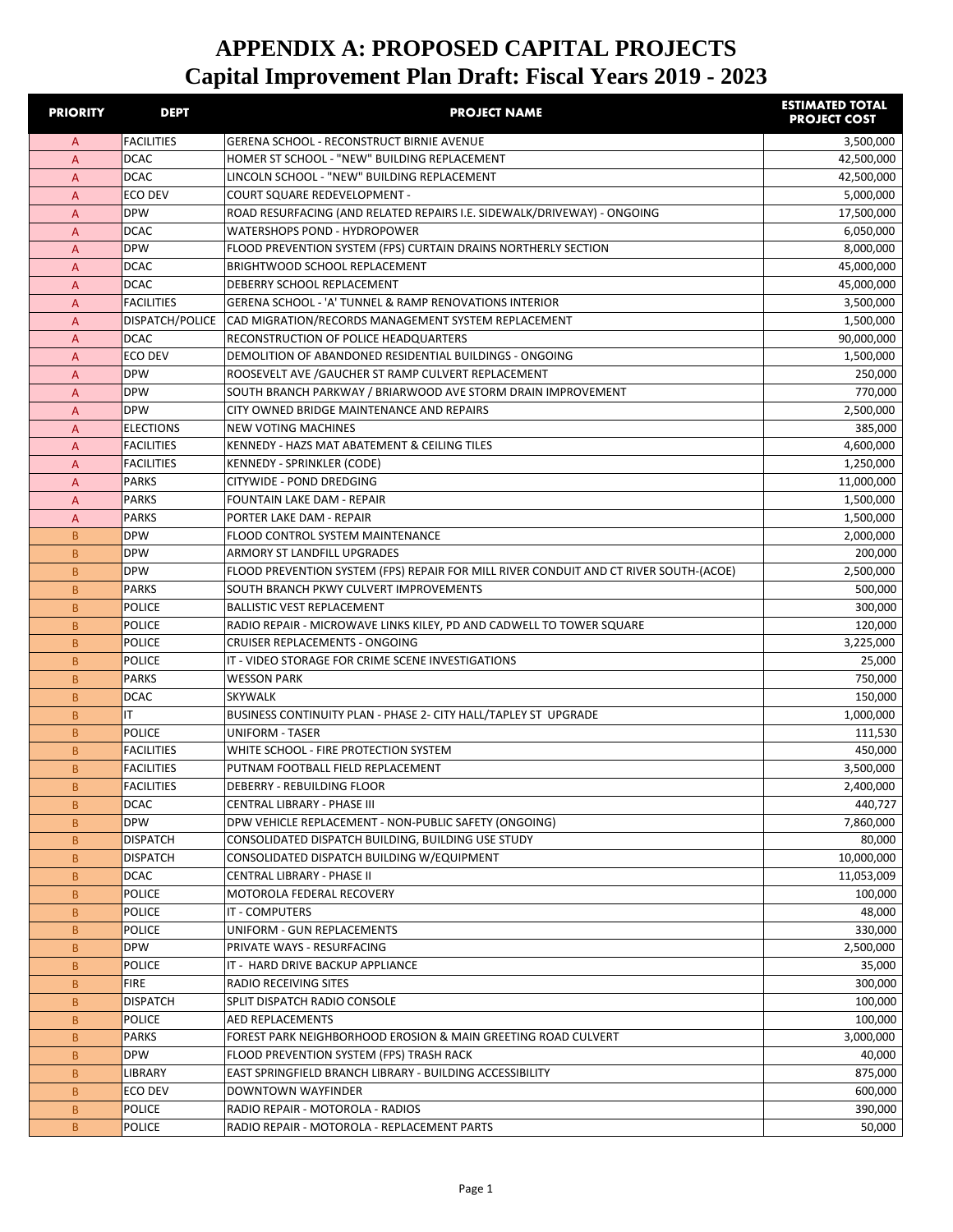| <b>PRIORITY</b>  | <b>DEPT</b>                    | <b>PROJECT NAME</b>                                                                                                 | <b>ESTIMATED TOTAL</b><br><b>PROJECT COST</b> |
|------------------|--------------------------------|---------------------------------------------------------------------------------------------------------------------|-----------------------------------------------|
| A                | <b>FACILITIES</b>              | <b>GERENA SCHOOL - RECONSTRUCT BIRNIE AVENUE</b>                                                                    | 3,500,000                                     |
| $\overline{A}$   | <b>DCAC</b>                    | HOMER ST SCHOOL - "NEW" BUILDING REPLACEMENT                                                                        | 42,500,000                                    |
| A                | <b>DCAC</b>                    | LINCOLN SCHOOL - "NEW" BUILDING REPLACEMENT                                                                         | 42,500,000                                    |
| A                | ECO DEV                        | <b>COURT SQUARE REDEVELOPMENT -</b>                                                                                 | 5,000,000                                     |
| $\overline{A}$   | <b>DPW</b>                     | ROAD RESURFACING (AND RELATED REPAIRS I.E. SIDEWALK/DRIVEWAY) - ONGOING                                             | 17,500,000                                    |
| A                | <b>DCAC</b>                    | WATERSHOPS POND - HYDROPOWER                                                                                        | 6,050,000                                     |
| A                | <b>DPW</b>                     | FLOOD PREVENTION SYSTEM (FPS) CURTAIN DRAINS NORTHERLY SECTION                                                      | 8,000,000                                     |
| A                | <b>DCAC</b>                    | <b>BRIGHTWOOD SCHOOL REPLACEMENT</b>                                                                                | 45,000,000                                    |
| A                | <b>DCAC</b>                    | DEBERRY SCHOOL REPLACEMENT                                                                                          | 45,000,000                                    |
| A                | <b>FACILITIES</b>              | GERENA SCHOOL - 'A' TUNNEL & RAMP RENOVATIONS INTERIOR                                                              | 3,500,000                                     |
| A                | DISPATCH/POLICE                | CAD MIGRATION/RECORDS MANAGEMENT SYSTEM REPLACEMENT                                                                 | 1,500,000                                     |
| A                | <b>DCAC</b>                    | RECONSTRUCTION OF POLICE HEADQUARTERS                                                                               | 90,000,000                                    |
| A                | ECO DEV                        | DEMOLITION OF ABANDONED RESIDENTIAL BUILDINGS - ONGOING                                                             | 1,500,000                                     |
| A                | <b>DPW</b><br><b>DPW</b>       | ROOSEVELT AVE / GAUCHER ST RAMP CULVERT REPLACEMENT<br>SOUTH BRANCH PARKWAY / BRIARWOOD AVE STORM DRAIN IMPROVEMENT | 250,000<br>770,000                            |
| A<br>A           | <b>DPW</b>                     | CITY OWNED BRIDGE MAINTENANCE AND REPAIRS                                                                           | 2,500,000                                     |
| A                | <b>ELECTIONS</b>               | <b>NEW VOTING MACHINES</b>                                                                                          | 385,000                                       |
| A                | <b>FACILITIES</b>              | KENNEDY - HAZS MAT ABATEMENT & CEILING TILES                                                                        | 4,600,000                                     |
| A                | <b>FACILITIES</b>              | <b>KENNEDY - SPRINKLER (CODE)</b>                                                                                   | 1,250,000                                     |
| A                | <b>PARKS</b>                   | <b>CITYWIDE - POND DREDGING</b>                                                                                     | 11,000,000                                    |
| A                | <b>PARKS</b>                   | FOUNTAIN LAKE DAM - REPAIR                                                                                          | 1,500,000                                     |
| A                | <b>PARKS</b>                   | PORTER LAKE DAM - REPAIR                                                                                            | 1,500,000                                     |
| B                | <b>DPW</b>                     | <b>FLOOD CONTROL SYSTEM MAINTENANCE</b>                                                                             | 2,000,000                                     |
| B.               | <b>DPW</b>                     | ARMORY ST LANDFILL UPGRADES                                                                                         | 200,000                                       |
| B.               | <b>DPW</b>                     | FLOOD PREVENTION SYSTEM (FPS) REPAIR FOR MILL RIVER CONDUIT AND CT RIVER SOUTH-(ACOE)                               | 2,500,000                                     |
| B.               | <b>PARKS</b>                   | SOUTH BRANCH PKWY CULVERT IMPROVEMENTS                                                                              | 500,000                                       |
| B                | POLICE                         | <b>BALLISTIC VEST REPLACEMENT</b>                                                                                   | 300,000                                       |
| B                | <b>POLICE</b>                  | RADIO REPAIR - MICROWAVE LINKS KILEY, PD AND CADWELL TO TOWER SQUARE                                                | 120,000                                       |
| B                | <b>POLICE</b>                  | <b>CRUISER REPLACEMENTS - ONGOING</b>                                                                               | 3,225,000                                     |
| B                | POLICE                         | IT - VIDEO STORAGE FOR CRIME SCENE INVESTIGATIONS                                                                   | 25,000                                        |
| B.               | <b>PARKS</b>                   | <b>WESSON PARK</b>                                                                                                  | 750,000                                       |
| B.               | <b>DCAC</b>                    | <b>SKYWALK</b>                                                                                                      | 150,000                                       |
| B.               | IT                             | BUSINESS CONTINUITY PLAN - PHASE 2- CITY HALL/TAPLEY ST UPGRADE                                                     | 1,000,000                                     |
| B.               | <b>POLICE</b>                  | <b>UNIFORM - TASER</b>                                                                                              | 111,530                                       |
| B                | <b>FACILITIES</b>              | WHITE SCHOOL - FIRE PROTECTION SYSTEM                                                                               | 450,000                                       |
| B                | <b>FACILITIES</b>              | PUTNAM FOOTBALL FIELD REPLACEMENT                                                                                   | 3,500,000                                     |
| B.               | <b>FACILITIES</b>              | DEBERRY - REBUILDING FLOOR                                                                                          | 2,400,000                                     |
| B                | <b>DCAC</b>                    | CENTRAL LIBRARY - PHASE III                                                                                         | 440,727                                       |
| B.               | <b>DPW</b>                     | DPW VEHICLE REPLACEMENT - NON-PUBLIC SAFETY (ONGOING)                                                               | 7,860,000                                     |
| B                | <b>DISPATCH</b>                | CONSOLIDATED DISPATCH BUILDING, BUILDING USE STUDY                                                                  | 80,000                                        |
| B                | <b>DISPATCH</b>                | CONSOLIDATED DISPATCH BUILDING W/EQUIPMENT                                                                          | 10,000,000                                    |
| B                | <b>DCAC</b>                    | CENTRAL LIBRARY - PHASE II                                                                                          | 11,053,009                                    |
| B                | POLICE                         | MOTOROLA FEDERAL RECOVERY                                                                                           | 100,000                                       |
| B                | <b>POLICE</b>                  | IT - COMPUTERS                                                                                                      | 48,000                                        |
| B                | <b>POLICE</b>                  | UNIFORM - GUN REPLACEMENTS                                                                                          | 330,000                                       |
| B                | <b>DPW</b><br><b>POLICE</b>    | PRIVATE WAYS - RESURFACING<br>IT - HARD DRIVE BACKUP APPLIANCE                                                      | 2,500,000                                     |
| B                |                                |                                                                                                                     | 35,000                                        |
| B<br>$\mathsf B$ | <b>FIRE</b><br><b>DISPATCH</b> | RADIO RECEIVING SITES<br>SPLIT DISPATCH RADIO CONSOLE                                                               | 300,000<br>100,000                            |
|                  | <b>POLICE</b>                  |                                                                                                                     |                                               |
| B<br>B           | <b>PARKS</b>                   | <b>AED REPLACEMENTS</b><br>FOREST PARK NEIGHBORHOOD EROSION & MAIN GREETING ROAD CULVERT                            | 100,000<br>3,000,000                          |
| B                | <b>DPW</b>                     | FLOOD PREVENTION SYSTEM (FPS) TRASH RACK                                                                            | 40,000                                        |
| B                | LIBRARY                        | EAST SPRINGFIELD BRANCH LIBRARY - BUILDING ACCESSIBILITY                                                            | 875,000                                       |
| B                | ECO DEV                        | DOWNTOWN WAYFINDER                                                                                                  | 600,000                                       |
| B                | <b>POLICE</b>                  | RADIO REPAIR - MOTOROLA - RADIOS                                                                                    | 390,000                                       |
| B                | <b>POLICE</b>                  | RADIO REPAIR - MOTOROLA - REPLACEMENT PARTS                                                                         | 50,000                                        |
|                  |                                |                                                                                                                     |                                               |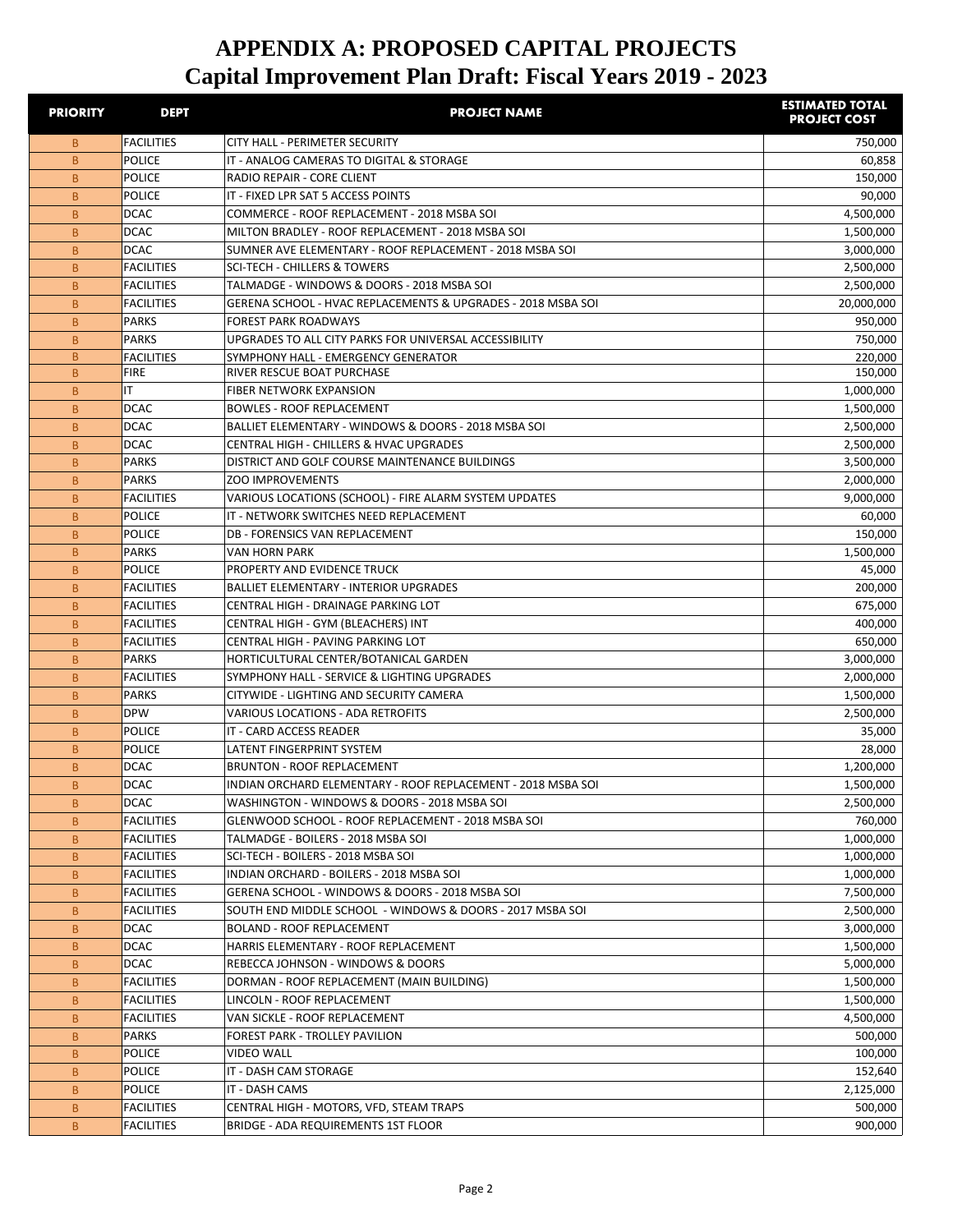| <b>PRIORITY</b> | <b>DEPT</b>                            | <b>PROJECT NAME</b>                                                                                          | <b>ESTIMATED TOTAL</b><br><b>PROJECT COST</b> |
|-----------------|----------------------------------------|--------------------------------------------------------------------------------------------------------------|-----------------------------------------------|
| B.              | <b>FACILITIES</b>                      | <b>CITY HALL - PERIMETER SECURITY</b>                                                                        | 750,000                                       |
| <sub>B</sub>    | <b>POLICE</b>                          | IT - ANALOG CAMERAS TO DIGITAL & STORAGE                                                                     | 60,858                                        |
| B               | <b>POLICE</b>                          | RADIO REPAIR - CORE CLIENT                                                                                   | 150,000                                       |
| B               | <b>POLICE</b>                          | IT - FIXED LPR SAT 5 ACCESS POINTS                                                                           | 90,000                                        |
| <sub>B</sub>    | <b>DCAC</b>                            | COMMERCE - ROOF REPLACEMENT - 2018 MSBA SOI                                                                  | 4,500,000                                     |
| B               | <b>DCAC</b>                            | MILTON BRADLEY - ROOF REPLACEMENT - 2018 MSBA SOI                                                            | 1,500,000                                     |
| B               | <b>DCAC</b>                            | SUMNER AVE ELEMENTARY - ROOF REPLACEMENT - 2018 MSBA SOL                                                     | 3,000,000                                     |
| B               | <b>FACILITIES</b>                      | <b>SCI-TECH - CHILLERS &amp; TOWERS</b>                                                                      | 2,500,000                                     |
| B               | <b>FACILITIES</b>                      | TALMADGE - WINDOWS & DOORS - 2018 MSBA SOI                                                                   | 2,500,000                                     |
| B               | <b>FACILITIES</b>                      | GERENA SCHOOL - HVAC REPLACEMENTS & UPGRADES - 2018 MSBA SOI                                                 | 20,000,000                                    |
| B               | <b>PARKS</b>                           | <b>FOREST PARK ROADWAYS</b>                                                                                  | 950,000                                       |
| <sub>B</sub>    | <b>PARKS</b>                           | UPGRADES TO ALL CITY PARKS FOR UNIVERSAL ACCESSIBILITY                                                       | 750,000                                       |
| B.              | <b>FACILITIES</b>                      | SYMPHONY HALL - EMERGENCY GENERATOR                                                                          | 220,000                                       |
| <sub>B</sub>    | <b>FIRE</b>                            | RIVER RESCUE BOAT PURCHASE                                                                                   | 150,000                                       |
| <sub>B</sub>    | IT                                     | <b>FIBER NETWORK EXPANSION</b>                                                                               | 1,000,000                                     |
| B.              | <b>DCAC</b>                            | <b>BOWLES - ROOF REPLACEMENT</b>                                                                             | 1,500,000                                     |
| <sub>B</sub>    | <b>DCAC</b>                            | BALLIET ELEMENTARY - WINDOWS & DOORS - 2018 MSBA SOI                                                         | 2,500,000                                     |
| B               | <b>DCAC</b>                            | <b>CENTRAL HIGH - CHILLERS &amp; HVAC UPGRADES</b>                                                           | 2,500,000                                     |
| B               | <b>PARKS</b>                           | DISTRICT AND GOLF COURSE MAINTENANCE BUILDINGS                                                               | 3,500,000                                     |
| <sub>B</sub>    | <b>PARKS</b>                           | <b>ZOO IMPROVEMENTS</b>                                                                                      | 2,000,000                                     |
| <sub>B</sub>    | <b>FACILITIES</b>                      | VARIOUS LOCATIONS (SCHOOL) - FIRE ALARM SYSTEM UPDATES                                                       | 9,000,000                                     |
| <sub>B</sub>    | <b>POLICE</b>                          | IT - NETWORK SWITCHES NEED REPLACEMENT                                                                       | 60,000                                        |
| <sub>B</sub>    | <b>POLICE</b>                          | DB - FORENSICS VAN REPLACEMENT                                                                               | 150,000                                       |
| <sub>B</sub>    | <b>PARKS</b>                           | VAN HORN PARK                                                                                                | 1,500,000                                     |
| B               | <b>POLICE</b>                          | PROPERTY AND EVIDENCE TRUCK                                                                                  | 45,000                                        |
| B               | <b>FACILITIES</b>                      | <b>BALLIET ELEMENTARY - INTERIOR UPGRADES</b>                                                                | 200,000                                       |
| B               | <b>FACILITIES</b>                      | CENTRAL HIGH - DRAINAGE PARKING LOT                                                                          | 675,000                                       |
| B               | <b>FACILITIES</b>                      | CENTRAL HIGH - GYM (BLEACHERS) INT                                                                           | 400,000                                       |
| B               | <b>FACILITIES</b>                      | CENTRAL HIGH - PAVING PARKING LOT                                                                            | 650,000                                       |
| B.              | <b>PARKS</b>                           | HORTICULTURAL CENTER/BOTANICAL GARDEN                                                                        | 3,000,000                                     |
| B               | <b>FACILITIES</b>                      | SYMPHONY HALL - SERVICE & LIGHTING UPGRADES                                                                  | 2,000,000                                     |
| B               | PARKS                                  | CITYWIDE - LIGHTING AND SECURITY CAMERA                                                                      | 1,500,000                                     |
| B               | <b>DPW</b>                             | <b>VARIOUS LOCATIONS - ADA RETROFITS</b>                                                                     | 2,500,000                                     |
| B               | <b>POLICE</b>                          | IT - CARD ACCESS READER                                                                                      | 35,000                                        |
| B               | <b>POLICE</b>                          | LATENT FINGERPRINT SYSTEM                                                                                    | 28,000                                        |
| B               | <b>DCAC</b>                            | <b>BRUNTON - ROOF REPLACEMENT</b>                                                                            | 1,200,000                                     |
| B               | <b>DCAC</b>                            | INDIAN ORCHARD ELEMENTARY - ROOF REPLACEMENT - 2018 MSBA SOI                                                 | 1,500,000                                     |
| B               | <b>DCAC</b>                            | WASHINGTON - WINDOWS & DOORS - 2018 MSBA SOI<br>GLENWOOD SCHOOL - ROOF REPLACEMENT - 2018 MSBA SOI           | 2,500,000                                     |
| B               | <b>FACILITIES</b>                      |                                                                                                              | 760,000                                       |
| B               | <b>FACILITIES</b>                      | TALMADGE - BOILERS - 2018 MSBA SOI                                                                           | 1,000,000<br>1,000,000                        |
| B.              | <b>FACILITIES</b>                      | SCI-TECH - BOILERS - 2018 MSBA SOI<br>INDIAN ORCHARD - BOILERS - 2018 MSBA SOI                               |                                               |
| B.              | <b>FACILITIES</b>                      |                                                                                                              | 1,000,000                                     |
| B.              | <b>FACILITIES</b><br><b>FACILITIES</b> | GERENA SCHOOL - WINDOWS & DOORS - 2018 MSBA SOI<br>SOUTH END MIDDLE SCHOOL - WINDOWS & DOORS - 2017 MSBA SOL | 7,500,000                                     |
| B.              | <b>DCAC</b>                            | <b>BOLAND - ROOF REPLACEMENT</b>                                                                             | 2,500,000<br>3,000,000                        |
| B               | <b>DCAC</b>                            | HARRIS ELEMENTARY - ROOF REPLACEMENT                                                                         |                                               |
| B               |                                        |                                                                                                              | 1,500,000                                     |
| B.              | <b>DCAC</b>                            | REBECCA JOHNSON - WINDOWS & DOORS                                                                            | 5,000,000                                     |
| B.              | <b>FACILITIES</b>                      | DORMAN - ROOF REPLACEMENT (MAIN BUILDING)                                                                    | 1,500,000                                     |
| B               | <b>FACILITIES</b>                      | LINCOLN - ROOF REPLACEMENT                                                                                   | 1,500,000                                     |
| B               | <b>FACILITIES</b>                      | VAN SICKLE - ROOF REPLACEMENT                                                                                | 4,500,000                                     |
| B               | <b>PARKS</b>                           | FOREST PARK - TROLLEY PAVILION                                                                               | 500,000                                       |
| B.              | <b>POLICE</b>                          | <b>VIDEO WALL</b>                                                                                            | 100,000                                       |
| B               | <b>POLICE</b>                          | IT - DASH CAM STORAGE                                                                                        | 152,640                                       |
| B               | <b>POLICE</b>                          | IT - DASH CAMS                                                                                               | 2,125,000                                     |
| B.              | <b>FACILITIES</b>                      | CENTRAL HIGH - MOTORS, VFD, STEAM TRAPS                                                                      | 500,000                                       |
| B.              | <b>FACILITIES</b>                      | BRIDGE - ADA REQUIREMENTS 1ST FLOOR                                                                          | 900,000                                       |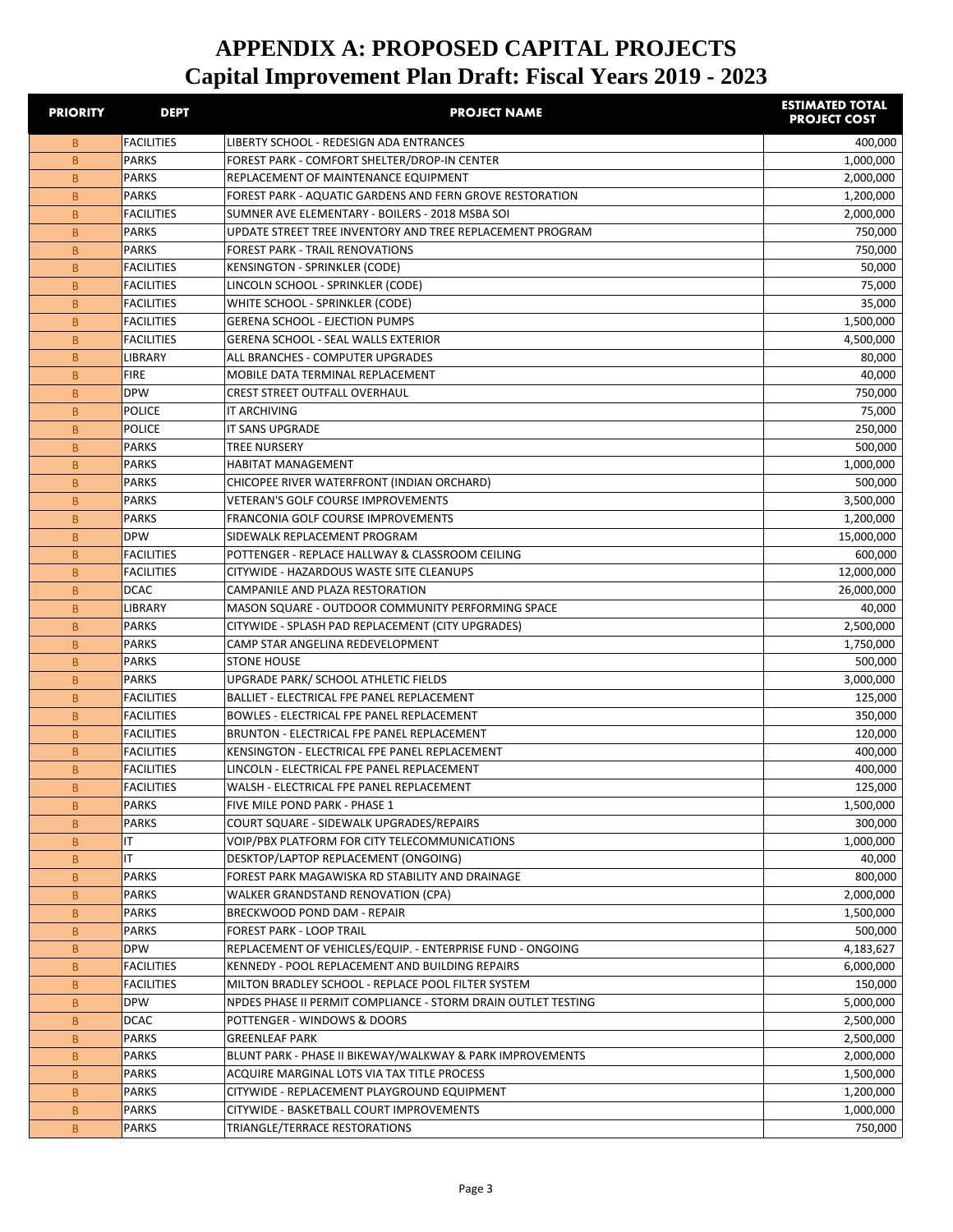| <b>PRIORITY</b> | <b>DEPT</b>       | <b>PROJECT NAME</b>                                           | <b>ESTIMATED TOTAL</b><br><b>PROJECT COST</b> |
|-----------------|-------------------|---------------------------------------------------------------|-----------------------------------------------|
| B               | <b>FACILITIES</b> | <b>LIBERTY SCHOOL - REDESIGN ADA ENTRANCES</b>                | 400,000                                       |
| B.              | <b>PARKS</b>      | FOREST PARK - COMFORT SHELTER/DROP-IN CENTER                  | 1,000,000                                     |
| B               | <b>PARKS</b>      | REPLACEMENT OF MAINTENANCE EQUIPMENT                          | 2,000,000                                     |
| B               | <b>PARKS</b>      | FOREST PARK - AQUATIC GARDENS AND FERN GROVE RESTORATION      | 1,200,000                                     |
| B               | <b>FACILITIES</b> | SUMNER AVE ELEMENTARY - BOILERS - 2018 MSBA SOI               | 2,000,000                                     |
| B.              | <b>PARKS</b>      | UPDATE STREET TREE INVENTORY AND TREE REPLACEMENT PROGRAM     | 750,000                                       |
| B.              | <b>PARKS</b>      | <b>FOREST PARK - TRAIL RENOVATIONS</b>                        | 750,000                                       |
| B.              | <b>FACILITIES</b> | <b>KENSINGTON - SPRINKLER (CODE)</b>                          | 50,000                                        |
| B.              | <b>FACILITIES</b> | LINCOLN SCHOOL - SPRINKLER (CODE)                             | 75,000                                        |
| B               | <b>FACILITIES</b> | WHITE SCHOOL - SPRINKLER (CODE)                               | 35,000                                        |
| B               | <b>FACILITIES</b> | <b>GERENA SCHOOL - EJECTION PUMPS</b>                         | 1,500,000                                     |
| B.              | <b>FACILITIES</b> | <b>GERENA SCHOOL - SEAL WALLS EXTERIOR</b>                    | 4,500,000                                     |
| B.              | LIBRARY           | ALL BRANCHES - COMPUTER UPGRADES                              | 80,000                                        |
| B.              | <b>FIRE</b>       | MOBILE DATA TERMINAL REPLACEMENT                              | 40,000                                        |
| B               | <b>DPW</b>        | <b>CREST STREET OUTFALL OVERHAUL</b>                          | 750,000                                       |
| B               | <b>POLICE</b>     | <b>IT ARCHIVING</b>                                           | 75,000                                        |
| B               | <b>POLICE</b>     | <b>IT SANS UPGRADE</b>                                        | 250,000                                       |
| B               | <b>PARKS</b>      | <b>TREE NURSERY</b>                                           | 500,000                                       |
| B.              | <b>PARKS</b>      | <b>HABITAT MANAGEMENT</b>                                     | 1,000,000                                     |
| B.              | <b>PARKS</b>      | CHICOPEE RIVER WATERFRONT (INDIAN ORCHARD)                    | 500,000                                       |
| B.              | <b>PARKS</b>      | <b>VETERAN'S GOLF COURSE IMPROVEMENTS</b>                     | 3,500,000                                     |
| B.              | <b>PARKS</b>      | <b>FRANCONIA GOLF COURSE IMPROVEMENTS</b>                     | 1,200,000                                     |
| B               | <b>DPW</b>        | SIDEWALK REPLACEMENT PROGRAM                                  | 15,000,000                                    |
| B               | <b>FACILITIES</b> | POTTENGER - REPLACE HALLWAY & CLASSROOM CEILING               | 600,000                                       |
| B.              | <b>FACILITIES</b> | CITYWIDE - HAZARDOUS WASTE SITE CLEANUPS                      | 12,000,000                                    |
| B.              | <b>DCAC</b>       | CAMPANILE AND PLAZA RESTORATION                               | 26,000,000                                    |
| B.              | LIBRARY           | MASON SQUARE - OUTDOOR COMMUNITY PERFORMING SPACE             | 40,000                                        |
| B               | <b>PARKS</b>      | CITYWIDE - SPLASH PAD REPLACEMENT (CITY UPGRADES)             | 2,500,000                                     |
| B               | <b>PARKS</b>      | CAMP STAR ANGELINA REDEVELOPMENT                              | 1,750,000                                     |
| B               | <b>PARKS</b>      | <b>STONE HOUSE</b>                                            | 500,000                                       |
| B.              | <b>PARKS</b>      | UPGRADE PARK/ SCHOOL ATHLETIC FIELDS                          | 3,000,000                                     |
| B.              | <b>FACILITIES</b> | BALLIET - ELECTRICAL FPE PANEL REPLACEMENT                    | 125,000                                       |
| B.              | <b>FACILITIES</b> | <b>BOWLES - ELECTRICAL FPE PANEL REPLACEMENT</b>              | 350,000                                       |
| B.              | <b>FACILITIES</b> | BRUNTON - ELECTRICAL FPE PANEL REPLACEMENT                    | 120,000                                       |
| B               | <b>FACILITIES</b> | KENSINGTON - ELECTRICAL FPE PANEL REPLACEMENT                 | 400,000                                       |
| B               | <b>FACILITIES</b> | LINCOLN - ELECTRICAL FPE PANEL REPLACEMENT                    | 400,000                                       |
| B               | <b>FACILITIES</b> | WALSH - ELECTRICAL FPE PANEL REPLACEMENT                      | 125,000                                       |
| B               | <b>PARKS</b>      | FIVE MILE POND PARK - PHASE 1                                 | 1,500,000                                     |
| B               | <b>PARKS</b>      | COURT SQUARE - SIDEWALK UPGRADES/REPAIRS                      | 300,000                                       |
| $\mathsf B$     | IT.               | VOIP/PBX PLATFORM FOR CITY TELECOMMUNICATIONS                 | 1,000,000                                     |
| B               | IT.               | DESKTOP/LAPTOP REPLACEMENT (ONGOING)                          | 40,000                                        |
| B               | <b>PARKS</b>      | FOREST PARK MAGAWISKA RD STABILITY AND DRAINAGE               | 800,000                                       |
| B               | <b>PARKS</b>      | <b>WALKER GRANDSTAND RENOVATION (CPA)</b>                     | 2,000,000                                     |
| B               | <b>PARKS</b>      | <b>BRECKWOOD POND DAM - REPAIR</b>                            | 1,500,000                                     |
| B               | <b>PARKS</b>      | <b>FOREST PARK - LOOP TRAIL</b>                               | 500,000                                       |
| B               | <b>DPW</b>        | REPLACEMENT OF VEHICLES/EQUIP. - ENTERPRISE FUND - ONGOING    | 4,183,627                                     |
| B               | <b>FACILITIES</b> | KENNEDY - POOL REPLACEMENT AND BUILDING REPAIRS               | 6,000,000                                     |
| B               | <b>FACILITIES</b> | MILTON BRADLEY SCHOOL - REPLACE POOL FILTER SYSTEM            | 150,000                                       |
| B               | <b>DPW</b>        | NPDES PHASE II PERMIT COMPLIANCE - STORM DRAIN OUTLET TESTING | 5,000,000                                     |
| B               | <b>DCAC</b>       | POTTENGER - WINDOWS & DOORS                                   | 2,500,000                                     |
| B               | <b>PARKS</b>      | <b>GREENLEAF PARK</b>                                         | 2,500,000                                     |
| B.              | <b>PARKS</b>      | BLUNT PARK - PHASE II BIKEWAY/WALKWAY & PARK IMPROVEMENTS     | 2,000,000                                     |
| B               | <b>PARKS</b>      | ACQUIRE MARGINAL LOTS VIA TAX TITLE PROCESS                   | 1,500,000                                     |
| B               | <b>PARKS</b>      | CITYWIDE - REPLACEMENT PLAYGROUND EQUIPMENT                   | 1,200,000                                     |
| B               | <b>PARKS</b>      | CITYWIDE - BASKETBALL COURT IMPROVEMENTS                      | 1,000,000                                     |
| B               | <b>PARKS</b>      | TRIANGLE/TERRACE RESTORATIONS                                 | 750,000                                       |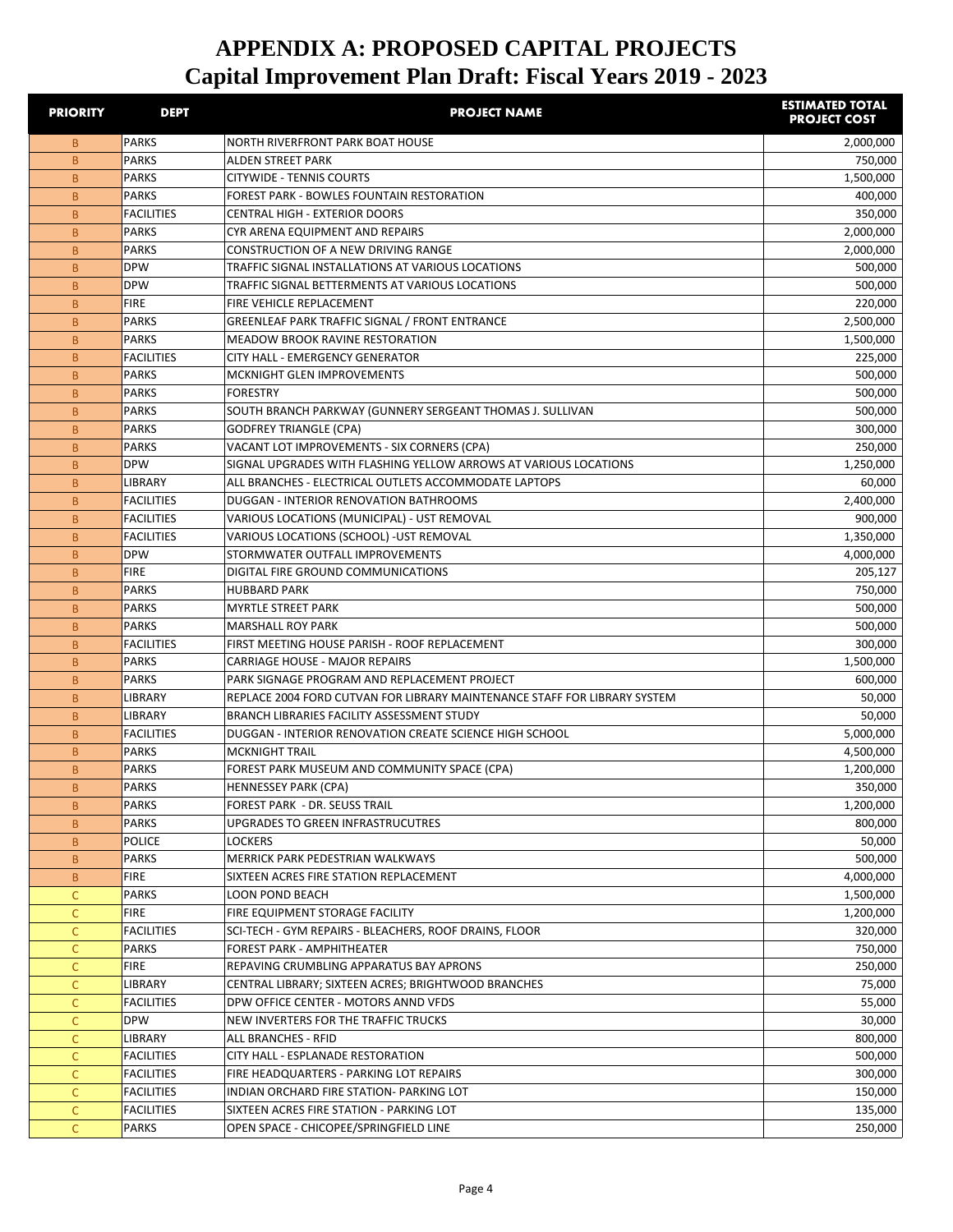| <b>PRIORITY</b> | <b>DEPT</b>           | <b>PROJECT NAME</b>                                                                             | <b>ESTIMATED TOTAL</b><br><b>PROJECT COST</b> |
|-----------------|-----------------------|-------------------------------------------------------------------------------------------------|-----------------------------------------------|
| B.              | PARKS                 | NORTH RIVERFRONT PARK BOAT HOUSE                                                                | 2,000,000                                     |
| B               | <b>PARKS</b>          | ALDEN STREET PARK                                                                               | 750,000                                       |
| B               | <b>PARKS</b>          | <b>CITYWIDE - TENNIS COURTS</b>                                                                 | 1,500,000                                     |
| B               | PARKS                 | <b>FOREST PARK - BOWLES FOUNTAIN RESTORATION</b>                                                | 400,000                                       |
| B               | <b>FACILITIES</b>     | CENTRAL HIGH - EXTERIOR DOORS                                                                   | 350,000                                       |
| B               | <b>PARKS</b>          | CYR ARENA EQUIPMENT AND REPAIRS                                                                 | 2,000,000                                     |
| B               | <b>PARKS</b>          | CONSTRUCTION OF A NEW DRIVING RANGE                                                             | 2,000,000                                     |
| B               | <b>DPW</b>            | TRAFFIC SIGNAL INSTALLATIONS AT VARIOUS LOCATIONS                                               | 500,000                                       |
| B               | <b>DPW</b>            | TRAFFIC SIGNAL BETTERMENTS AT VARIOUS LOCATIONS                                                 | 500.000                                       |
| B               | <b>FIRE</b>           | FIRE VEHICLE REPLACEMENT                                                                        | 220,000                                       |
| B               | <b>PARKS</b>          | <b>GREENLEAF PARK TRAFFIC SIGNAL / FRONT ENTRANCE</b>                                           | 2,500,000                                     |
| B               | <b>PARKS</b>          | <b>MEADOW BROOK RAVINE RESTORATION</b>                                                          | 1,500,000                                     |
| B               | <b>FACILITIES</b>     | CITY HALL - EMERGENCY GENERATOR                                                                 | 225,000                                       |
| B               | <b>PARKS</b>          | MCKNIGHT GLEN IMPROVEMENTS                                                                      | 500,000                                       |
| B               | <b>PARKS</b>          | <b>FORESTRY</b>                                                                                 | 500,000                                       |
| B               | <b>PARKS</b>          | SOUTH BRANCH PARKWAY (GUNNERY SERGEANT THOMAS J. SULLIVAN                                       | 500,000                                       |
| B               | <b>PARKS</b>          | <b>GODFREY TRIANGLE (CPA)</b>                                                                   | 300,000                                       |
| B.              | <b>PARKS</b>          | VACANT LOT IMPROVEMENTS - SIX CORNERS (CPA)                                                     | 250,000                                       |
| B               | <b>DPW</b><br>LIBRARY | SIGNAL UPGRADES WITH FLASHING YELLOW ARROWS AT VARIOUS LOCATIONS                                | 1,250,000                                     |
| B.              | <b>FACILITIES</b>     | ALL BRANCHES - ELECTRICAL OUTLETS ACCOMMODATE LAPTOPS<br>DUGGAN - INTERIOR RENOVATION BATHROOMS | 60,000<br>2,400,000                           |
| B<br>B          | <b>FACILITIES</b>     | VARIOUS LOCATIONS (MUNICIPAL) - UST REMOVAL                                                     | 900,000                                       |
| B               | <b>FACILITIES</b>     | VARIOUS LOCATIONS (SCHOOL) -UST REMOVAL                                                         | 1,350,000                                     |
| B               | <b>DPW</b>            | STORMWATER OUTFALL IMPROVEMENTS                                                                 | 4,000,000                                     |
| B               | <b>FIRE</b>           | DIGITAL FIRE GROUND COMMUNICATIONS                                                              | 205,127                                       |
| B               | <b>PARKS</b>          | <b>HUBBARD PARK</b>                                                                             | 750,000                                       |
| B               | <b>PARKS</b>          | <b>MYRTLE STREET PARK</b>                                                                       | 500,000                                       |
| B               | <b>PARKS</b>          | <b>MARSHALL ROY PARK</b>                                                                        | 500,000                                       |
| B               | <b>FACILITIES</b>     | FIRST MEETING HOUSE PARISH - ROOF REPLACEMENT                                                   | 300,000                                       |
| B               | <b>PARKS</b>          | <b>CARRIAGE HOUSE - MAJOR REPAIRS</b>                                                           | 1,500,000                                     |
| B               | <b>PARKS</b>          | PARK SIGNAGE PROGRAM AND REPLACEMENT PROJECT                                                    | 600,000                                       |
| B               | LIBRARY               | REPLACE 2004 FORD CUTVAN FOR LIBRARY MAINTENANCE STAFF FOR LIBRARY SYSTEM                       | 50,000                                        |
| B               | <b>LIBRARY</b>        | BRANCH LIBRARIES FACILITY ASSESSMENT STUDY                                                      | 50,000                                        |
| B               | <b>FACILITIES</b>     | DUGGAN - INTERIOR RENOVATION CREATE SCIENCE HIGH SCHOOL                                         | 5,000,000                                     |
| B               | <b>PARKS</b>          | <b>MCKNIGHT TRAIL</b>                                                                           | 4,500,000                                     |
| B               | <b>PARKS</b>          | FOREST PARK MUSEUM AND COMMUNITY SPACE (CPA)                                                    | 1,200,000                                     |
| B.              | <b>PARKS</b>          | HENNESSEY PARK (CPA)                                                                            | 350,000                                       |
| B               | <b>PARKS</b>          | FOREST PARK - DR. SEUSS TRAIL                                                                   | 1,200,000                                     |
| B               | <b>PARKS</b>          | UPGRADES TO GREEN INFRASTRUCUTRES                                                               | 800,000                                       |
| B               | <b>POLICE</b>         | LOCKERS                                                                                         | 50,000                                        |
| B.              | <b>PARKS</b>          | MERRICK PARK PEDESTRIAN WALKWAYS                                                                | 500,000                                       |
| B               | <b>FIRE</b>           | SIXTEEN ACRES FIRE STATION REPLACEMENT                                                          | 4,000,000                                     |
| $\mathsf{C}$    | PARKS                 | <b>LOON POND BEACH</b>                                                                          | 1,500,000                                     |
| C               | <b>FIRE</b>           | FIRE EQUIPMENT STORAGE FACILITY                                                                 | 1,200,000                                     |
| C               | <b>FACILITIES</b>     | SCI-TECH - GYM REPAIRS - BLEACHERS, ROOF DRAINS, FLOOR                                          | 320,000                                       |
| C               | PARKS                 | <b>FOREST PARK - AMPHITHEATER</b>                                                               | 750,000                                       |
| С               | <b>FIRE</b>           | REPAVING CRUMBLING APPARATUS BAY APRONS                                                         | 250,000                                       |
| C               | <b>LIBRARY</b>        | CENTRAL LIBRARY; SIXTEEN ACRES; BRIGHTWOOD BRANCHES                                             | 75,000                                        |
| C               | <b>FACILITIES</b>     | DPW OFFICE CENTER - MOTORS ANND VFDS                                                            | 55,000                                        |
| C               | <b>DPW</b>            | NEW INVERTERS FOR THE TRAFFIC TRUCKS                                                            | 30,000                                        |
| $\mathsf{C}$    | <b>LIBRARY</b>        | ALL BRANCHES - RFID                                                                             | 800,000                                       |
| C               | <b>FACILITIES</b>     | CITY HALL - ESPLANADE RESTORATION                                                               | 500,000                                       |
| C               | <b>FACILITIES</b>     | FIRE HEADQUARTERS - PARKING LOT REPAIRS                                                         | 300,000                                       |
| $\mathsf{C}$    | <b>FACILITIES</b>     | INDIAN ORCHARD FIRE STATION- PARKING LOT                                                        | 150,000                                       |
| $\mathsf{C}$    | <b>FACILITIES</b>     | SIXTEEN ACRES FIRE STATION - PARKING LOT                                                        | 135,000                                       |
| C               | <b>PARKS</b>          | OPEN SPACE - CHICOPEE/SPRINGFIELD LINE                                                          | 250,000                                       |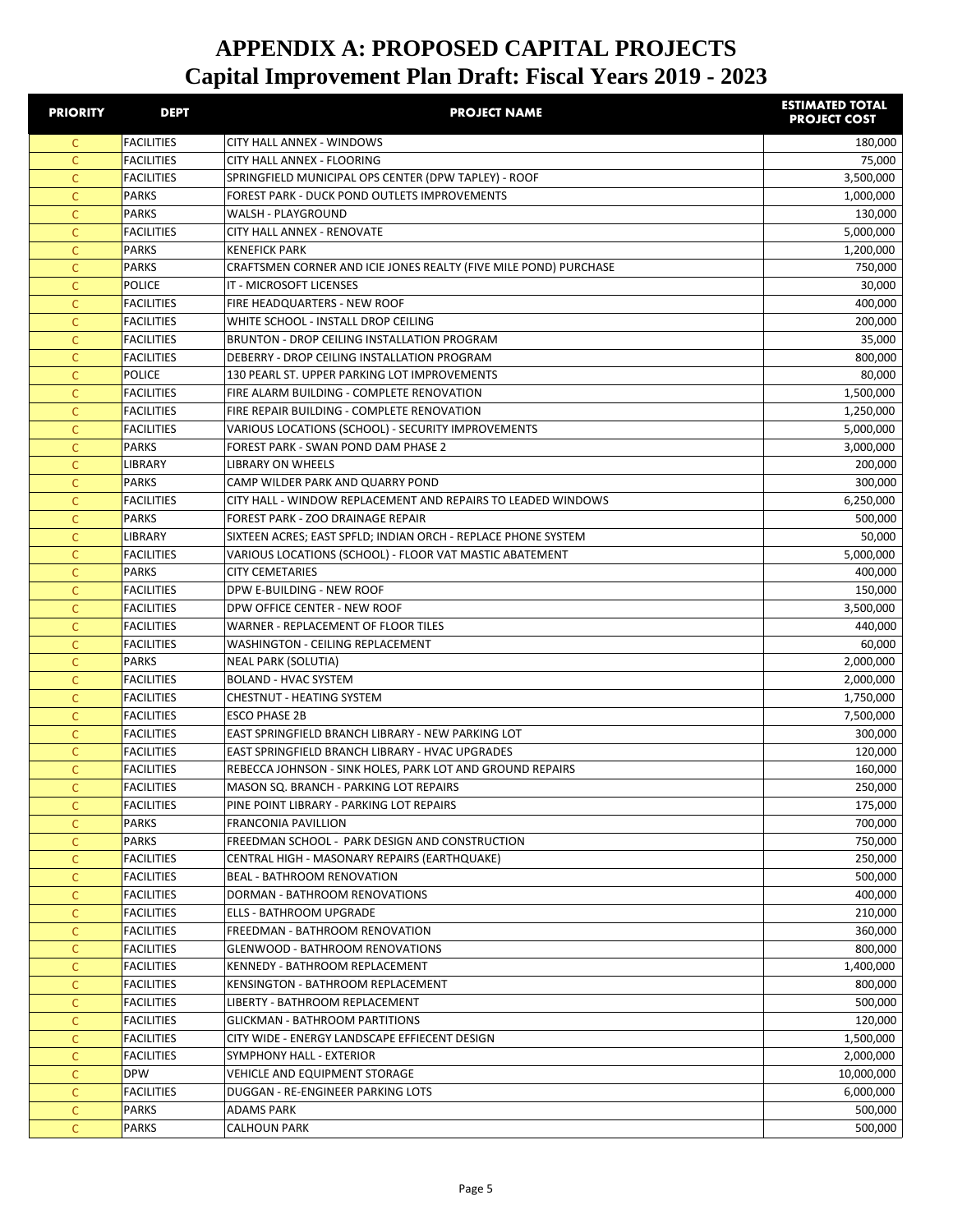| <b>PRIORITY</b> | <b>DEPT</b>       | <b>PROJECT NAME</b>                                              | <b>ESTIMATED TOTAL</b><br><b>PROJECT COST</b> |
|-----------------|-------------------|------------------------------------------------------------------|-----------------------------------------------|
| C.              | <b>FACILITIES</b> | CITY HALL ANNEX - WINDOWS                                        | 180,000                                       |
| C               | <b>FACILITIES</b> | CITY HALL ANNEX - FLOORING                                       | 75,000                                        |
| C               | <b>FACILITIES</b> | SPRINGFIELD MUNICIPAL OPS CENTER (DPW TAPLEY) - ROOF             | 3,500,000                                     |
| $\mathsf{C}$    | <b>PARKS</b>      | FOREST PARK - DUCK POND OUTLETS IMPROVEMENTS                     | 1,000,000                                     |
| $\mathsf{C}$    | <b>PARKS</b>      | WALSH - PLAYGROUND                                               | 130,000                                       |
| C               | <b>FACILITIES</b> | CITY HALL ANNEX - RENOVATE                                       | 5,000,000                                     |
| C               | <b>PARKS</b>      | <b>KENEFICK PARK</b>                                             | 1,200,000                                     |
| C               | <b>PARKS</b>      | CRAFTSMEN CORNER AND ICIE JONES REALTY (FIVE MILE POND) PURCHASE | 750,000                                       |
| C               | POLICE            | IT - MICROSOFT LICENSES                                          | 30,000                                        |
| C               | <b>FACILITIES</b> | FIRE HEADQUARTERS - NEW ROOF                                     | 400,000                                       |
| C               | <b>FACILITIES</b> | WHITE SCHOOL - INSTALL DROP CEILING                              | 200,000                                       |
| C               | <b>FACILITIES</b> | BRUNTON - DROP CEILING INSTALLATION PROGRAM                      | 35,000                                        |
| C               | <b>FACILITIES</b> | DEBERRY - DROP CEILING INSTALLATION PROGRAM                      | 800,000                                       |
| C               | POLICE            | 130 PEARL ST. UPPER PARKING LOT IMPROVEMENTS                     | 80,000                                        |
| $\mathsf{C}$    | <b>FACILITIES</b> | FIRE ALARM BUILDING - COMPLETE RENOVATION                        | 1,500,000                                     |
| C               | <b>FACILITIES</b> | FIRE REPAIR BUILDING - COMPLETE RENOVATION                       | 1,250,000                                     |
| $\mathsf{C}$    | <b>FACILITIES</b> | VARIOUS LOCATIONS (SCHOOL) - SECURITY IMPROVEMENTS               | 5,000,000                                     |
| $\mathsf{C}$    | <b>PARKS</b>      | FOREST PARK - SWAN POND DAM PHASE 2                              | 3,000,000                                     |
| C               | LIBRARY           | <b>LIBRARY ON WHEELS</b>                                         | 200,000                                       |
| C               | <b>PARKS</b>      | CAMP WILDER PARK AND QUARRY POND                                 | 300,000                                       |
| C               | <b>FACILITIES</b> | CITY HALL - WINDOW REPLACEMENT AND REPAIRS TO LEADED WINDOWS     | 6,250,000                                     |
| C               | <b>PARKS</b>      | FOREST PARK - ZOO DRAINAGE REPAIR                                | 500,000                                       |
| C               | <b>LIBRARY</b>    | SIXTEEN ACRES; EAST SPFLD; INDIAN ORCH - REPLACE PHONE SYSTEM    | 50,000                                        |
| C               | <b>FACILITIES</b> | VARIOUS LOCATIONS (SCHOOL) - FLOOR VAT MASTIC ABATEMENT          | 5,000,000                                     |
| C               | <b>PARKS</b>      | <b>CITY CEMETARIES</b>                                           | 400,000                                       |
| C               | <b>FACILITIES</b> | DPW E-BUILDING - NEW ROOF                                        | 150,000                                       |
| C               | <b>FACILITIES</b> | DPW OFFICE CENTER - NEW ROOF                                     | 3,500,000                                     |
| C               | <b>FACILITIES</b> | WARNER - REPLACEMENT OF FLOOR TILES                              | 440,000                                       |
| $\mathsf{C}$    | <b>FACILITIES</b> | WASHINGTON - CEILING REPLACEMENT                                 | 60,000                                        |
| $\mathsf{C}$    | <b>PARKS</b>      | NEAL PARK (SOLUTIA)                                              | 2,000,000                                     |
| C               | <b>FACILITIES</b> | <b>BOLAND - HVAC SYSTEM</b>                                      | 2,000,000                                     |
| C               | <b>FACILITIES</b> | <b>CHESTNUT - HEATING SYSTEM</b>                                 | 1,750,000                                     |
| C               | <b>FACILITIES</b> | <b>ESCO PHASE 2B</b>                                             | 7,500,000                                     |
| C               | <b>FACILITIES</b> | EAST SPRINGFIELD BRANCH LIBRARY - NEW PARKING LOT                | 300,000                                       |
| C               | <b>FACILITIES</b> | EAST SPRINGFIELD BRANCH LIBRARY - HVAC UPGRADES                  | 120,000                                       |
| C               | <b>FACILITIES</b> | REBECCA JOHNSON - SINK HOLES, PARK LOT AND GROUND REPAIRS        | 160,000                                       |
| C               | <b>FACILITIES</b> | MASON SQ. BRANCH - PARKING LOT REPAIRS                           | 250,000                                       |
| C               | <b>FACILITIES</b> | PINE POINT LIBRARY - PARKING LOT REPAIRS                         | 175,000                                       |
| C               | PARKS             | <b>FRANCONIA PAVILLION</b>                                       | 700,000                                       |
| $\mathsf{C}$    | <b>PARKS</b>      | FREEDMAN SCHOOL - PARK DESIGN AND CONSTRUCTION                   | 750,000                                       |
| $\mathsf{C}$    | <b>FACILITIES</b> | CENTRAL HIGH - MASONARY REPAIRS (EARTHQUAKE)                     | 250,000                                       |
| $\mathsf{C}$    | <b>FACILITIES</b> | <b>BEAL - BATHROOM RENOVATION</b>                                | 500,000                                       |
| $\mathsf{C}$    | <b>FACILITIES</b> | <b>DORMAN - BATHROOM RENOVATIONS</b>                             | 400,000                                       |
| C               | <b>FACILITIES</b> | ELLS - BATHROOM UPGRADE                                          | 210,000                                       |
| C               | <b>FACILITIES</b> | FREEDMAN - BATHROOM RENOVATION                                   | 360,000                                       |
| C               | <b>FACILITIES</b> | <b>GLENWOOD - BATHROOM RENOVATIONS</b>                           | 800,000                                       |
| C               | <b>FACILITIES</b> | KENNEDY - BATHROOM REPLACEMENT                                   | 1,400,000                                     |
| C               | <b>FACILITIES</b> | KENSINGTON - BATHROOM REPLACEMENT                                | 800,000                                       |
| C               | <b>FACILITIES</b> | LIBERTY - BATHROOM REPLACEMENT                                   | 500,000                                       |
| C               | <b>FACILITIES</b> | GLICKMAN - BATHROOM PARTITIONS                                   | 120,000                                       |
| C               | <b>FACILITIES</b> | CITY WIDE - ENERGY LANDSCAPE EFFIECENT DESIGN                    | 1,500,000                                     |
| C               | <b>FACILITIES</b> | SYMPHONY HALL - EXTERIOR                                         | 2,000,000                                     |
| C               | <b>DPW</b>        | VEHICLE AND EQUIPMENT STORAGE                                    | 10,000,000                                    |
| $\mathsf{C}$    | <b>FACILITIES</b> | DUGGAN - RE-ENGINEER PARKING LOTS                                | 6,000,000                                     |
| $\mathsf{C}$    | PARKS             | ADAMS PARK                                                       | 500,000                                       |
| $\mathsf{C}$    | PARKS             | <b>CALHOUN PARK</b>                                              | 500,000                                       |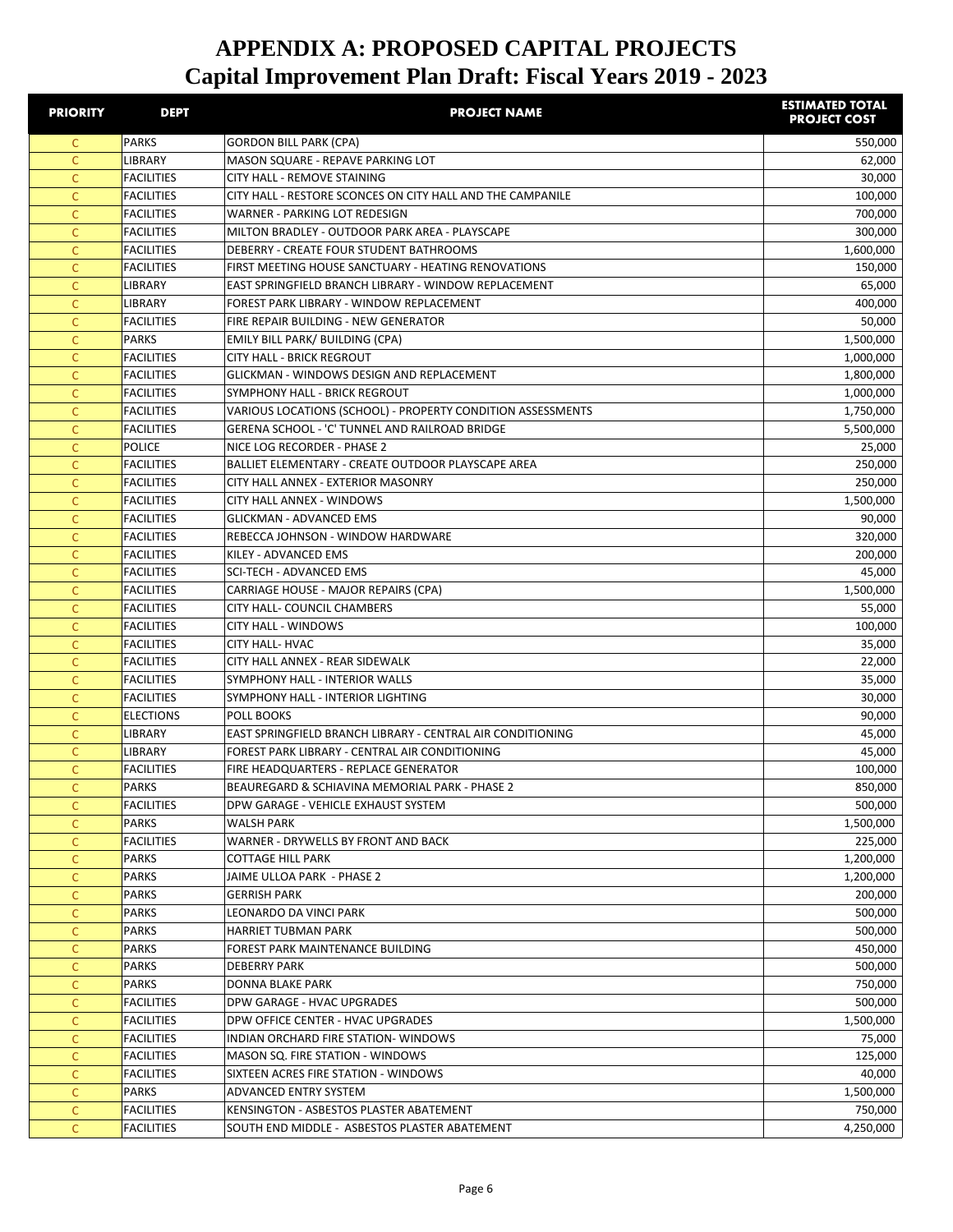| <b>PRIORITY</b> | <b>DEPT</b>                            | <b>PROJECT NAME</b>                                                    | <b>ESTIMATED TOTAL</b><br><b>PROJECT COST</b> |
|-----------------|----------------------------------------|------------------------------------------------------------------------|-----------------------------------------------|
| C.              | PARKS                                  | <b>GORDON BILL PARK (CPA)</b>                                          | 550,000                                       |
| C               | LIBRARY                                | MASON SQUARE - REPAVE PARKING LOT                                      | 62,000                                        |
| $\mathsf{C}$    | <b>FACILITIES</b>                      | CITY HALL - REMOVE STAINING                                            | 30,000                                        |
| $\mathsf{C}$    | <b>FACILITIES</b>                      | CITY HALL - RESTORE SCONCES ON CITY HALL AND THE CAMPANILE             | 100,000                                       |
| $\mathsf{C}$    | <b>FACILITIES</b>                      | WARNER - PARKING LOT REDESIGN                                          | 700,000                                       |
| C               | <b>FACILITIES</b>                      | MILTON BRADLEY - OUTDOOR PARK AREA - PLAYSCAPE                         | 300,000                                       |
| C               | <b>FACILITIES</b>                      | DEBERRY - CREATE FOUR STUDENT BATHROOMS                                | 1,600,000                                     |
| C               | <b>FACILITIES</b>                      | FIRST MEETING HOUSE SANCTUARY - HEATING RENOVATIONS                    | 150,000                                       |
| C               | <b>LIBRARY</b>                         | EAST SPRINGFIELD BRANCH LIBRARY - WINDOW REPLACEMENT                   | 65,000                                        |
| C               | <b>LIBRARY</b>                         | FOREST PARK LIBRARY - WINDOW REPLACEMENT                               | 400,000                                       |
| C               | <b>FACILITIES</b>                      | FIRE REPAIR BUILDING - NEW GENERATOR                                   | 50,000                                        |
| C               | <b>PARKS</b>                           | EMILY BILL PARK/ BUILDING (CPA)                                        | 1,500,000                                     |
| C               | <b>FACILITIES</b>                      | <b>CITY HALL - BRICK REGROUT</b>                                       | 1,000,000                                     |
| C               | <b>FACILITIES</b>                      | GLICKMAN - WINDOWS DESIGN AND REPLACEMENT                              | 1,800,000                                     |
| C               | <b>FACILITIES</b>                      | SYMPHONY HALL - BRICK REGROUT                                          | 1,000,000                                     |
| C               | <b>FACILITIES</b>                      | VARIOUS LOCATIONS (SCHOOL) - PROPERTY CONDITION ASSESSMENTS            | 1,750,000                                     |
| C               | <b>FACILITIES</b>                      | GERENA SCHOOL - 'C' TUNNEL AND RAILROAD BRIDGE                         | 5,500,000                                     |
| C               | POLICE                                 | NICE LOG RECORDER - PHASE 2                                            | 25,000                                        |
| C.              | <b>FACILITIES</b>                      | BALLIET ELEMENTARY - CREATE OUTDOOR PLAYSCAPE AREA                     | 250,000                                       |
| C.              | <b>FACILITIES</b><br><b>FACILITIES</b> | CITY HALL ANNEX - EXTERIOR MASONRY<br><b>CITY HALL ANNEX - WINDOWS</b> | 250,000<br>1,500,000                          |
| C<br>C          | <b>FACILITIES</b>                      | <b>GLICKMAN - ADVANCED EMS</b>                                         | 90,000                                        |
| C               | <b>FACILITIES</b>                      | REBECCA JOHNSON - WINDOW HARDWARE                                      | 320,000                                       |
| C               | <b>FACILITIES</b>                      | KILEY - ADVANCED EMS                                                   | 200,000                                       |
| C               | <b>FACILITIES</b>                      | SCI-TECH - ADVANCED EMS                                                | 45,000                                        |
| $\mathsf{C}$    | <b>FACILITIES</b>                      | CARRIAGE HOUSE - MAJOR REPAIRS (CPA)                                   | 1,500,000                                     |
| C               | <b>FACILITIES</b>                      | CITY HALL- COUNCIL CHAMBERS                                            | 55,000                                        |
| $\mathsf{C}$    | <b>FACILITIES</b>                      | <b>CITY HALL - WINDOWS</b>                                             | 100,000                                       |
| $\mathsf{C}$    | <b>FACILITIES</b>                      | <b>CITY HALL- HVAC</b>                                                 | 35,000                                        |
| $\mathsf{C}$    | <b>FACILITIES</b>                      | CITY HALL ANNEX - REAR SIDEWALK                                        | 22,000                                        |
| C               | <b>FACILITIES</b>                      | SYMPHONY HALL - INTERIOR WALLS                                         | 35,000                                        |
| C               | <b>FACILITIES</b>                      | SYMPHONY HALL - INTERIOR LIGHTING                                      | 30,000                                        |
| C               | <b>ELECTIONS</b>                       | POLL BOOKS                                                             | 90,000                                        |
| C               | <b>LIBRARY</b>                         | EAST SPRINGFIELD BRANCH LIBRARY - CENTRAL AIR CONDITIONING             | 45,000                                        |
| C               | <b>LIBRARY</b>                         | FOREST PARK LIBRARY - CENTRAL AIR CONDITIONING                         | 45,000                                        |
| C               | <b>FACILITIES</b>                      | FIRE HEADQUARTERS - REPLACE GENERATOR                                  | 100,000                                       |
| C               | PARKS                                  | BEAUREGARD & SCHIAVINA MEMORIAL PARK - PHASE 2                         | 850,000                                       |
| C.              | <b>FACILITIES</b>                      | DPW GARAGE - VEHICLE EXHAUST SYSTEM                                    | 500,000                                       |
| C.              | <b>PARKS</b>                           | WALSH PARK                                                             | 1,500,000                                     |
| $\mathsf{C}$    | <b>FACILITIES</b>                      | WARNER - DRYWELLS BY FRONT AND BACK                                    | 225,000                                       |
| $\mathsf{C}$    | PARKS                                  | COTTAGE HILL PARK                                                      | 1,200,000                                     |
| $\mathsf{C}$    | PARKS                                  | JAIME ULLOA PARK - PHASE 2                                             | 1,200,000                                     |
| C               | PARKS                                  | <b>GERRISH PARK</b>                                                    | 200,000                                       |
| C               | PARKS                                  | LEONARDO DA VINCI PARK                                                 | 500,000                                       |
| C               | <b>PARKS</b>                           | HARRIET TUBMAN PARK                                                    | 500,000                                       |
| C               | PARKS                                  | FOREST PARK MAINTENANCE BUILDING                                       | 450,000                                       |
| С               | <b>PARKS</b>                           | <b>DEBERRY PARK</b>                                                    | 500,000                                       |
| C               | PARKS                                  | DONNA BLAKE PARK                                                       | 750,000                                       |
| C               | <b>FACILITIES</b>                      | DPW GARAGE - HVAC UPGRADES                                             | 500,000                                       |
| C               | <b>FACILITIES</b>                      | DPW OFFICE CENTER - HVAC UPGRADES                                      | 1,500,000                                     |
| $\mathsf{C}$    | <b>FACILITIES</b>                      | INDIAN ORCHARD FIRE STATION-WINDOWS                                    | 75,000                                        |
| C               | <b>FACILITIES</b>                      | MASON SQ. FIRE STATION - WINDOWS                                       | 125,000                                       |
| C               | <b>FACILITIES</b>                      | SIXTEEN ACRES FIRE STATION - WINDOWS                                   | 40,000                                        |
| $\mathsf{C}$    | PARKS                                  | ADVANCED ENTRY SYSTEM                                                  | 1,500,000                                     |
| $\mathsf{C}$    | <b>FACILITIES</b>                      | KENSINGTON - ASBESTOS PLASTER ABATEMENT                                | 750,000                                       |
| C               | <b>FACILITIES</b>                      | SOUTH END MIDDLE - ASBESTOS PLASTER ABATEMENT                          | 4,250,000                                     |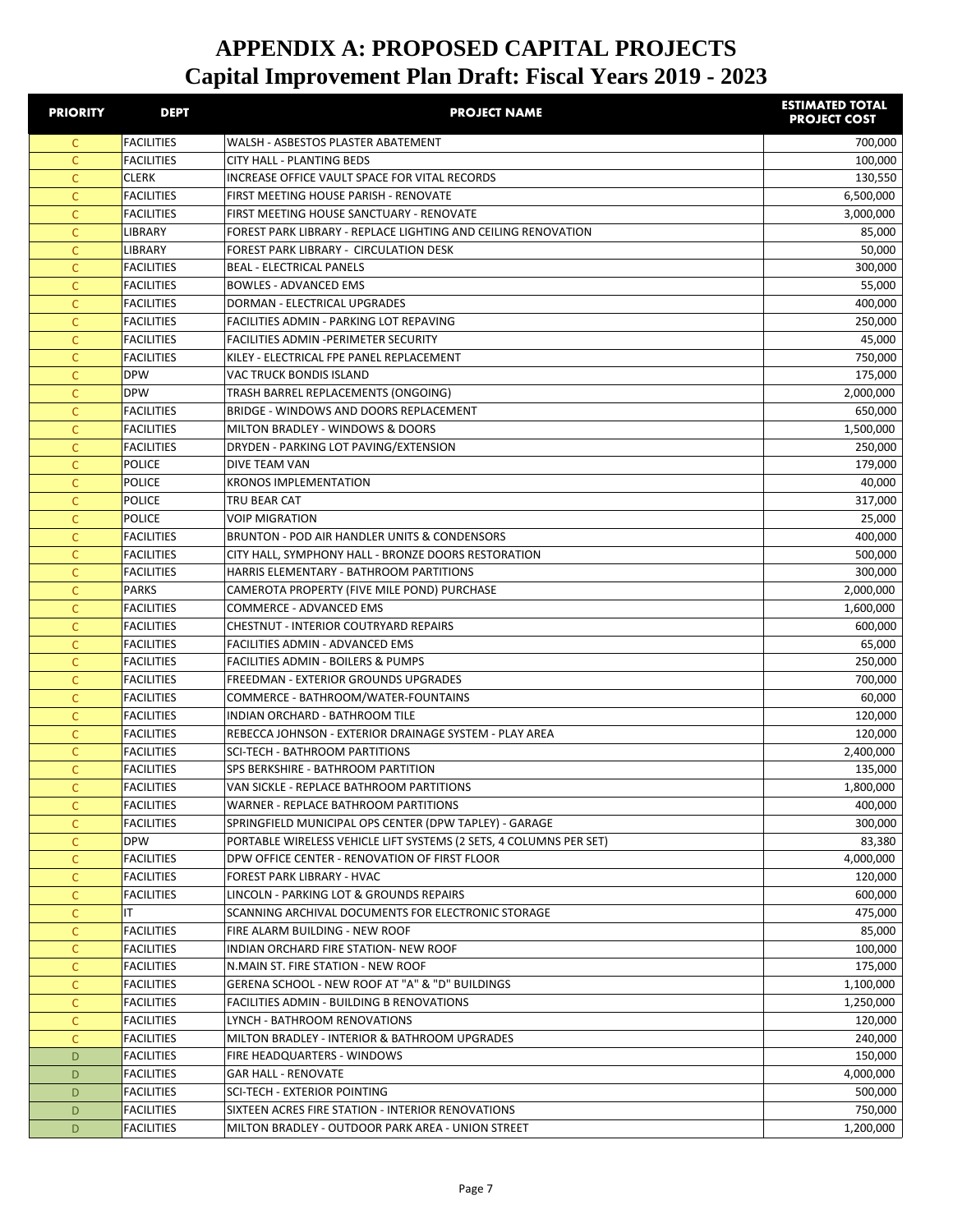| <b>PRIORITY</b> | <b>DEPT</b>       | <b>PROJECT NAME</b>                                                | <b>ESTIMATED TOTAL</b><br><b>PROJECT COST</b> |
|-----------------|-------------------|--------------------------------------------------------------------|-----------------------------------------------|
| C               | <b>FACILITIES</b> | WALSH - ASBESTOS PLASTER ABATEMENT                                 | 700,000                                       |
| C               | <b>FACILITIES</b> | <b>CITY HALL - PLANTING BEDS</b>                                   | 100,000                                       |
| $\mathsf{C}$    | <b>CLERK</b>      | INCREASE OFFICE VAULT SPACE FOR VITAL RECORDS                      | 130,550                                       |
| $\mathsf{C}$    | <b>FACILITIES</b> | FIRST MEETING HOUSE PARISH - RENOVATE                              | 6,500,000                                     |
| $\mathsf{C}$    | <b>FACILITIES</b> | FIRST MEETING HOUSE SANCTUARY - RENOVATE                           | 3,000,000                                     |
| $\mathsf{C}$    | LIBRARY           | FOREST PARK LIBRARY - REPLACE LIGHTING AND CEILING RENOVATION      | 85,000                                        |
| $\mathsf{C}$    | <b>LIBRARY</b>    | FOREST PARK LIBRARY - CIRCULATION DESK                             | 50,000                                        |
| C               | <b>FACILITIES</b> | <b>BEAL - ELECTRICAL PANELS</b>                                    | 300,000                                       |
| C               | <b>FACILITIES</b> | <b>BOWLES - ADVANCED EMS</b>                                       | 55,000                                        |
| C               | <b>FACILITIES</b> | DORMAN - ELECTRICAL UPGRADES                                       | 400,000                                       |
| C               | <b>FACILITIES</b> | FACILITIES ADMIN - PARKING LOT REPAVING                            | 250,000                                       |
| C               | <b>FACILITIES</b> | FACILITIES ADMIN - PERIMETER SECURITY                              | 45,000                                        |
| C               | <b>FACILITIES</b> | KILEY - ELECTRICAL FPE PANEL REPLACEMENT                           | 750,000                                       |
| C               | <b>DPW</b>        | <b>VAC TRUCK BONDIS ISLAND</b>                                     | 175,000                                       |
| $\mathsf{C}$    | <b>DPW</b>        | TRASH BARREL REPLACEMENTS (ONGOING)                                | 2,000,000                                     |
| $\mathsf{C}$    | <b>FACILITIES</b> | BRIDGE - WINDOWS AND DOORS REPLACEMENT                             | 650,000                                       |
| C               | <b>FACILITIES</b> | MILTON BRADLEY - WINDOWS & DOORS                                   | 1,500,000                                     |
| $\mathsf{C}$    | <b>FACILITIES</b> | DRYDEN - PARKING LOT PAVING/EXTENSION                              | 250,000                                       |
| $\mathsf{C}$    | <b>POLICE</b>     | DIVE TEAM VAN                                                      | 179,000                                       |
| C               | <b>POLICE</b>     | <b>KRONOS IMPLEMENTATION</b>                                       | 40,000                                        |
| C               | <b>POLICE</b>     | TRU BEAR CAT                                                       | 317,000                                       |
| C               | POLICE            | <b>VOIP MIGRATION</b>                                              | 25,000                                        |
| C               | <b>FACILITIES</b> | BRUNTON - POD AIR HANDLER UNITS & CONDENSORS                       | 400,000                                       |
| C               | <b>FACILITIES</b> | CITY HALL, SYMPHONY HALL - BRONZE DOORS RESTORATION                | 500,000                                       |
| C               | <b>FACILITIES</b> | HARRIS ELEMENTARY - BATHROOM PARTITIONS                            | 300,000                                       |
| C               | <b>PARKS</b>      | CAMEROTA PROPERTY (FIVE MILE POND) PURCHASE                        | 2,000,000                                     |
| C               | <b>FACILITIES</b> | <b>COMMERCE - ADVANCED EMS</b>                                     | 1,600,000                                     |
| $\mathsf{C}$    | <b>FACILITIES</b> | <b>CHESTNUT - INTERIOR COUTRYARD REPAIRS</b>                       | 600,000                                       |
| $\mathsf{C}$    | <b>FACILITIES</b> | FACILITIES ADMIN - ADVANCED EMS                                    | 65,000                                        |
| $\mathsf{C}$    | <b>FACILITIES</b> | FACILITIES ADMIN - BOILERS & PUMPS                                 | 250,000                                       |
| $\mathsf{C}$    | <b>FACILITIES</b> | FREEDMAN - EXTERIOR GROUNDS UPGRADES                               | 700,000                                       |
| C               | <b>FACILITIES</b> | COMMERCE - BATHROOM/WATER-FOUNTAINS                                | 60,000                                        |
| C               | <b>FACILITIES</b> | INDIAN ORCHARD - BATHROOM TILE                                     | 120,000                                       |
| C               | <b>FACILITIES</b> | REBECCA JOHNSON - EXTERIOR DRAINAGE SYSTEM - PLAY AREA             | 120,000                                       |
| C               | <b>FACILITIES</b> | <b>SCI-TECH - BATHROOM PARTITIONS</b>                              | 2,400,000                                     |
| C               | FACILITIES        | SPS BERKSHIRE - BATHROOM PARTITION                                 | 135,000                                       |
| C               | <b>FACILITIES</b> | VAN SICKLE - REPLACE BATHROOM PARTITIONS                           | 1,800,000                                     |
| C               | <b>FACILITIES</b> | WARNER - REPLACE BATHROOM PARTITIONS                               | 400,000                                       |
| C               | FACILITIES        | SPRINGFIELD MUNICIPAL OPS CENTER (DPW TAPLEY) - GARAGE             | 300,000                                       |
| $\mathsf{C}$    | <b>DPW</b>        | PORTABLE WIRELESS VEHICLE LIFT SYSTEMS (2 SETS, 4 COLUMNS PER SET) | 83,380                                        |
| $\mathsf{C}$    | <b>FACILITIES</b> | DPW OFFICE CENTER - RENOVATION OF FIRST FLOOR                      | 4,000,000                                     |
| $\mathsf{C}$    | <b>FACILITIES</b> | FOREST PARK LIBRARY - HVAC                                         | 120,000                                       |
| $\mathsf{C}$    | <b>FACILITIES</b> | LINCOLN - PARKING LOT & GROUNDS REPAIRS                            | 600,000                                       |
| $\mathsf{C}$    | ΙT                | SCANNING ARCHIVAL DOCUMENTS FOR ELECTRONIC STORAGE                 | 475,000                                       |
| C               | <b>FACILITIES</b> | FIRE ALARM BUILDING - NEW ROOF                                     | 85,000                                        |
| C               | <b>FACILITIES</b> | INDIAN ORCHARD FIRE STATION- NEW ROOF                              | 100,000                                       |
| $\mathsf{C}$    | <b>FACILITIES</b> | N.MAIN ST. FIRE STATION - NEW ROOF                                 | 175,000                                       |
| C               | <b>FACILITIES</b> | GERENA SCHOOL - NEW ROOF AT "A" & "D" BUILDINGS                    | 1,100,000                                     |
| C               | <b>FACILITIES</b> | FACILITIES ADMIN - BUILDING B RENOVATIONS                          | 1,250,000                                     |
| C               | <b>FACILITIES</b> | LYNCH - BATHROOM RENOVATIONS                                       | 120,000                                       |
| C               | <b>FACILITIES</b> | MILTON BRADLEY - INTERIOR & BATHROOM UPGRADES                      | 240,000                                       |
| D               | <b>FACILITIES</b> | FIRE HEADQUARTERS - WINDOWS                                        | 150,000                                       |
| D               | <b>FACILITIES</b> | <b>GAR HALL - RENOVATE</b>                                         | 4,000,000                                     |
| D               | <b>FACILITIES</b> | SCI-TECH - EXTERIOR POINTING                                       | 500,000                                       |
| D               | <b>FACILITIES</b> | SIXTEEN ACRES FIRE STATION - INTERIOR RENOVATIONS                  | 750,000                                       |
| D               | <b>FACILITIES</b> | MILTON BRADLEY - OUTDOOR PARK AREA - UNION STREET                  | 1,200,000                                     |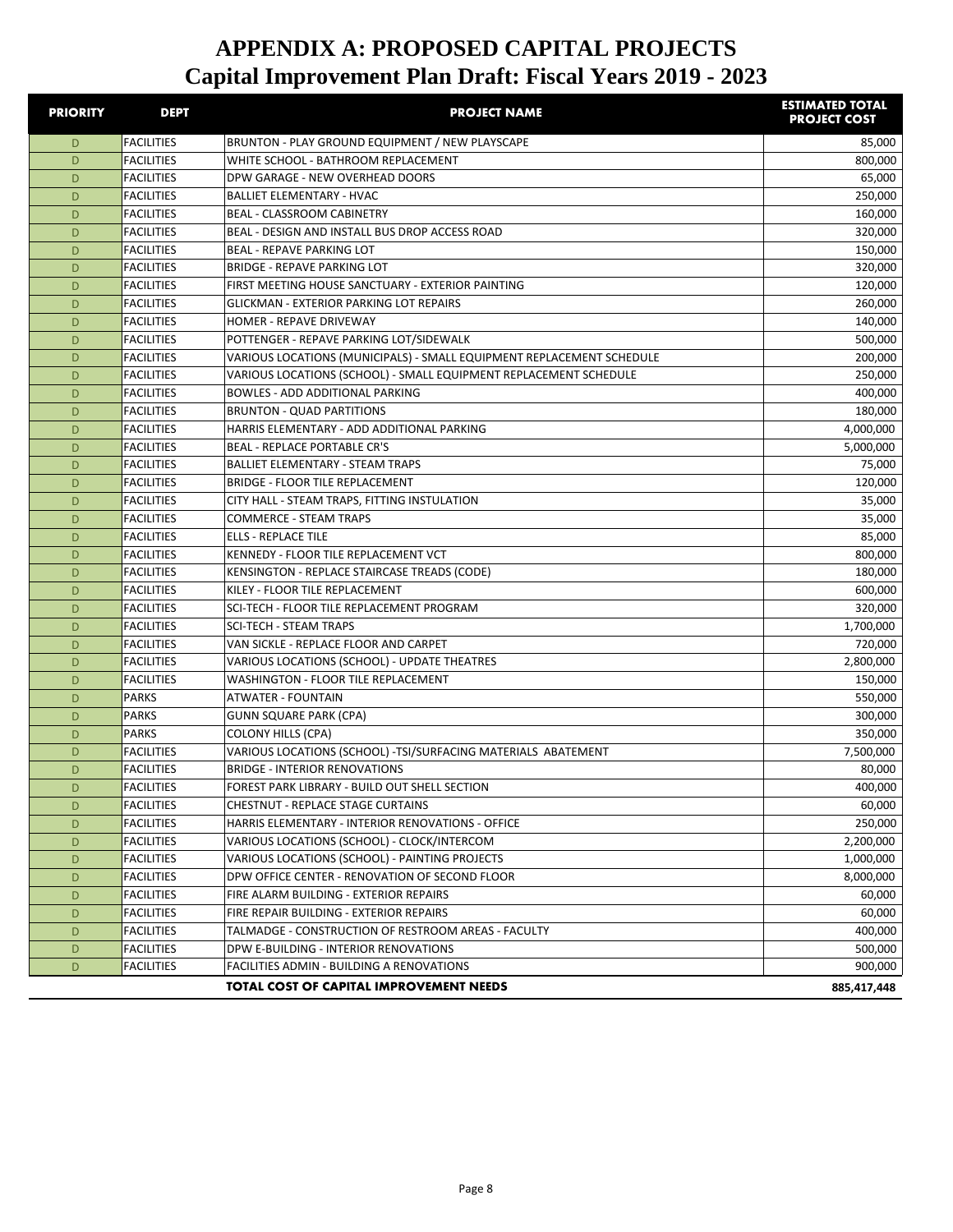| <b>PRIORITY</b> | <b>DEPT</b>                            | <b>PROJECT NAME</b>                                                                                   | <b>ESTIMATED TOTAL</b><br><b>PROJECT COST</b> |
|-----------------|----------------------------------------|-------------------------------------------------------------------------------------------------------|-----------------------------------------------|
| D               | <b>FACILITIES</b>                      | BRUNTON - PLAY GROUND EQUIPMENT / NEW PLAYSCAPE                                                       | 85,000                                        |
| D               | <b>FACILITIES</b>                      | WHITE SCHOOL - BATHROOM REPLACEMENT                                                                   | 800,000                                       |
| D               | <b>FACILITIES</b>                      | DPW GARAGE - NEW OVERHEAD DOORS                                                                       | 65,000                                        |
| D               | <b>FACILITIES</b>                      | <b>BALLIET ELEMENTARY - HVAC</b>                                                                      | 250,000                                       |
| D               | <b>FACILITIES</b>                      | BEAL - CLASSROOM CABINETRY                                                                            | 160,000                                       |
| D               | <b>FACILITIES</b>                      | BEAL - DESIGN AND INSTALL BUS DROP ACCESS ROAD                                                        | 320,000                                       |
| D               | <b>FACILITIES</b>                      | <b>BEAL - REPAVE PARKING LOT</b>                                                                      | 150,000                                       |
| D               | <b>FACILITIES</b>                      | <b>BRIDGE - REPAVE PARKING LOT</b>                                                                    | 320,000                                       |
| D               | <b>FACILITIES</b>                      | FIRST MEETING HOUSE SANCTUARY - EXTERIOR PAINTING                                                     | 120,000                                       |
| D               | <b>FACILITIES</b>                      | <b>GLICKMAN - EXTERIOR PARKING LOT REPAIRS</b>                                                        | 260,000                                       |
| D               | <b>FACILITIES</b>                      | <b>HOMER - REPAVE DRIVEWAY</b>                                                                        | 140,000                                       |
| D               | <b>FACILITIES</b>                      | POTTENGER - REPAVE PARKING LOT/SIDEWALK                                                               | 500,000                                       |
| D               | <b>FACILITIES</b>                      | VARIOUS LOCATIONS (MUNICIPALS) - SMALL EQUIPMENT REPLACEMENT SCHEDULE                                 | 200,000                                       |
| D               | <b>FACILITIES</b>                      | VARIOUS LOCATIONS (SCHOOL) - SMALL EQUIPMENT REPLACEMENT SCHEDULE                                     | 250,000                                       |
| D               | <b>FACILITIES</b>                      | <b>BOWLES - ADD ADDITIONAL PARKING</b>                                                                | 400,000                                       |
| D               | <b>FACILITIES</b>                      | <b>BRUNTON - QUAD PARTITIONS</b>                                                                      | 180,000                                       |
| D               | <b>FACILITIES</b>                      | HARRIS ELEMENTARY - ADD ADDITIONAL PARKING                                                            | 4,000,000                                     |
| D               | <b>FACILITIES</b>                      | <b>BEAL - REPLACE PORTABLE CR'S</b>                                                                   | 5,000,000                                     |
| D               | <b>FACILITIES</b>                      | <b>BALLIET ELEMENTARY - STEAM TRAPS</b>                                                               | 75,000                                        |
| D               | <b>FACILITIES</b>                      | BRIDGE - FLOOR TILE REPLACEMENT                                                                       | 120,000                                       |
| D               | <b>FACILITIES</b>                      | CITY HALL - STEAM TRAPS, FITTING INSTULATION                                                          | 35,000                                        |
| D               | <b>FACILITIES</b>                      | <b>COMMERCE - STEAM TRAPS</b>                                                                         | 35,000                                        |
| D               | <b>FACILITIES</b>                      | <b>ELLS - REPLACE TILE</b>                                                                            | 85,000                                        |
| D               | <b>FACILITIES</b>                      | KENNEDY - FLOOR TILE REPLACEMENT VCT                                                                  | 800,000                                       |
| D               | <b>FACILITIES</b>                      | KENSINGTON - REPLACE STAIRCASE TREADS (CODE)                                                          | 180,000                                       |
| D               | <b>FACILITIES</b>                      | KILEY - FLOOR TILE REPLACEMENT                                                                        | 600,000                                       |
| D               | <b>FACILITIES</b>                      | SCI-TECH - FLOOR TILE REPLACEMENT PROGRAM                                                             | 320,000                                       |
| D               | <b>FACILITIES</b>                      | <b>SCI-TECH - STEAM TRAPS</b>                                                                         | 1,700,000                                     |
| D               | <b>FACILITIES</b>                      | VAN SICKLE - REPLACE FLOOR AND CARPET                                                                 | 720,000                                       |
| D               | <b>FACILITIES</b>                      | VARIOUS LOCATIONS (SCHOOL) - UPDATE THEATRES                                                          | 2,800,000                                     |
| D               | <b>FACILITIES</b>                      | WASHINGTON - FLOOR TILE REPLACEMENT                                                                   | 150,000                                       |
| D               | <b>PARKS</b>                           | <b>ATWATER - FOUNTAIN</b>                                                                             | 550,000                                       |
| D               | <b>PARKS</b>                           | <b>GUNN SQUARE PARK (CPA)</b>                                                                         | 300,000                                       |
| D               | <b>PARKS</b>                           | <b>COLONY HILLS (CPA)</b>                                                                             | 350,000                                       |
| D               | <b>FACILITIES</b>                      | VARIOUS LOCATIONS (SCHOOL) -TSI/SURFACING MATERIALS ABATEMENT<br><b>BRIDGE - INTERIOR RENOVATIONS</b> | 7,500,000                                     |
| D               | <b>FACILITIES</b>                      |                                                                                                       | 80,000                                        |
| D               | FACILITIES                             | FOREST PARK LIBRARY - BUILD OUT SHELL SECTION                                                         | 400,000                                       |
| D<br>D          | <b>FACILITIES</b><br><b>FACILITIES</b> | CHESTNUT - REPLACE STAGE CURTAINS<br>HARRIS ELEMENTARY - INTERIOR RENOVATIONS - OFFICE                | 60,000<br>250,000                             |
| D               | <b>FACILITIES</b>                      | VARIOUS LOCATIONS (SCHOOL) - CLOCK/INTERCOM                                                           | 2,200,000                                     |
| D               | <b>FACILITIES</b>                      | VARIOUS LOCATIONS (SCHOOL) - PAINTING PROJECTS                                                        | 1,000,000                                     |
| D               | <b>FACILITIES</b>                      | DPW OFFICE CENTER - RENOVATION OF SECOND FLOOR                                                        | 8,000,000                                     |
| D               | <b>FACILITIES</b>                      | FIRE ALARM BUILDING - EXTERIOR REPAIRS                                                                | 60,000                                        |
| D               | <b>FACILITIES</b>                      | FIRE REPAIR BUILDING - EXTERIOR REPAIRS                                                               | 60,000                                        |
| D               | <b>FACILITIES</b>                      | TALMADGE - CONSTRUCTION OF RESTROOM AREAS - FACULTY                                                   | 400,000                                       |
| D               | <b>FACILITIES</b>                      | DPW E-BUILDING - INTERIOR RENOVATIONS                                                                 | 500,000                                       |
| D               | <b>FACILITIES</b>                      | FACILITIES ADMIN - BUILDING A RENOVATIONS                                                             | 900,000                                       |
|                 |                                        | <b>TOTAL COST OF CAPITAL IMPROVEMENT NEEDS</b>                                                        | 885,417,448                                   |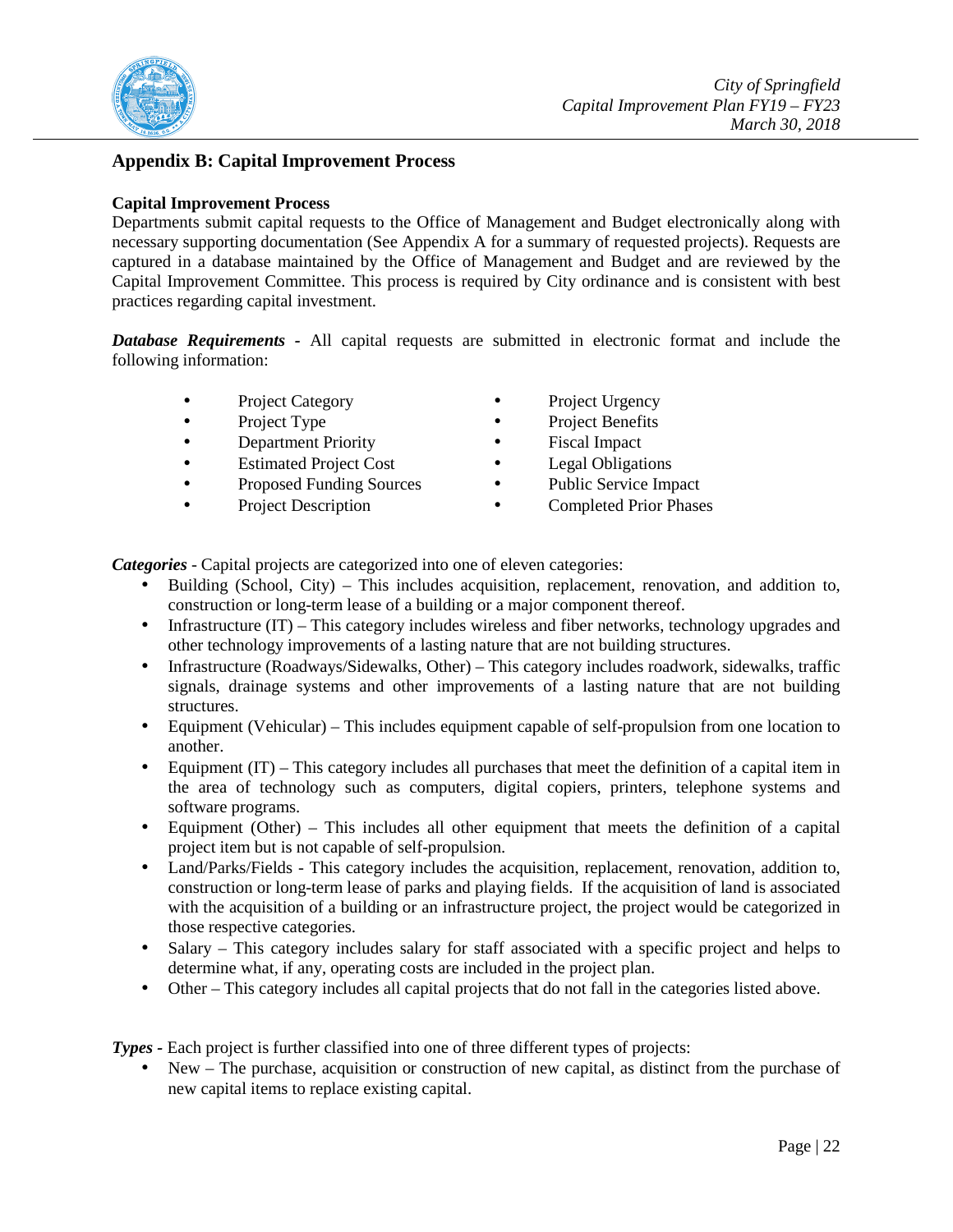

## **Appendix B: Capital Improvement Process**

### **Capital Improvement Process**

Departments submit capital requests to the Office of Management and Budget electronically along with necessary supporting documentation (See Appendix A for a summary of requested projects). Requests are captured in a database maintained by the Office of Management and Budget and are reviewed by the Capital Improvement Committee. This process is required by City ordinance and is consistent with best practices regarding capital investment.

*Database Requirements -* All capital requests are submitted in electronic format and include the following information:

- Project Category Project Urgency
- 
- 
- Estimated Project Cost Legal Obligations
- Proposed Funding Sources Public Service Impact
- 
- 
- Project Type Project Benefits
	- **Department Priority** Fiscal Impact
		-
		-
	- Project Description Completed Prior Phases

*Categories* - Capital projects are categorized into one of eleven categories:

- Building (School, City) This includes acquisition, replacement, renovation, and addition to, construction or long-term lease of a building or a major component thereof.
- Infrastructure (IT) This category includes wireless and fiber networks, technology upgrades and other technology improvements of a lasting nature that are not building structures.
- Infrastructure (Roadways/Sidewalks, Other) *–* This category includes roadwork, sidewalks, traffic signals, drainage systems and other improvements of a lasting nature that are not building structures.
- Equipment (Vehicular) *–* This includes equipment capable of self-propulsion from one location to another.
- Equipment (IT) This category includes all purchases that meet the definition of a capital item in the area of technology such as computers, digital copiers, printers, telephone systems and software programs.
- Equipment (Other) *–* This includes all other equipment that meets the definition of a capital project item but is not capable of self-propulsion.
- Land/Parks/Fields *-* This category includes the acquisition, replacement, renovation, addition to, construction or long-term lease of parks and playing fields. If the acquisition of land is associated with the acquisition of a building or an infrastructure project, the project would be categorized in those respective categories.
- Salary This category includes salary for staff associated with a specific project and helps to determine what, if any, operating costs are included in the project plan.
- Other This category includes all capital projects that do not fall in the categories listed above.

*Types -* Each project is further classified into one of three different types of projects:

New – The purchase, acquisition or construction of new capital, as distinct from the purchase of new capital items to replace existing capital.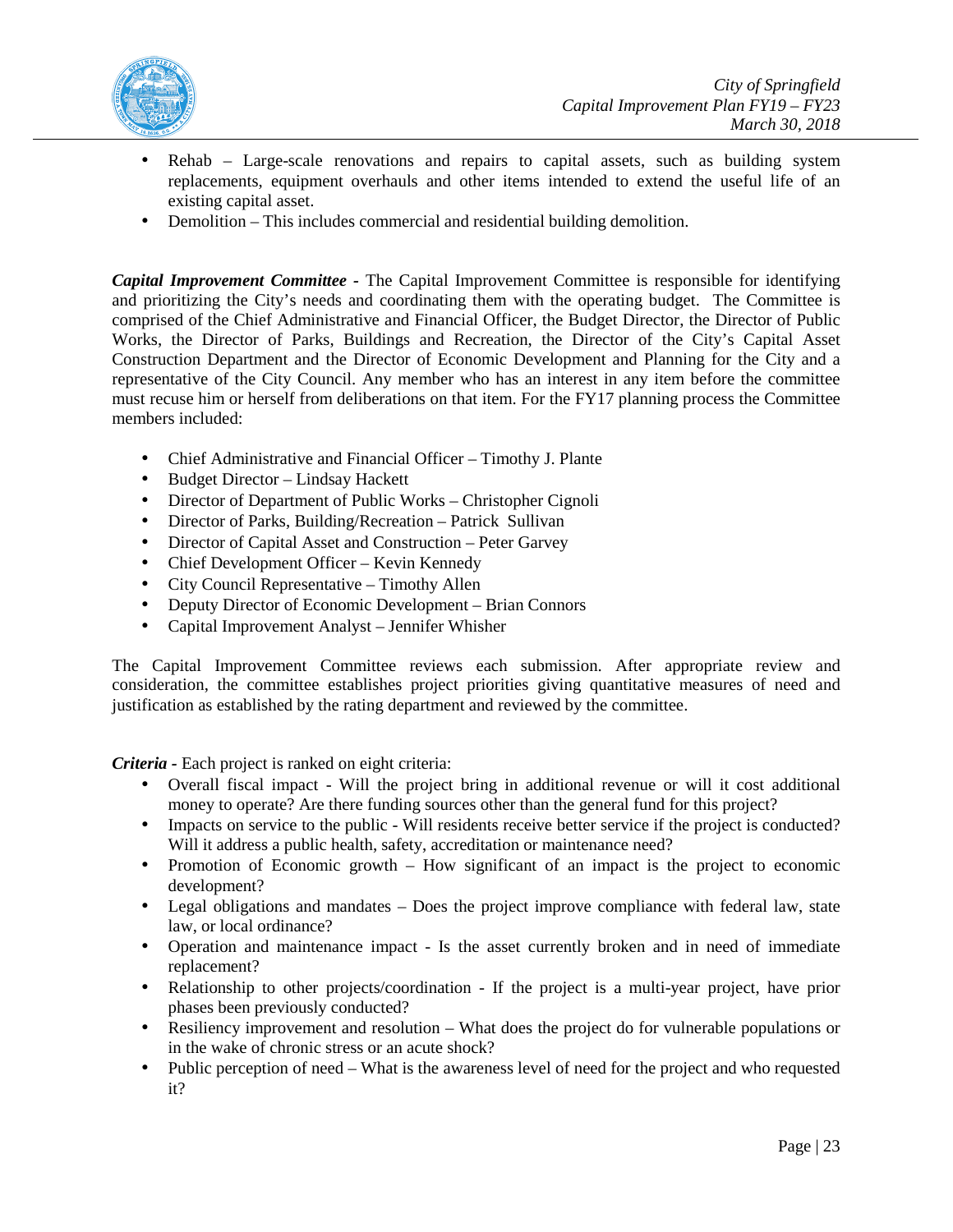

- Rehab Large-scale renovations and repairs to capital assets, such as building system replacements, equipment overhauls and other items intended to extend the useful life of an existing capital asset.
- Demolition This includes commercial and residential building demolition.

*Capital Improvement Committee -* The Capital Improvement Committee is responsible for identifying and prioritizing the City's needs and coordinating them with the operating budget. The Committee is comprised of the Chief Administrative and Financial Officer, the Budget Director, the Director of Public Works, the Director of Parks, Buildings and Recreation, the Director of the City's Capital Asset Construction Department and the Director of Economic Development and Planning for the City and a representative of the City Council. Any member who has an interest in any item before the committee must recuse him or herself from deliberations on that item. For the FY17 planning process the Committee members included:

- Chief Administrative and Financial Officer Timothy J. Plante
- Budget Director Lindsay Hackett
- Director of Department of Public Works Christopher Cignoli
- Director of Parks, Building/Recreation Patrick Sullivan
- Director of Capital Asset and Construction Peter Garvey
- Chief Development Officer Kevin Kennedy
- City Council Representative Timothy Allen
- Deputy Director of Economic Development Brian Connors
- Capital Improvement Analyst Jennifer Whisher

The Capital Improvement Committee reviews each submission. After appropriate review and consideration, the committee establishes project priorities giving quantitative measures of need and justification as established by the rating department and reviewed by the committee.

*Criteria -* Each project is ranked on eight criteria:

- Overall fiscal impact Will the project bring in additional revenue or will it cost additional money to operate? Are there funding sources other than the general fund for this project?
- Impacts on service to the public Will residents receive better service if the project is conducted? Will it address a public health, safety, accreditation or maintenance need?
- Promotion of Economic growth How significant of an impact is the project to economic development?
- Legal obligations and mandates Does the project improve compliance with federal law, state law, or local ordinance?
- Operation and maintenance impact Is the asset currently broken and in need of immediate replacement?
- Relationship to other projects/coordination If the project is a multi-year project, have prior phases been previously conducted?
- Resiliency improvement and resolution What does the project do for vulnerable populations or in the wake of chronic stress or an acute shock?
- Public perception of need What is the awareness level of need for the project and who requested it?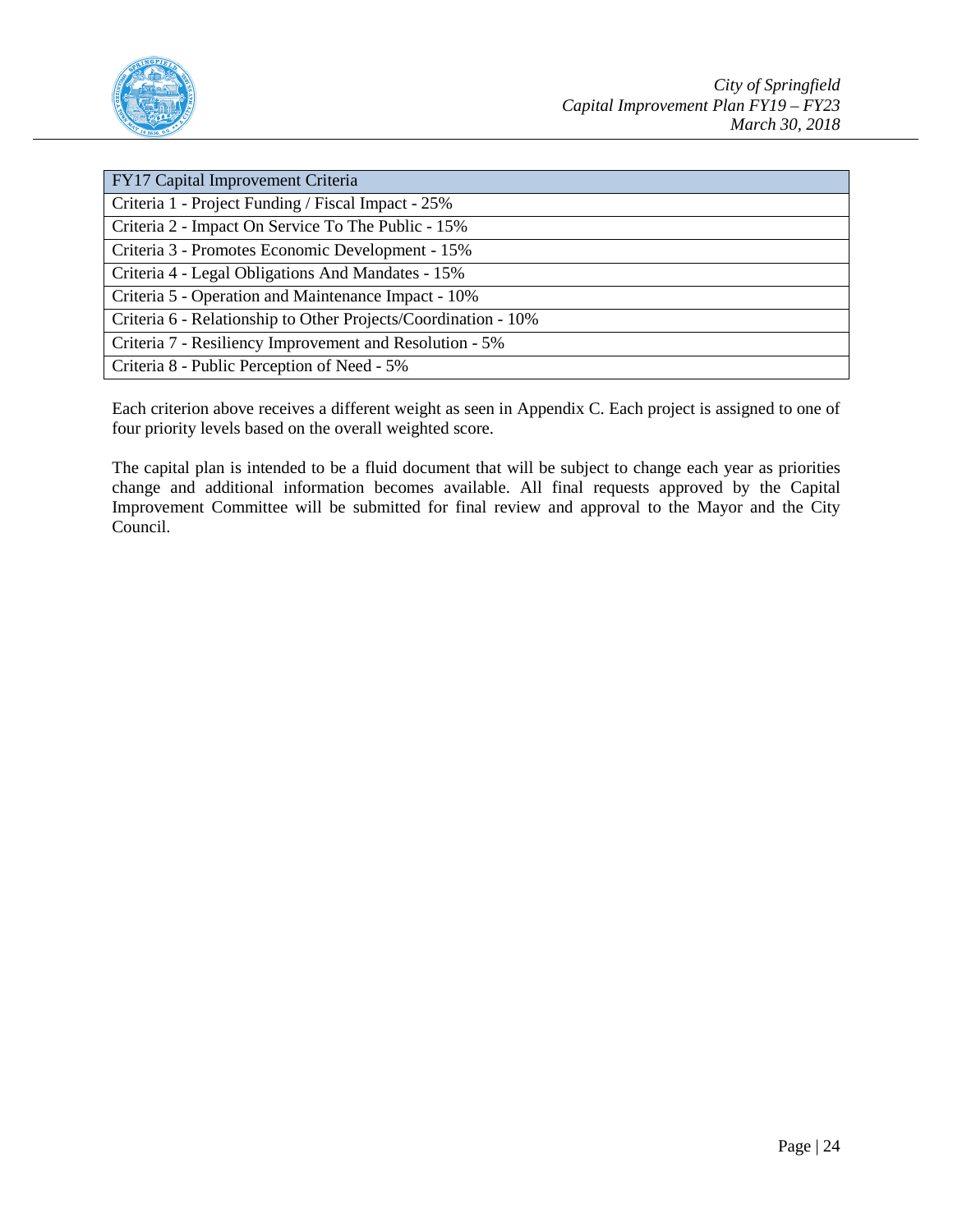

| FY17 Capital Improvement Criteria                              |
|----------------------------------------------------------------|
| Criteria 1 - Project Funding / Fiscal Impact - 25%             |
| Criteria 2 - Impact On Service To The Public - 15%             |
| Criteria 3 - Promotes Economic Development - 15%               |
| Criteria 4 - Legal Obligations And Mandates - 15%              |
| Criteria 5 - Operation and Maintenance Impact - 10%            |
| Criteria 6 - Relationship to Other Projects/Coordination - 10% |
| Criteria 7 - Resiliency Improvement and Resolution - 5%        |
| Criteria 8 - Public Perception of Need - 5%                    |

Each criterion above receives a different weight as seen in Appendix C. Each project is assigned to one of four priority levels based on the overall weighted score.

The capital plan is intended to be a fluid document that will be subject to change each year as priorities change and additional information becomes available. All final requests approved by the Capital Improvement Committee will be submitted for final review and approval to the Mayor and the City Council.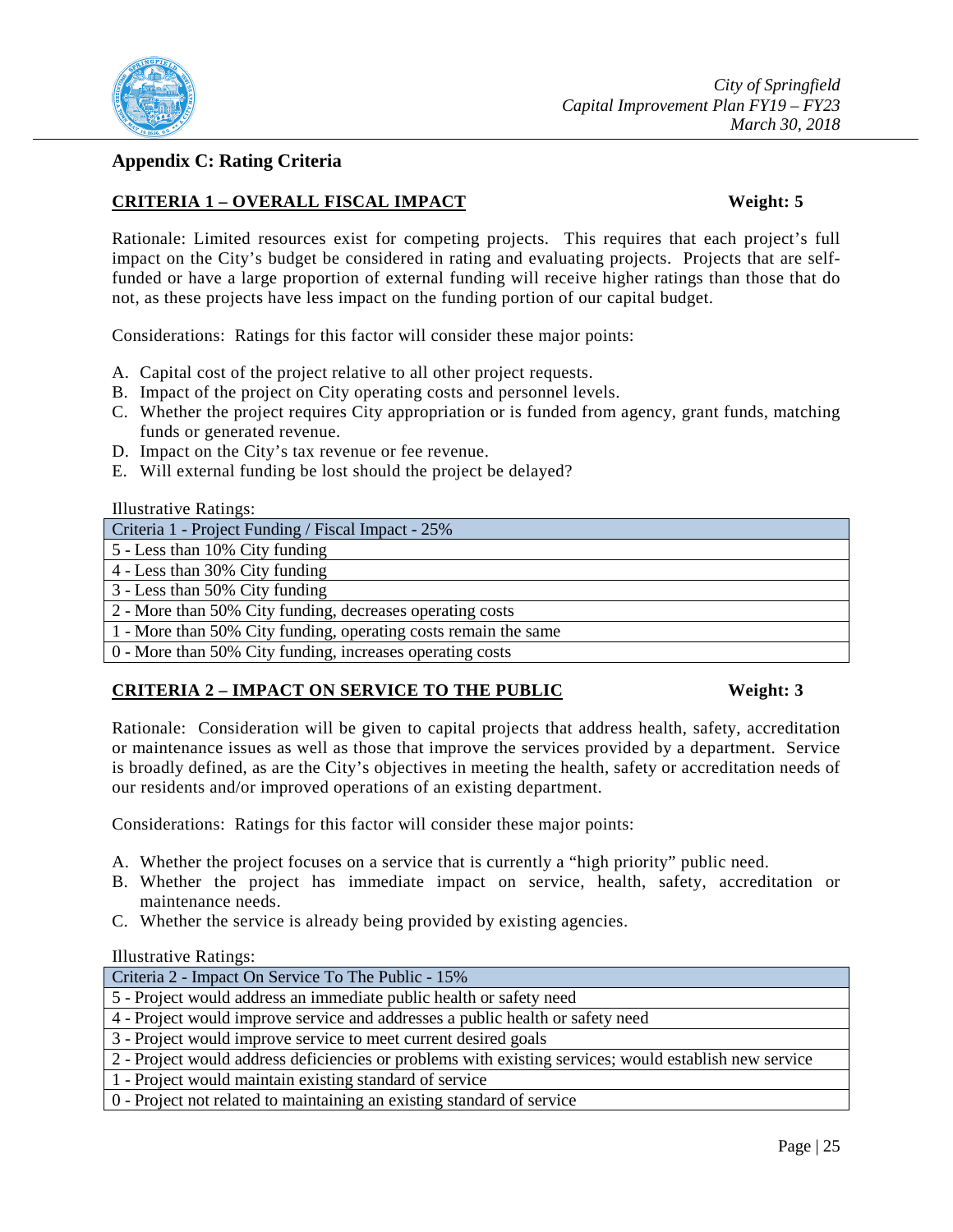

## **Appendix C: Rating Criteria**

## **CRITERIA 1 – OVERALL FISCAL IMPACT Weight: 5**

Rationale: Limited resources exist for competing projects. This requires that each project's full impact on the City's budget be considered in rating and evaluating projects. Projects that are selffunded or have a large proportion of external funding will receive higher ratings than those that do not, as these projects have less impact on the funding portion of our capital budget.

Considerations: Ratings for this factor will consider these major points:

- A. Capital cost of the project relative to all other project requests.
- B. Impact of the project on City operating costs and personnel levels.
- C. Whether the project requires City appropriation or is funded from agency, grant funds, matching funds or generated revenue.
- D. Impact on the City's tax revenue or fee revenue.
- E. Will external funding be lost should the project be delayed?

| <b>Illustrative Ratings:</b> |  |
|------------------------------|--|
|                              |  |

| Criteria 1 - Project Funding / Fiscal Impact - 25%              |
|-----------------------------------------------------------------|
| $\vert$ 5 - Less than 10% City funding                          |
| 4 - Less than 30% City funding                                  |
| 3 - Less than 50% City funding                                  |
| 2 - More than 50% City funding, decreases operating costs       |
| 1 - More than 50% City funding, operating costs remain the same |
| 0 - More than 50% City funding, increases operating costs       |

## **CRITERIA 2 – IMPACT ON SERVICE TO THE PUBLIC Weight: 3**

Rationale: Consideration will be given to capital projects that address health, safety, accreditation or maintenance issues as well as those that improve the services provided by a department. Service is broadly defined, as are the City's objectives in meeting the health, safety or accreditation needs of our residents and/or improved operations of an existing department.

Considerations: Ratings for this factor will consider these major points:

- A. Whether the project focuses on a service that is currently a "high priority" public need.
- B. Whether the project has immediate impact on service, health, safety, accreditation or maintenance needs.
- C. Whether the service is already being provided by existing agencies.

| $\mathbf{r}$                                                                                           |
|--------------------------------------------------------------------------------------------------------|
| Criteria 2 - Impact On Service To The Public - 15%                                                     |
| 5 - Project would address an immediate public health or safety need                                    |
| 4 - Project would improve service and addresses a public health or safety need                         |
| 3 - Project would improve service to meet current desired goals                                        |
| 2 - Project would address deficiencies or problems with existing services; would establish new service |
| 1 - Project would maintain existing standard of service                                                |
| 0 - Project not related to maintaining an existing standard of service                                 |
|                                                                                                        |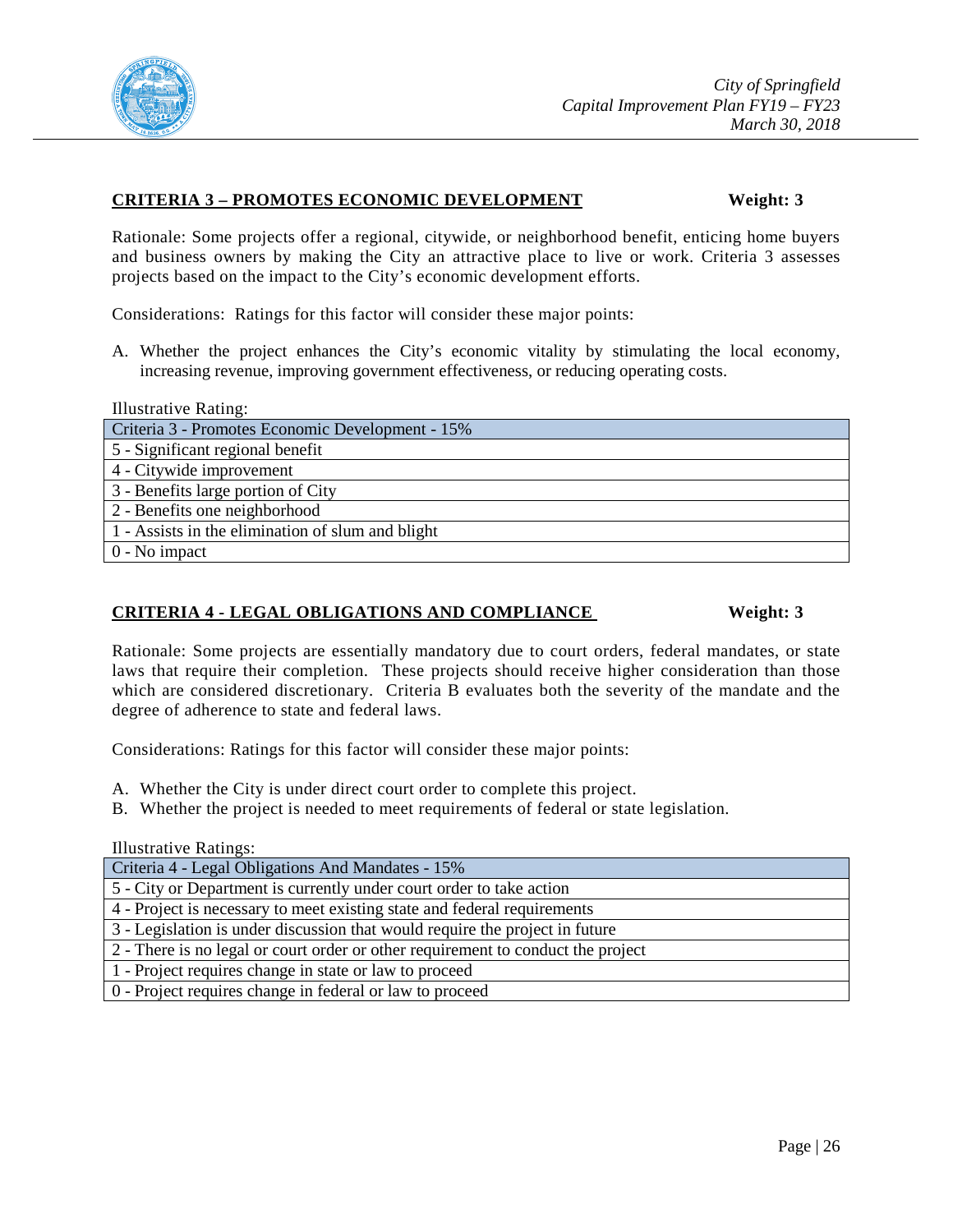

#### **CRITERIA 3 – PROMOTES ECONOMIC DEVELOPMENT Weight: 3**

Rationale: Some projects offer a regional, citywide, or neighborhood benefit, enticing home buyers and business owners by making the City an attractive place to live or work. Criteria 3 assesses projects based on the impact to the City's economic development efforts.

Considerations: Ratings for this factor will consider these major points:

A. Whether the project enhances the City's economic vitality by stimulating the local economy, increasing revenue, improving government effectiveness, or reducing operating costs.

Illustrative Rating:

Criteria 3 - Promotes Economic Development - 15% 5 - Significant regional benefit 4 - Citywide improvement 3 - Benefits large portion of City 2 - Benefits one neighborhood 1 - Assists in the elimination of slum and blight 0 - No impact

### **CRITERIA 4 - LEGAL OBLIGATIONS AND COMPLIANCE Weight: 3**

Rationale: Some projects are essentially mandatory due to court orders, federal mandates, or state laws that require their completion. These projects should receive higher consideration than those which are considered discretionary. Criteria B evaluates both the severity of the mandate and the degree of adherence to state and federal laws.

Considerations: Ratings for this factor will consider these major points:

- A. Whether the City is under direct court order to complete this project.
- B. Whether the project is needed to meet requirements of federal or state legislation.

| Criteria 4 - Legal Obligations And Mandates - 15%                                |
|----------------------------------------------------------------------------------|
| 5 - City or Department is currently under court order to take action             |
| 4 - Project is necessary to meet existing state and federal requirements         |
| 3 - Legislation is under discussion that would require the project in future     |
| 2 - There is no legal or court order or other requirement to conduct the project |
| 1 - Project requires change in state or law to proceed                           |
| 0 - Project requires change in federal or law to proceed                         |
|                                                                                  |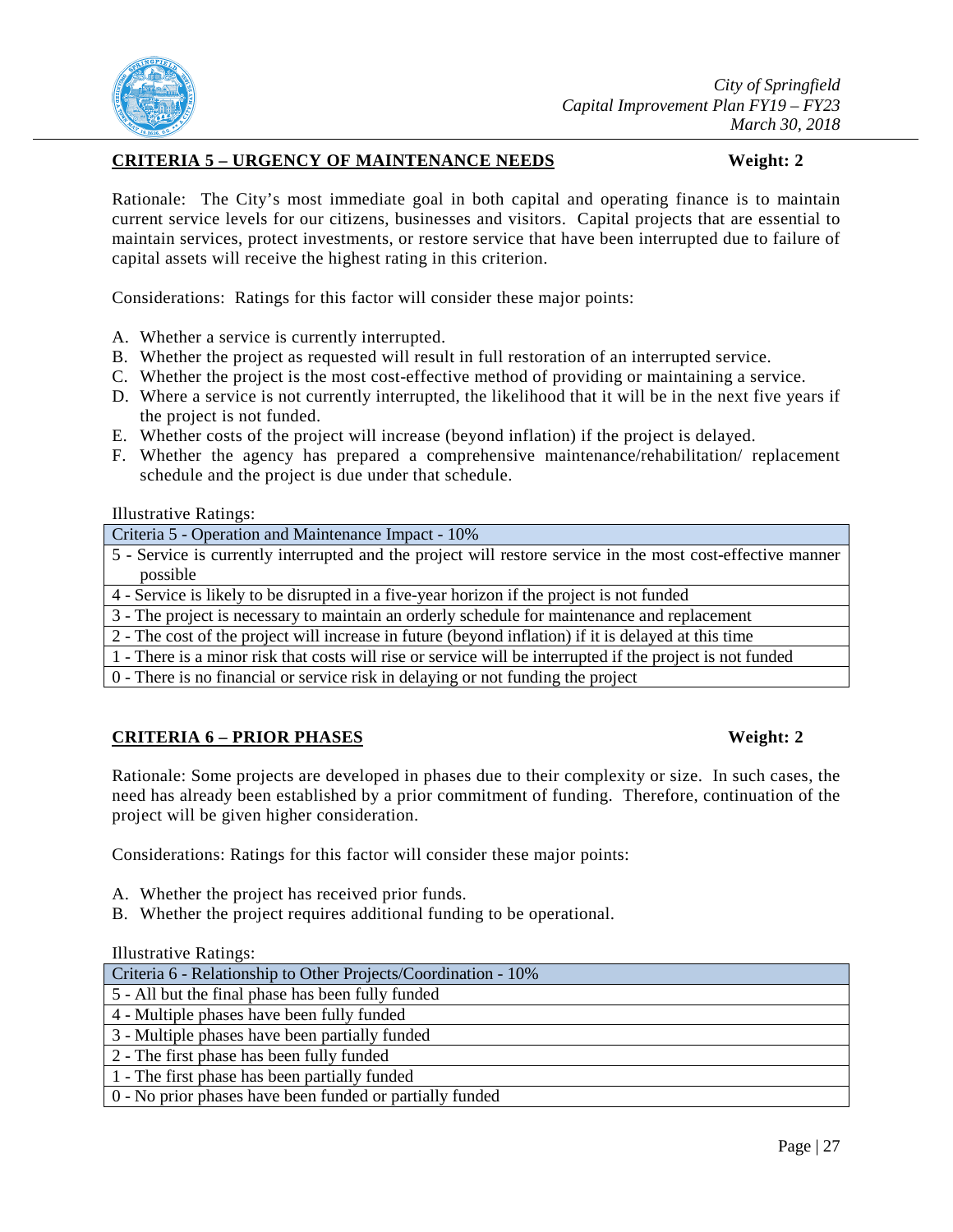

## **CRITERIA 5 – URGENCY OF MAINTENANCE NEEDS Weight: 2**

Rationale: The City's most immediate goal in both capital and operating finance is to maintain current service levels for our citizens, businesses and visitors. Capital projects that are essential to maintain services, protect investments, or restore service that have been interrupted due to failure of capital assets will receive the highest rating in this criterion.

Considerations: Ratings for this factor will consider these major points:

- A. Whether a service is currently interrupted.
- B. Whether the project as requested will result in full restoration of an interrupted service.
- C. Whether the project is the most cost-effective method of providing or maintaining a service.
- D. Where a service is not currently interrupted, the likelihood that it will be in the next five years if the project is not funded.
- E. Whether costs of the project will increase (beyond inflation) if the project is delayed.
- F. Whether the agency has prepared a comprehensive maintenance/rehabilitation/ replacement schedule and the project is due under that schedule.

Illustrative Ratings:

Criteria 5 - Operation and Maintenance Impact - 10%

5 - Service is currently interrupted and the project will restore service in the most cost-effective manner possible

4 - Service is likely to be disrupted in a five-year horizon if the project is not funded

3 - The project is necessary to maintain an orderly schedule for maintenance and replacement

2 - The cost of the project will increase in future (beyond inflation) if it is delayed at this time

1 - There is a minor risk that costs will rise or service will be interrupted if the project is not funded

0 - There is no financial or service risk in delaying or not funding the project

## **CRITERIA 6 – PRIOR PHASES Weight: 2**

Rationale: Some projects are developed in phases due to their complexity or size. In such cases, the need has already been established by a prior commitment of funding. Therefore, continuation of the project will be given higher consideration.

Considerations: Ratings for this factor will consider these major points:

- A. Whether the project has received prior funds.
- B. Whether the project requires additional funding to be operational.

| Criteria 6 - Relationship to Other Projects/Coordination - 10% |
|----------------------------------------------------------------|
| 5 - All but the final phase has been fully funded              |
| 4 - Multiple phases have been fully funded                     |
| 3 - Multiple phases have been partially funded                 |
| 2 - The first phase has been fully funded                      |
| 1 - The first phase has been partially funded                  |
| 0 - No prior phases have been funded or partially funded       |